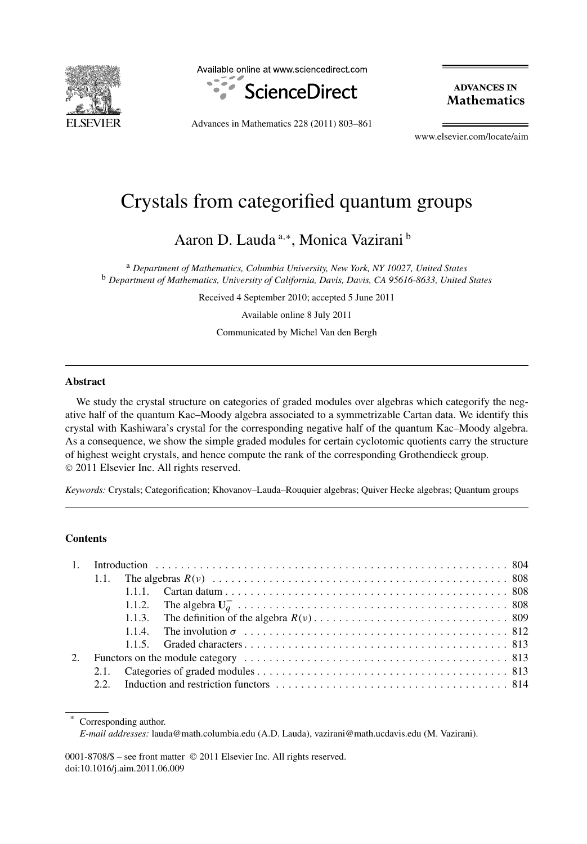

Available online at www.sciencedirect.com



**ADVANCES IN Mathematics** 

Advances in Mathematics 228 (2011) 803–861

www.elsevier.com/locate/aim

# Crystals from categorified quantum groups

Aaron D. Lauda <sup>a</sup>*,*<sup>∗</sup> , Monica Vazirani <sup>b</sup>

<sup>a</sup> *Department of Mathematics, Columbia University, New York, NY 10027, United States* <sup>b</sup> *Department of Mathematics, University of California, Davis, Davis, CA 95616-8633, United States*

Received 4 September 2010; accepted 5 June 2011

Available online 8 July 2011

Communicated by Michel Van den Bergh

#### **Abstract**

We study the crystal structure on categories of graded modules over algebras which categorify the negative half of the quantum Kac–Moody algebra associated to a symmetrizable Cartan data. We identify this crystal with Kashiwara's crystal for the corresponding negative half of the quantum Kac–Moody algebra. As a consequence, we show the simple graded modules for certain cyclotomic quotients carry the structure of highest weight crystals, and hence compute the rank of the corresponding Grothendieck group. © 2011 Elsevier Inc. All rights reserved.

*Keywords:* Crystals; Categorification; Khovanov–Lauda–Rouquier algebras; Quiver Hecke algebras; Quantum groups

#### **Contents**

| 2. |  |  |  |  |  |
|----|--|--|--|--|--|
|    |  |  |  |  |  |
|    |  |  |  |  |  |

Corresponding author.

*E-mail addresses:* lauda@math.columbia.edu (A.D. Lauda), vazirani@math.ucdavis.edu (M. Vazirani).

0001-8708/\$ – see front matter © 2011 Elsevier Inc. All rights reserved. doi:10.1016/j.aim.2011.06.009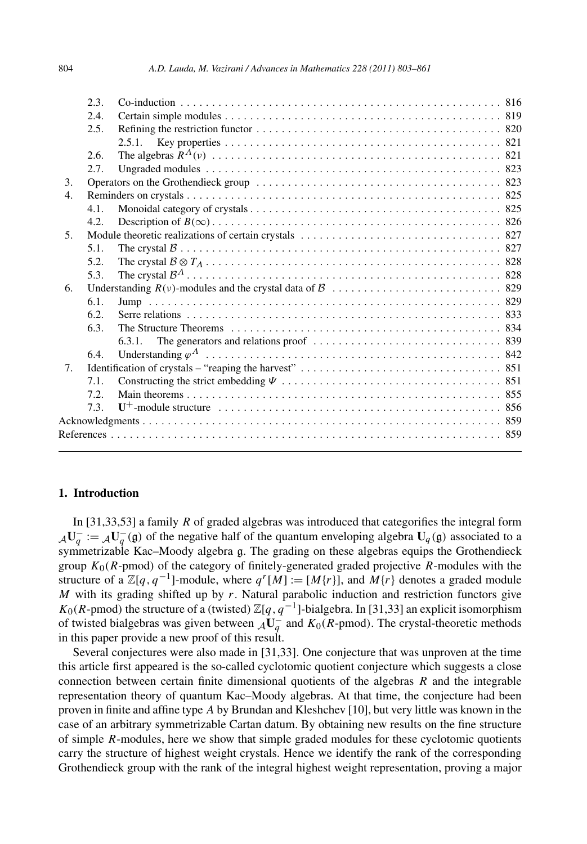|                | 2.3. |        |  |  |  |
|----------------|------|--------|--|--|--|
|                | 2.4. |        |  |  |  |
|                | 2.5. |        |  |  |  |
|                |      |        |  |  |  |
|                | 2.6. |        |  |  |  |
|                | 2.7. |        |  |  |  |
| 3.             |      |        |  |  |  |
| 4.             |      |        |  |  |  |
|                | 4.1. |        |  |  |  |
|                | 4.2. |        |  |  |  |
| 5 <sub>1</sub> |      |        |  |  |  |
|                | 5.1. |        |  |  |  |
|                | 5.2. |        |  |  |  |
|                | 5.3. |        |  |  |  |
| 6.             |      |        |  |  |  |
|                | 6.1. |        |  |  |  |
|                | 6.2. |        |  |  |  |
|                | 6.3. |        |  |  |  |
|                |      | 6.3.1. |  |  |  |
|                | 6.4. |        |  |  |  |
| 7.             |      |        |  |  |  |
|                | 7.1. |        |  |  |  |
|                | 7.2. |        |  |  |  |
|                | 7.3  |        |  |  |  |
|                |      |        |  |  |  |
|                |      |        |  |  |  |
|                |      |        |  |  |  |

#### **1. Introduction**

In [31,33,53] a family *R* of graded algebras was introduced that categorifies the integral form  $\mathcal{A}U_q^- := \mathcal{A}U_q^-(\mathfrak{g})$  of the negative half of the quantum enveloping algebra  $U_q(\mathfrak{g})$  associated to a symmetrizable Kac–Moody algebra g. The grading on these algebras equips the Grothendieck group  $K_0(R\text{-pmod})$  of the category of finitely-generated graded projective R-modules with the structure of a  $\mathbb{Z}[q, q^{-1}]$ -module, where  $q^r[M] := [M\{r\}]$ , and  $M\{r\}$  denotes a graded module *M* with its grading shifted up by *r*. Natural parabolic induction and restriction functors give  $K_0(R$ -pmod) the structure of a (twisted)  $\mathbb{Z}[q, q^{-1}]$ -bialgebra. In [31,33] an explicit isomorphism of twisted bialgebras was given between  $_{\mathcal{A}}\mathbf{U}_q^-$  and  $K_0(R\text{-pmod})$ . The crystal-theoretic methods in this paper provide a new proof of this result.

Several conjectures were also made in [31,33]. One conjecture that was unproven at the time this article first appeared is the so-called cyclotomic quotient conjecture which suggests a close connection between certain finite dimensional quotients of the algebras *R* and the integrable representation theory of quantum Kac–Moody algebras. At that time, the conjecture had been proven in finite and affine type *A* by Brundan and Kleshchev [10], but very little was known in the case of an arbitrary symmetrizable Cartan datum. By obtaining new results on the fine structure of simple *R*-modules, here we show that simple graded modules for these cyclotomic quotients carry the structure of highest weight crystals. Hence we identify the rank of the corresponding Grothendieck group with the rank of the integral highest weight representation, proving a major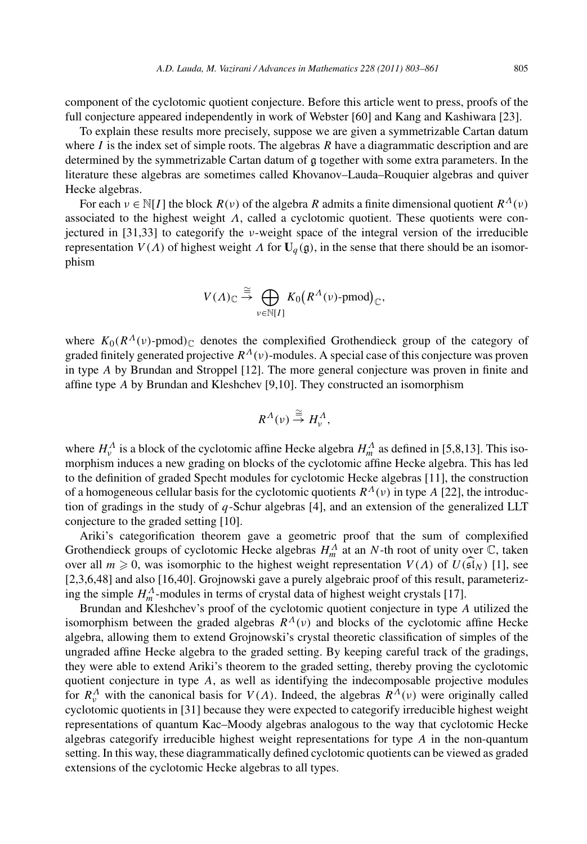component of the cyclotomic quotient conjecture. Before this article went to press, proofs of the full conjecture appeared independently in work of Webster [60] and Kang and Kashiwara [23].

To explain these results more precisely, suppose we are given a symmetrizable Cartan datum where  $I$  is the index set of simple roots. The algebras  $R$  have a diagrammatic description and are determined by the symmetrizable Cartan datum of g together with some extra parameters. In the literature these algebras are sometimes called Khovanov–Lauda–Rouquier algebras and quiver Hecke algebras.

For each  $\nu \in \mathbb{N}[I]$  the block  $R(\nu)$  of the algebra  $R$  admits a finite dimensional quotient  $R^{\Lambda}(\nu)$ associated to the highest weight *Λ*, called a cyclotomic quotient. These quotients were conjectured in [31,33] to categorify the *ν*-weight space of the integral version of the irreducible representation *V*(*Λ*) of highest weight *Λ* for **U**<sub>*q*</sub> (*g*), in the sense that there should be an isomorphism<br>  $V(A) \subset \stackrel{\cong}{\rightarrow} \bigoplus K_0(R^A(\nu) \text{-pmod})_{\mathbb{C}}$ , phism

$$
V(\Lambda)_{\mathbb{C}} \stackrel{\cong}{\to} \bigoplus_{\nu \in \mathbb{N}[I]} K_0\big(R^{\Lambda}(\nu)\text{-pmod}\big)_{\mathbb{C}},
$$

where  $K_0(R^{\Lambda}(\nu)$ -pmod)<sub>C</sub> denotes the complexified Grothendieck group of the category of graded finitely generated projective  $R^{\Lambda}(v)$ -modules. A special case of this conjecture was proven in type *A* by Brundan and Stroppel [12]. The more general conjecture was proven in finite and affine type *A* by Brundan and Kleshchev [9,10]. They constructed an isomorphism

$$
R^{\Lambda}(\nu) \stackrel{\cong}{\rightarrow} H^{\Lambda}_{\nu},
$$

where  $H_v^{\Lambda}$  is a block of the cyclotomic affine Hecke algebra  $H_m^{\Lambda}$  as defined in [5,8,13]. This isomorphism induces a new grading on blocks of the cyclotomic affine Hecke algebra. This has led to the definition of graded Specht modules for cyclotomic Hecke algebras [11], the construction of a homogeneous cellular basis for the cyclotomic quotients *RΛ(ν)* in type *A* [22], the introduction of gradings in the study of *q*-Schur algebras [4], and an extension of the generalized LLT conjecture to the graded setting [10].

Ariki's categorification theorem gave a geometric proof that the sum of complexified Grothendieck groups of cyclotomic Hecke algebras  $H_m^{\Lambda}$  at an *N*-th root of unity over  $\mathbb{C}$ , taken over all  $m \ge 0$ , was isomorphic to the highest weight representation  $V(\Lambda)$  of  $U(\overline{\mathfrak{sl}}_N)$  [1], see to the graded setting [10].<br>categorification theorem gave a geometric proof that the sum of complexified<br>ck groups of cyclotomic Hecke algebras  $H_m^{\Lambda}$  at an *N*-th root of unity over *C*, taken<br> $\geq 0$ , was isomorphic t [2,3,6,48] and also [16,40]. Grojnowski gave a purely algebraic proof of this result, parameterizing the simple  $H_m^{\Lambda}$ -modules in terms of crystal data of highest weight crystals [17].

Brundan and Kleshchev's proof of the cyclotomic quotient conjecture in type *A* utilized the isomorphism between the graded algebras  $R^{\Lambda}(v)$  and blocks of the cyclotomic affine Hecke algebra, allowing them to extend Grojnowski's crystal theoretic classification of simples of the ungraded affine Hecke algebra to the graded setting. By keeping careful track of the gradings, they were able to extend Ariki's theorem to the graded setting, thereby proving the cyclotomic quotient conjecture in type *A*, as well as identifying the indecomposable projective modules for  $R_v^{\Lambda}$  with the canonical basis for  $V(\Lambda)$ . Indeed, the algebras  $R^{\Lambda}(v)$  were originally called cyclotomic quotients in [31] because they were expected to categorify irreducible highest weight representations of quantum Kac–Moody algebras analogous to the way that cyclotomic Hecke algebras categorify irreducible highest weight representations for type *A* in the non-quantum setting. In this way, these diagrammatically defined cyclotomic quotients can be viewed as graded extensions of the cyclotomic Hecke algebras to all types.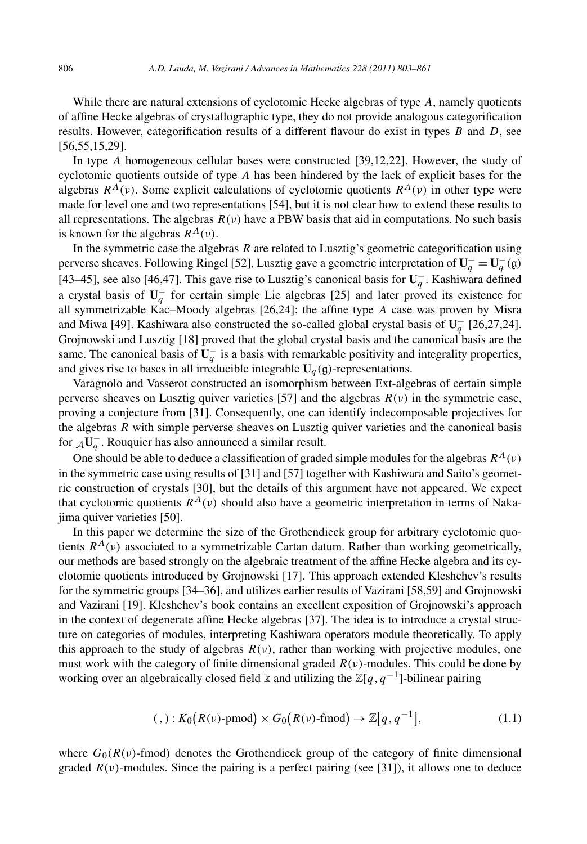While there are natural extensions of cyclotomic Hecke algebras of type *A*, namely quotients of affine Hecke algebras of crystallographic type, they do not provide analogous categorification results. However, categorification results of a different flavour do exist in types *B* and *D*, see [56,55,15,29].

In type *A* homogeneous cellular bases were constructed [39,12,22]. However, the study of cyclotomic quotients outside of type *A* has been hindered by the lack of explicit bases for the algebras  $R^A(v)$ . Some explicit calculations of cyclotomic quotients  $R^A(v)$  in other type were made for level one and two representations [54], but it is not clear how to extend these results to all representations. The algebras  $R(v)$  have a PBW basis that aid in computations. No such basis is known for the algebras  $R^{\Lambda}(\nu)$ .

In the symmetric case the algebras *R* are related to Lusztig's geometric categorification using perverse sheaves. Following Ringel [52], Lusztig gave a geometric interpretation of  $U_q^- = U_q^-(\mathfrak{g})$ [43–45], see also [46,47]. This gave rise to Lusztig's canonical basis for **U**<sup>−</sup> *<sup>q</sup>* . Kashiwara defined a crystal basis of  $U_q^-$  for certain simple Lie algebras [25] and later proved its existence for all symmetrizable Kac–Moody algebras [26,24]; the affine type *A* case was proven by Misra and Miwa [49]. Kashiwara also constructed the so-called global crystal basis of  $U_q^-$  [26,27,24]. Grojnowski and Lusztig [18] proved that the global crystal basis and the canonical basis are the same. The canonical basis of  $U_q^-$  is a basis with remarkable positivity and integrality properties, and gives rise to bases in all irreducible integrable  $U_q$  (g)-representations.

Varagnolo and Vasserot constructed an isomorphism between Ext-algebras of certain simple perverse sheaves on Lusztig quiver varieties [57] and the algebras *R(ν)* in the symmetric case, proving a conjecture from [31]. Consequently, one can identify indecomposable projectives for the algebras  $R$  with simple perverse sheaves on Lusztig quiver varieties and the canonical basis for  ${}_{\mathcal{A}}\mathbf{U}_q^-$ . Rouquier has also announced a similar result.

One should be able to deduce a classification of graded simple modules for the algebras *RΛ(ν)* in the symmetric case using results of [31] and [57] together with Kashiwara and Saito's geometric construction of crystals [30], but the details of this argument have not appeared. We expect that cyclotomic quotients  $R^{\Lambda}(v)$  should also have a geometric interpretation in terms of Nakajima quiver varieties [50].

In this paper we determine the size of the Grothendieck group for arbitrary cyclotomic quotients  $R^{\Lambda}(v)$  associated to a symmetrizable Cartan datum. Rather than working geometrically, our methods are based strongly on the algebraic treatment of the affine Hecke algebra and its cyclotomic quotients introduced by Grojnowski [17]. This approach extended Kleshchev's results for the symmetric groups [34–36], and utilizes earlier results of Vazirani [58,59] and Grojnowski and Vazirani [19]. Kleshchev's book contains an excellent exposition of Grojnowski's approach in the context of degenerate affine Hecke algebras [37]. The idea is to introduce a crystal structure on categories of modules, interpreting Kashiwara operators module theoretically. To apply this approach to the study of algebras  $R(v)$ , rather than working with projective modules, one must work with the category of finite dimensional graded  $R(\nu)$ -modules. This could be done by working over an algebraically closed field k and utilizing the Z[*q,q*−1]-bilinear pairing *s* of finite dimensional graded  $R(v)$ -modules. Ty closed field k and utilizing the  $\mathbb{Z}[q, q^{-1}]$ -bil<br>*R*(*v*)-pmod) ×  $G_0(R(v)$ -fmod) →  $\mathbb{Z}[q, q^{-1}]$ 

$$
(\, , ) : K_0(R(\nu)\text{-pmod}) \times G_0(R(\nu)\text{-fmod}) \to \mathbb{Z}[q, q^{-1}], \tag{1.1}
$$

where  $G_0(R(v)$ -fmod) denotes the Grothendieck group of the category of finite dimensional graded  $R(\nu)$ -modules. Since the pairing is a perfect pairing (see [31]), it allows one to deduce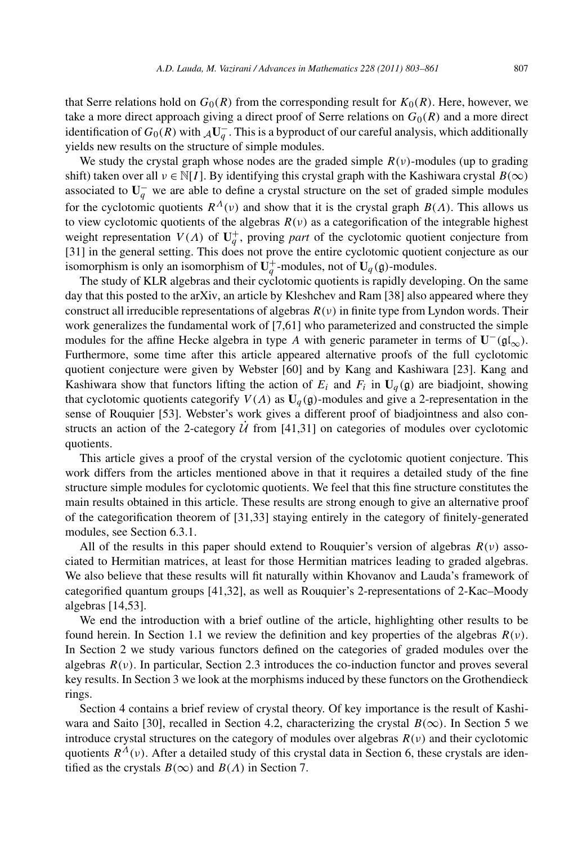that Serre relations hold on  $G_0(R)$  from the corresponding result for  $K_0(R)$ . Here, however, we take a more direct approach giving a direct proof of Serre relations on  $G_0(R)$  and a more direct identification of  $G_0(R)$  with  $_A U_q^-$ . This is a byproduct of our careful analysis, which additionally yields new results on the structure of simple modules.

We study the crystal graph whose nodes are the graded simple  $R(v)$ -modules (up to grading shift) taken over all  $v \in \mathbb{N}[I]$ . By identifying this crystal graph with the Kashiwara crystal  $B(\infty)$ associated to  $U_q^-$  we are able to define a crystal structure on the set of graded simple modules for the cyclotomic quotients  $R^A(v)$  and show that it is the crystal graph  $B(A)$ . This allows us to view cyclotomic quotients of the algebras  $R(v)$  as a categorification of the integrable highest weight representation  $V(\Lambda)$  of  $\mathbf{U}_q^+$ , proving *part* of the cyclotomic quotient conjecture from [31] in the general setting. This does not prove the entire cyclotomic quotient conjecture as our isomorphism is only an isomorphism of  $\mathbf{U}_q^+$ -modules, not of  $\mathbf{U}_q(\mathfrak{g})$ -modules.

The study of KLR algebras and their cyclotomic quotients is rapidly developing. On the same day that this posted to the arXiv, an article by Kleshchev and Ram [38] also appeared where they construct all irreducible representations of algebras *R(ν)* in finite type from Lyndon words. Their work generalizes the fundamental work of [7,61] who parameterized and constructed the simple modules for the affine Hecke algebra in type *A* with generic parameter in terms of  $U^-(\mathfrak{gl}_\infty)$ . Furthermore, some time after this article appeared alternative proofs of the full cyclotomic quotient conjecture were given by Webster [60] and by Kang and Kashiwara [23]. Kang and Kashiwara show that functors lifting the action of  $E_i$  and  $F_i$  in  $U_q(q)$  are biadjoint, showing that cyclotomic quotients categorify  $V(\Lambda)$  as  $U_q(\mathfrak{g})$ -modules and give a 2-representation in the sense of Rouquier [53]. Webster's work gives a different proof of biadjointness and also constructs an action of the 2-category  $U$  from [41,31] on categories of modules over cyclotomic quotients.

This article gives a proof of the crystal version of the cyclotomic quotient conjecture. This work differs from the articles mentioned above in that it requires a detailed study of the fine structure simple modules for cyclotomic quotients. We feel that this fine structure constitutes the main results obtained in this article. These results are strong enough to give an alternative proof of the categorification theorem of [31,33] staying entirely in the category of finitely-generated modules, see Section 6.3.1.

All of the results in this paper should extend to Rouquier's version of algebras  $R(v)$  associated to Hermitian matrices, at least for those Hermitian matrices leading to graded algebras. We also believe that these results will fit naturally within Khovanov and Lauda's framework of categorified quantum groups [41,32], as well as Rouquier's 2-representations of 2-Kac–Moody algebras [14,53].

We end the introduction with a brief outline of the article, highlighting other results to be found herein. In Section 1.1 we review the definition and key properties of the algebras *R(ν)*. In Section 2 we study various functors defined on the categories of graded modules over the algebras  $R(v)$ . In particular, Section 2.3 introduces the co-induction functor and proves several key results. In Section 3 we look at the morphisms induced by these functors on the Grothendieck rings.

Section 4 contains a brief review of crystal theory. Of key importance is the result of Kashiwara and Saito [30], recalled in Section 4.2, characterizing the crystal  $B(\infty)$ . In Section 5 we introduce crystal structures on the category of modules over algebras  $R(\nu)$  and their cyclotomic quotients  $R^{\Lambda}(\nu)$ . After a detailed study of this crystal data in Section 6, these crystals are identified as the crystals  $B(\infty)$  and  $B(\Lambda)$  in Section 7.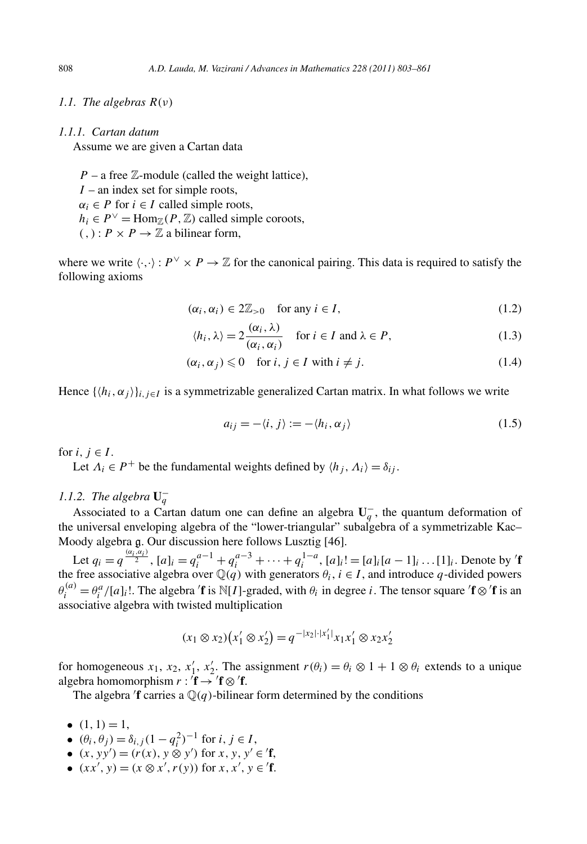# *1.1. The algebras R(ν)*

#### *1.1.1. Cartan datum*

Assume we are given a Cartan data

 $P$  – a free  $\mathbb{Z}$ -module (called the weight lattice), *I* – an index set for simple roots,  $\alpha_i \in P$  for  $i \in I$  called simple roots,  $h_i \in P^{\vee} = \text{Hom}_{\mathbb{Z}}(P, \mathbb{Z})$  called simple coroots,  $(,)$ :  $P \times P \rightarrow \mathbb{Z}$  a bilinear form,

where we write  $\langle \cdot, \cdot \rangle : P^{\vee} \times P \to \mathbb{Z}$  for the canonical pairing. This data is required to satisfy the following axioms

$$
(\alpha_i, \alpha_i) \in 2\mathbb{Z}_{>0} \quad \text{for any } i \in I,
$$
\n
$$
(1.2)
$$

$$
\langle h_i, \lambda \rangle = 2 \frac{(\alpha_i, \lambda)}{(\alpha_i, \alpha_i)} \quad \text{for } i \in I \text{ and } \lambda \in P,
$$
 (1.3)

$$
(\alpha_i, \alpha_j) \leq 0 \quad \text{for } i, j \in I \text{ with } i \neq j. \tag{1.4}
$$

Hence  $\{\langle h_i, \alpha_j \rangle\}_{i,j \in I}$  is a symmetrizable generalized Cartan matrix. In what follows we write

$$
a_{ij} = -\langle i, j \rangle := -\langle h_i, \alpha_j \rangle \tag{1.5}
$$

for  $i, j \in I$ .

Let  $\Lambda_i \in P^+$  be the fundamental weights defined by  $\langle h_j, \Lambda_i \rangle = \delta_{ij}$ .

# *1.1.2.* The algebra  $\mathbf{U}_q^-$

Associated to a Cartan datum one can define an algebra  $\mathbf{U}_q^-$ , the quantum deformation of the universal enveloping algebra of the "lower-triangular" subalgebra of a symmetrizable Kac– Moody algebra g. Our discussion here follows Lusztig [46].

Let  $q_i = q^{\frac{(\alpha_i, \alpha_i)}{2}}$ ,  $[a]_i = q_i^{a-1} + q_i^{a-3} + \cdots + q_i^{1-a}$ ,  $[a]_i! = [a]_i [a-1]_i \ldots [1]_i$ . Denote by 'f the free associative algebra over  $\mathbb{Q}(q)$  with generators  $\theta_i$ ,  $i \in I$ , and introduce q-divided powers  $\theta_i^{(a)} = \theta_i^a / [a]_i!$ . The algebra 'f is N[*I*]-graded, with  $\theta_i$  in degree *i*. The tensor square 'f ⊗ 'f is an associative algebra with twisted multiplication

$$
(x_1 \otimes x_2)(x'_1 \otimes x'_2) = q^{-|x_2| \cdot |x'_1|} x_1 x'_1 \otimes x_2 x'_2
$$

for homogeneous  $x_1, x_2, x'_1, x'_2$ . The assignment  $r(\theta_i) = \theta_i \otimes 1 + 1 \otimes \theta_i$  extends to a unique algebra homomorphism  $r : \overline{f} \rightarrow 'f \otimes 'f$ .

The algebra  $\prime$  **f** carries a  $\mathbb{Q}(q)$ -bilinear form determined by the conditions

- $(1, 1) = 1$ ,
- $(θ<sub>i</sub>, θ<sub>j</sub>) = δ<sub>i,j</sub> (1 − q<sub>i</sub><sup>2</sup>)<sup>-1</sup>$  for *i*, *j* ∈ *I*,
- $\bullet$  (*x*, *yy'*) = (*r*(*x*), *y* ⊗ *y'*) for *x*, *y*, *y'* ∈ '**f**,
- $(xx', y) = (x \otimes x', r(y))$  for  $x, x', y \in 'f$ .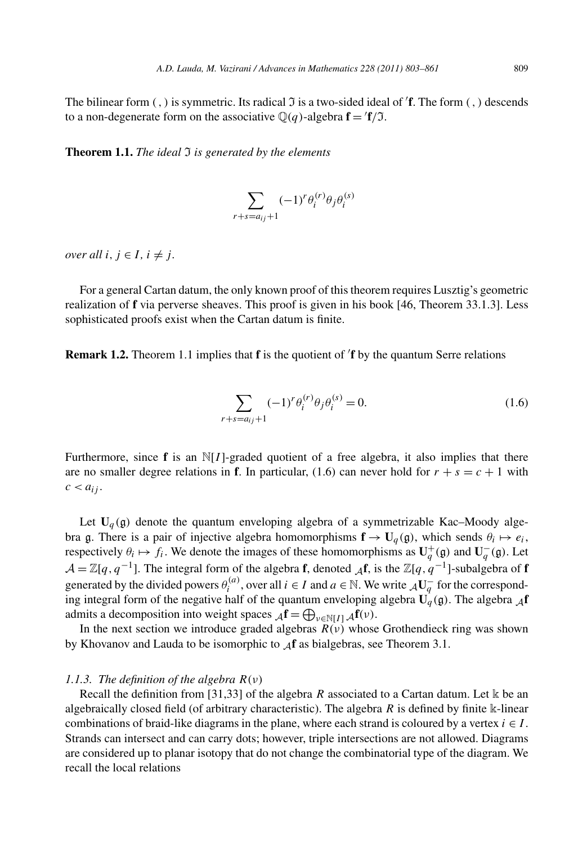The bilinear form (, ) is symmetric. Its radical  $\Im$  is a two-sided ideal of 'f. The form (, ) descends to a non-degenerate form on the associative  $\mathbb{Q}(q)$ -algebra  $\mathbf{f} = \mathbf{f}/\mathcal{I}$ .

**Theorem 1.1.** *The ideal* I *is generated by the elements*

$$
\sum_{r+s=a_{ij}+1} (-1)^r \theta_i^{(r)} \theta_j \theta_i^{(s)}
$$

*over all*  $i, j \in I$ ,  $i \neq j$ .

For a general Cartan datum, the only known proof of this theorem requires Lusztig's geometric realization of **f** via perverse sheaves. This proof is given in his book [46, Theorem 33.1.3]. Less sophisticated proofs exist when the Cartan datum is finite.

**Remark 1.2.** Theorem 1.1 implies that **f** is the quotient of  **f** by the quantum Serre relations

$$
\sum_{r+s=a_{ij}+1} (-1)^r \theta_i^{(r)} \theta_j \theta_i^{(s)} = 0.
$$
\n(1.6)

Furthermore, since  $f$  is an  $\mathbb{N}[I]$ -graded quotient of a free algebra, it also implies that there are no smaller degree relations in **f**. In particular, (1.6) can never hold for  $r + s = c + 1$  with  $c < a_{ij}$ .

Let  $U_q$ (g) denote the quantum enveloping algebra of a symmetrizable Kac–Moody algebra g. There is a pair of injective algebra homomorphisms  $\mathbf{f} \to \mathbf{U}_q(\mathfrak{g})$ , which sends  $\theta_i \mapsto e_i$ , respectively  $\theta_i \mapsto f_i$ . We denote the images of these homomorphisms as  $\mathbf{U}_q^+(\mathfrak{g})$  and  $\mathbf{U}_q^-(\mathfrak{g})$ . Let  $\mathcal{A} = \mathbb{Z}[q, q^{-1}]$ . The integral form of the algebra **f**, denoted  $\mathcal{A}$ **f**, is the  $\mathbb{Z}[q, q^{-1}]$ -subalgebra of **f** generated by the divided powers  $\theta_i^{(a)}$ , over all  $i \in I$  and  $a \in \mathbb{N}$ . We write  $\mathcal{A}U_q^{\top}$  for the corresponding integral form of the negative half of the quantum enveloping algebra  $\mathbf{U}_q^{\dagger}(\mathfrak{g})$ . The algebra  $\mathcal{A}$ **f**  $A = \mathbb{Z}[q, q^{-1}]$ . The integral form of the algebra **f**, q generated by the divided powers  $\theta_i^{(a)}$ , over all  $i \in I$  and integral form of the negative half of the quantur admits a decomposition into weight spaces  $A$ **f** = admits a decomposition into weight spaces  ${\bf A}$ **f** $={\bf \bigoplus}_{\nu \in \mathbb{N}[I]} {\bf A}$ **f**(*v*).

In the next section we introduce graded algebras  $R(v)$  whose Grothendieck ring was shown by Khovanov and Lauda to be isomorphic to  $_A f$  as bialgebras, see Theorem 3.1.

#### *1.1.3. The definition of the algebra R(ν)*

Recall the definition from [31,33] of the algebra *R* associated to a Cartan datum. Let k be an algebraically closed field (of arbitrary characteristic). The algebra *R* is defined by finite k-linear combinations of braid-like diagrams in the plane, where each strand is coloured by a vertex  $i \in I$ . Strands can intersect and can carry dots; however, triple intersections are not allowed. Diagrams are considered up to planar isotopy that do not change the combinatorial type of the diagram. We recall the local relations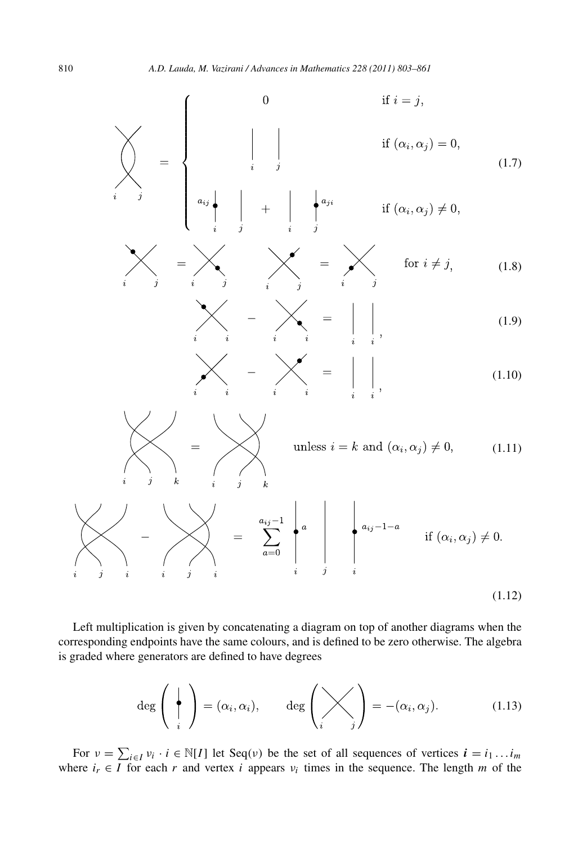

Left multiplication is given by concatenating a diagram on top of another diagrams when the corresponding endpoints have the same colours, and is defined to be zero otherwise. The algebra is graded where generators are defined to have degrees

$$
\deg\left(\biguparrow_{i}\right)=(\alpha_{i},\alpha_{i}), \qquad \deg\left(\bigtimes_{i}\right)=-(\alpha_{i},\alpha_{j}). \tag{1.13}
$$

For  $v = \sum$  $\sum_{i \in I} v_i \cdot i \in \mathbb{N}[I]$  let Seq(*v*) be the set of all sequences of vertices  $i = i_1 \dots i_m$ where  $i_r \in I$  for each *r* and vertex *i* appears  $v_i$  times in the sequence. The length *m* of the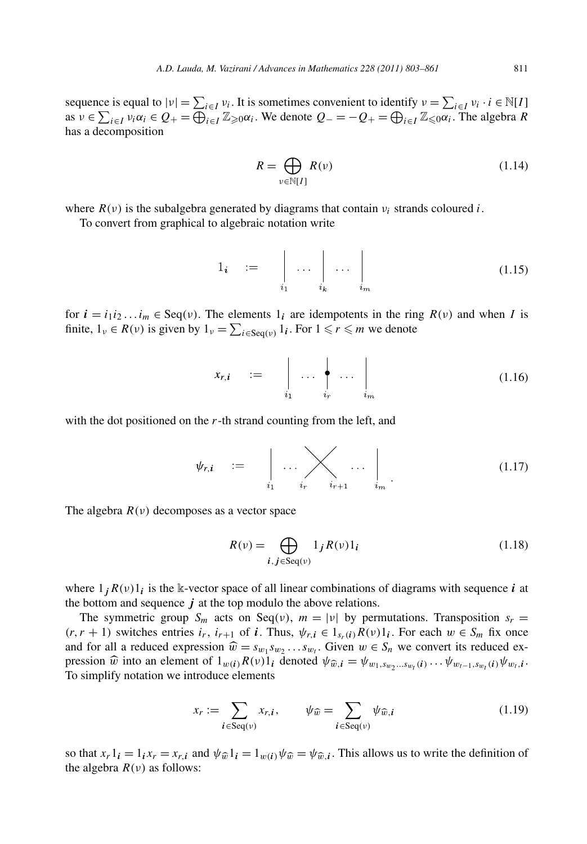*A.D. Lauda*,<br>sequence is equal to  $|v| = \sum$ *M.* Vazirani / Advances in Mathematics 228 (2011) 803–861<br> $i \in I$   $v_i$ . It is sometimes convenient to identify  $v = \sum$  $\sum_{i \in I} v_i \cdot i \in \mathbb{N}[I]$ sequence<br>as *ν* ∈  $∑$ *A.D. Lauda, M. Vazirani* / *Advances in Mathematics* 228 (2011) 803–861 811<br>
is equal to  $|v| = \sum_{i \in I} v_i$ . It is sometimes convenient to identify  $v = \sum_{i \in I} v_i \cdot i \in \mathbb{N}[I]$ <br>  $i \in I$   $v_i \alpha_i \in Q_+ = \bigoplus_{i \in I} \mathbb{Z}_{\ge 0} \alpha_i$ . has a decomposition

$$
R = \bigoplus_{\nu \in \mathbb{N}[I]} R(\nu) \tag{1.14}
$$

where  $R(v)$  is the subalgebra generated by diagrams that contain  $v_i$  strands coloured *i*.

To convert from graphical to algebraic notation write

$$
1_i := \left| \begin{array}{c} \cdots \\ \cdots \\ \cdots \\ \cdots \end{array} \right| \cdots \left| \begin{array}{c} \cdots \\ \cdots \\ \cdots \end{array} \right| \cdots \qquad (1.15)
$$

for  $i = i_1 i_2 ... i_m \in \text{Seq}(v)$ . The elements  $1_i$  are idempotents in the ring  $R(v)$  and when *I* is for  $\mathbf{i} = i_1 i_2 ... i_m \in \text{Seq}(v)$ . The elements,  $1_v \in R(v)$  is given by  $1_v = \sum$  $\sum_{i \in \text{Seq}(\nu)} 1_i$ . For  $1 \leqslant r \leqslant m$  we denote

$$
x_{r,i} \quad := \quad \left| \quad \ldots \quad \left| \quad \ldots \quad \right|_{i_r} \quad \ldots \quad \left| \quad \ldots \quad \right|_{i_m} \tag{1.16}
$$

with the dot positioned on the *r*-th strand counting from the left, and

$$
\psi_{r,i} = \left| \dots \right|_{i_1} \dots \left| \dots \right|_{i_{r+1}} \dots \left| \dots \right|_{i_m} \tag{1.17}
$$

The algebra  $R(v)$  decomposes as a vector space

$$
i_1 \qquad i_r \qquad i_{r+1} \qquad i_m
$$
\na vector space

\n
$$
R(\nu) = \bigoplus_{i,j \in \text{Seq}(\nu)} 1_j R(\nu) 1_i \tag{1.18}
$$

where  $1_jR(v)1_i$  is the k-vector space of all linear combinations of diagrams with sequence *i* at the bottom and sequence  $j$  at the top modulo the above relations.

The symmetric group  $S_m$  acts on Seq(*v*),  $m = |v|$  by permutations. Transposition  $s_r =$  $(r, r + 1)$  switches entries  $i_r$ ,  $i_{r+1}$  of  $i$ . Thus,  $\psi_{r,i} \in 1_{s_r(i)} R(v) 1_i$ . For each  $w \in S_m$  fix once the bottom and sequence  $j$  at the top modulo the above relations.<br>The symmetric group  $S_m$  acts on  $Seq(v)$ ,  $m = |v|$  by permutations. Transposition  $s_r = (r, r + 1)$  switches entries  $i_r, i_{r+1}$  of  $i$ . Thus,  $\psi_{r,i} \in 1_{s_r(i)} R(v$ The symmetric group  $S_m$  acts on Seq(v),  $m = |v|$  by permutations. Transposition  $s_r = (r, r + 1)$  switches entries  $i_r$ ,  $i_{r+1}$  of  $i$ . Thus,  $\psi_{r,i} \in 1_{s_r(i)} R(v)1_i$ . For each  $w \in S_m$  fix once and for all a reduced expressio To simplify notation we introduce elements *xr* :=  $\sum x_{r,i}$ ,  $\psi_{\hat{w}}$  :  $\sum x_{r,i}$ ,  $\psi_{\hat{w}}$  =  $\sum x_{r,i}$ ,  $\psi_{\hat{w}}$  =  $\sum x_{r,i}$ ,  $\psi_{\hat{w}}$  =  $\sum x_{r,i}$ 

trroduce elements

\n
$$
x_r := \sum_{i \in \text{Seq}(v)} x_{r,i}, \qquad \psi_{\widehat{w}} = \sum_{i \in \text{Seq}(v)} \psi_{\widehat{w},i} \tag{1.19}
$$

so that  $x_r 1_i = 1_i x_r = x_{r,i}$  and  $\psi \hat{\psi} 1_i = 1_{w(i)} \psi \hat{\psi} = \psi \hat{\psi}$ , *i*. This allows us to write the definition of the algebra  $R(v)$  as follows: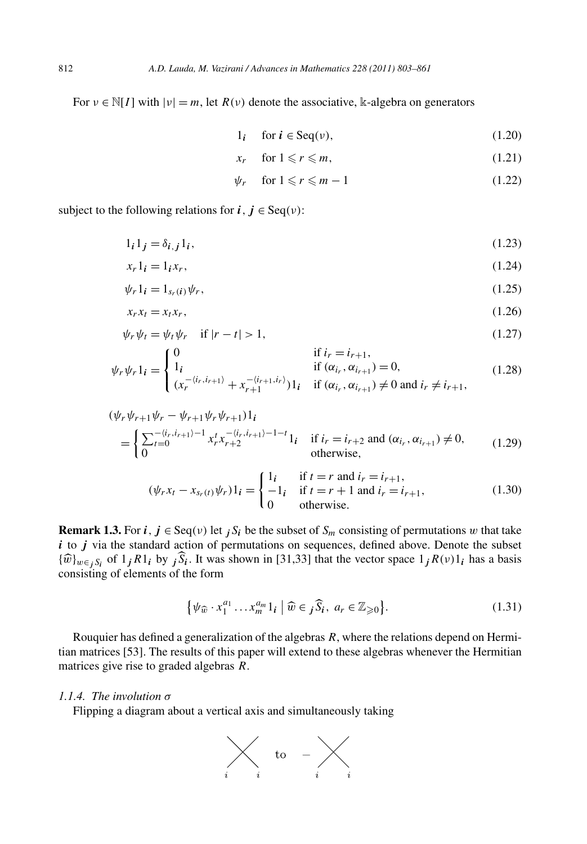For  $v \in \mathbb{N}[I]$  with  $|v| = m$ , let  $R(v)$  denote the associative, k-algebra on generators

$$
1_i \quad \text{for } i \in \text{Seq}(\nu), \tag{1.20}
$$

$$
x_r \quad \text{for } 1 \leq r \leq m,\tag{1.21}
$$

$$
\psi_r \quad \text{for } 1 \leq r \leq m-1 \tag{1.22}
$$

subject to the following relations for  $i, j \in \text{Seq}(v)$ :

$$
1_i 1_j = \delta_{i,j} 1_i,\tag{1.23}
$$

$$
x_r 1_i = 1_i x_r,\tag{1.24}
$$

$$
\psi_r 1_i = 1_{s_r(i)} \psi_r,\tag{1.25}
$$

$$
x_r x_t = x_t x_r,\tag{1.26}
$$

$$
\psi_r \psi_t = \psi_t \psi_r \quad \text{if } |r - t| > 1,
$$
\n
$$
(1.27)
$$

$$
\psi_r \psi_r 1_i = \begin{cases} 0 & \text{if } i_r = i_{r+1}, \\ 1_i & \text{if } (\alpha_{i_r}, \alpha_{i_{r+1}}) = 0, \\ (x_r^{-(i_r, i_{r+1})} + x_{r+1}^{-(i_{r+1}, i_r)}) 1_i & \text{if } (\alpha_{i_r}, \alpha_{i_{r+1}}) \neq 0 \text{ and } i_r \neq i_{r+1}, \end{cases}
$$
(1.28)

$$
(\psi_r \psi_{r+1} \psi_r - \psi_{r+1} \psi_r \psi_{r+1}) 1_i
$$
  
= 
$$
\begin{cases} \sum_{t=0}^{-\langle i_r, i_{r+1} \rangle - 1} x_r^t x_{r+2}^{-(i_r, i_{r+1}) - 1 - t} 1_i & \text{if } i_r = i_{r+2} \text{ and } (\alpha_{i_r}, \alpha_{i_{r+1}}) \neq 0, \\ 0 & \text{otherwise,} \end{cases}
$$
(1.29)

$$
(\psi_r x_t - x_{s_r(t)} \psi_r) 1_i = \begin{cases} 1_i & \text{if } t = r \text{ and } i_r = i_{r+1}, \\ -1_i & \text{if } t = r+1 \text{ and } i_r = i_{r+1}, \\ 0 & \text{otherwise.} \end{cases}
$$
(1.30)

**Remark 1.3.** For *i*,  $j \in \text{Seq}(v)$  let *jS<sub>i</sub>* be the subset of *S<sub>m</sub>* consisting of permutations *w* that take *i* to *j* via the standard action of permutations on sequences, defined above. Denote the subset **Remark 1.3.** For  $i$ ,  $j \in \text{Seq}(v)$  let  $jS_i$  be the subset of  $S_m$  consisting of permutations w that take  $i$  to  $j$  via the standard action of permutations on sequences, defined above. Denote the subset  $\{\widehat{w}\}_{w \in jS_i}$ consisting of elements of the form<br> $\{\psi_{\widehat{w}} \cdot x_1^{a_1}\}$ *w* External Equations on sequences, defined<br>*i*, It was shown in [31,33] that the vector<br>the form  $\{\psi_{\widehat{w}} \cdot x_1^{a_1} \dots x_m^{a_m}1_i \mid \widehat{w} \in j\widehat{S}_i, a_r \in \mathbb{Z}_{\geqslant 0}\}\$ 

$$
\{\psi_{\widehat{w}} \cdot x_1^{a_1} \dots x_m^{a_m} 1_i \mid \widehat{w} \in j\widehat{S}_i, a_r \in \mathbb{Z}_{\geq 0}\}.
$$
\n(1.31)

Rouquier has defined a generalization of the algebras *R*, where the relations depend on Hermitian matrices [53]. The results of this paper will extend to these algebras whenever the Hermitian matrices give rise to graded algebras *R*.

# *1.1.4. The involution σ*

Flipping a diagram about a vertical axis and simultaneously taking

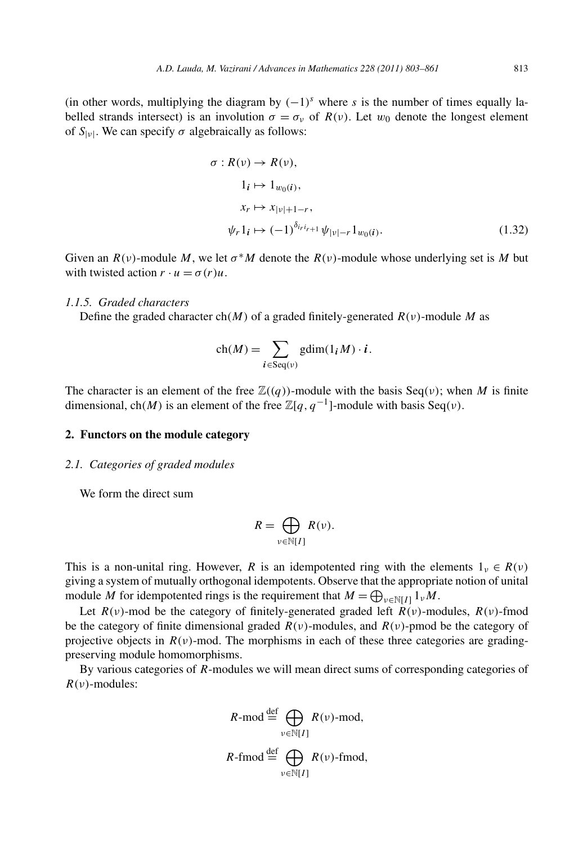(in other words, multiplying the diagram by  $(-1)^s$  where *s* is the number of times equally labelled strands intersect) is an involution  $\sigma = \sigma_v$  of  $R(v)$ . Let  $w_0$  denote the longest element of  $S_{|v|}$ . We can specify  $\sigma$  algebraically as follows:

$$
\sigma: R(\nu) \to R(\nu), \n1_{i} \mapsto 1_{w_{0}(i)}, \nx_{r} \mapsto x_{|\nu|+1-r}, \n\psi_{r} 1_{i} \mapsto (-1)^{\delta_{ir} i_{r+1}} \psi_{|\nu|-r} 1_{w_{0}(i)}.
$$
\n(1.32)

Given an  $R(v)$ -module *M*, we let  $\sigma^*M$  denote the  $R(v)$ -module whose underlying set is *M* but with twisted action  $r \cdot u = \sigma(r)u$ .

## *1.1.5. Graded characters*

Define the graded character ch*(M)* of a graded finitely-generated *R(ν)*-module *M* as

ch(M) of a graded finitely-gener  
ch(M) = 
$$
\sum_{i \in \text{Seq}(v)} \text{gdim}(1_i M) \cdot i.
$$

The character is an element of the free  $\mathbb{Z}((q))$ -module with the basis Seq $(v)$ ; when *M* is finite dimensional, ch(M) is an element of the free  $\mathbb{Z}[q, q^{-1}]$ -module with basis Seq(v).

#### **2. Functors on the module category**

#### *2.1. Categories of graded modules*

We form the direct sum

$$
R = \bigoplus_{\nu \in \mathbb{N}[I]} R(\nu).
$$

This is a non-unital ring. However, *R* is an idempotented ring with the elements  $1_v \in R(v)$ giving a system of mutually orthogonal idempotents. Observe that the appropriate notion of unital This is a non-unital ring. However, *R* is an idempotented ring with the elegiving a system of mutually orthogonal idempotents. Observe that the approprimodule *M* for idempotented rings is the requirement that  $M = \bigoplus_{\nu$ 

Let  $R(v)$ -mod be the category of finitely-generated graded left  $R(v)$ -modules,  $R(v)$ -fmod be the category of finite dimensional graded  $R(v)$ -modules, and  $R(v)$ -pmod be the category of projective objects in  $R(v)$ -mod. The morphisms in each of these three categories are gradingpreserving module homomorphisms.

By various categories of *R*-modules we will mean direct sums of corresponding categories of  $\nu$ )-modules:<br>  $R$ -mod  $\stackrel{\text{def}}{=} \bigoplus_{n=1}^{n} R(\nu)$ -mod, *R(ν)*-modules:

$$
R\text{-mod} \stackrel{\text{def}}{=} \bigoplus_{v \in \mathbb{N}[I]} R(v)\text{-mod},
$$
  

$$
R\text{-fmod} \stackrel{\text{def}}{=} \bigoplus_{v \in \mathbb{N}[I]} R(v)\text{-fmod},
$$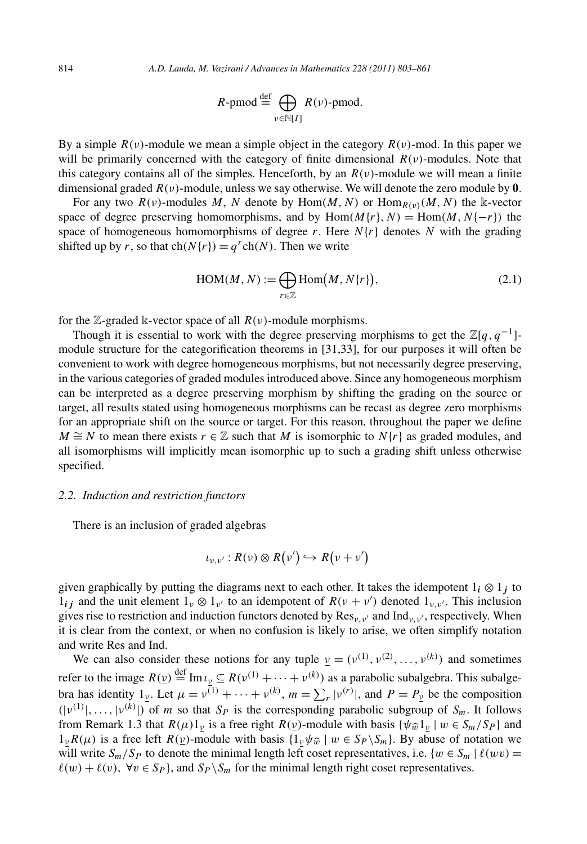$$
azirani / Advances in Mathematics 22
$$
  

$$
R\text{-pmod} \stackrel{\text{def}}{=} \bigoplus_{v \in \mathbb{N}[I]} R(v)\text{-pmod}.
$$

By a simple  $R(v)$ -module we mean a simple object in the category  $R(v)$ -mod. In this paper we will be primarily concerned with the category of finite dimensional *R(ν)*-modules. Note that this category contains all of the simples. Henceforth, by an  $R(\nu)$ -module we will mean a finite dimensional graded  $R(v)$ -module, unless we say otherwise. We will denote the zero module by  $\bf{0}$ .

For any two  $R(v)$ -modules M, N denote by Hom $(M, N)$  or  $\text{Hom}_{R(v)}(M, N)$  the k-vector space of degree preserving homomorphisms, and by  $\text{Hom}(M\{r\},N) = \text{Hom}(M,N\{-r\})$  the space of homogeneous homomorphisms of degree  $r$ . Here  $N\{r\}$  denotes  $N$  with the grading shifted up by *r*, so that  $\text{ch}(N\{r\}) = q^r \text{ch}(N)$ . Then we write homorphisms, and by homorphisms of degree r. 1<br>  ${r}$  :  ${r}$  :  ${q}$  r ch(N). Then we v<br>
HOM(*M*, *N*) :=  $\bigoplus$  Hom(

$$
HOM(M, N) := \bigoplus_{r \in \mathbb{Z}} \text{Hom}\big(M, N\{r\}\big),\tag{2.1}
$$

for the Z-graded k-vector space of all  $R(v)$ -module morphisms.

Though it is essential to work with the degree preserving morphisms to get the  $\mathbb{Z}[q, q^{-1}]$ module structure for the categorification theorems in [31,33], for our purposes it will often be convenient to work with degree homogeneous morphisms, but not necessarily degree preserving, in the various categories of graded modules introduced above. Since any homogeneous morphism can be interpreted as a degree preserving morphism by shifting the grading on the source or target, all results stated using homogeneous morphisms can be recast as degree zero morphisms for an appropriate shift on the source or target. For this reason, throughout the paper we define *M*  $\cong$  *N* to mean there exists *r* ∈  $\mathbb{Z}$  such that *M* is isomorphic to *N*{*r*} as graded modules, and all isomorphisms will implicitly mean isomorphic up to such a grading shift unless otherwise specified.

#### *2.2. Induction and restriction functors*

There is an inclusion of graded algebras

$$
\iota_{\nu,\nu'}:R(\nu)\otimes R(\nu')\hookrightarrow R(\nu+\nu')
$$

given graphically by putting the diagrams next to each other. It takes the idempotent  $1_i \otimes 1_j$  to  $1_{ij}$  and the unit element  $1_{\nu} \otimes 1_{\nu'}$  to an idempotent of  $R(\nu + \nu')$  denoted  $1_{\nu,\nu'}$ . This inclusion gives rise to restriction and induction functors denoted by  $\text{Res}_{v,v'}$  and  $\text{Ind}_{v,v'}$ , respectively. When it is clear from the context, or when no confusion is likely to arise, we often simplify notation and write Res and Ind.

We can also consider these notions for any tuple  $\underline{v} = (v^{(1)}, v^{(2)}, \dots, v^{(k)})$  and sometimes refer to the image  $R(\underline{v}) \stackrel{\text{def}}{=} \text{Im}\,\iota_{\underline{v}} \subseteq R(\nu^{(1)} + \cdots + \nu^{(k)})$  as a parabolic subalgebra. This subalgeand write Res and Ind.<br>We can also consider these notions for any tuple  $\Gamma$ <br>refer to the image  $R(\underline{v}) \stackrel{\text{def}}{=} \text{Im} \iota_{\underline{v}} \subseteq R(\nu^{(1)} + \cdots + \nu^{(k)})$ <br>bra has identity  $1_{\underline{v}}$ . Let  $\mu = \nu^{(1)} + \cdots + \nu^{(k)}$ ,  $m = \sum_{\underline{v}}$  $\sum_{r} |v^{(r)}|$ , and  $P = P_{\underline{v}}$  be the composition  $(|v^{(1)}|, \ldots, |v^{(k)}|)$  of *m* so that  $S_P$  is the corresponding parabolic subgroup of  $S_m$ . It follows bra has identity  $1_{\underline{v}}$ . Let  $\mu = v^{(1)} + \cdots + v^{(k)}$ ,  $m = \sum_r |v^{(r)}|$ , and  $P = P_{\underline{v}}$  be the composition  $(|v^{(1)}|, \ldots, |v^{(k)}|)$  of *m* so that  $S_P$  is the corresponding parabolic subgroup of  $S_m$ . It follows from Remark 1  $(|v^{(1)}|, \ldots, |v^{(k)}|)$  of *m* so that  $S_P$  is the corresponding parabolic subgroup of  $S_m$ . It follows from Remark 1.3 that  $R(\mu)1_{\underline{v}}$  is a free right  $R(\underline{v})$ -module with basis  $\{\psi_{\widehat{w}}1_{\underline{v}} \mid w \in S_m/S_P\}$  and  $1_{\underline$ will write  $S_m/S_P$  to denote the minimal length left coset representatives, i.e.  $\{w \in S_m \mid \ell(wv) =$  $\ell(w) + \ell(v)$ ,  $\forall v \in S_P$ , and  $S_P \backslash S_m$  for the minimal length right coset representatives.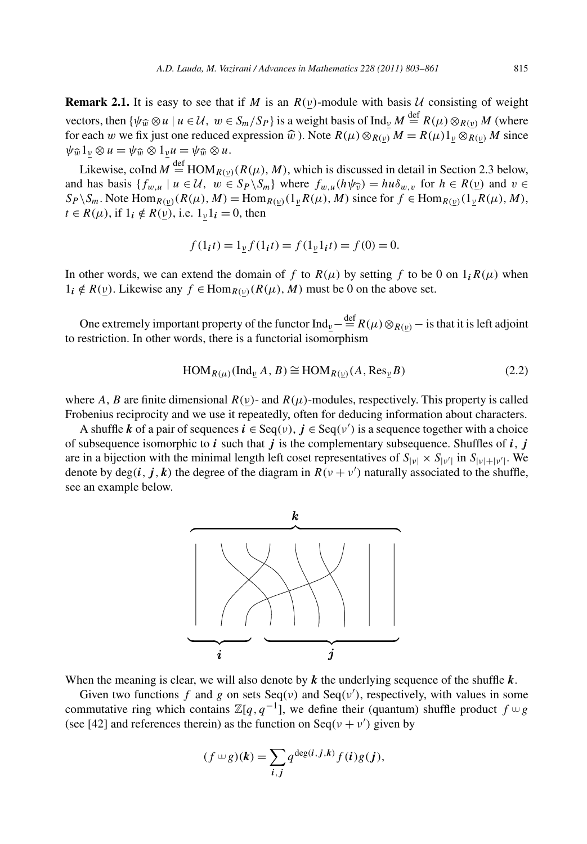**Remark 2.1.** It is easy to see that if *M* is an  $R(v)$ -module with basis *U* consisting of weight **Remark 2.1.** It is easy to see that if *M* is an  $R(\underline{v})$ -module with basis  $U$  consisting of weight vectors, then  $\{\psi_{\widehat{w}} \otimes u \mid u \in U, w \in S_m/S_P\}$  is a weight basis of  $\text{Ind}_{\underline{v}} M \stackrel{\text{def}}{=} R(\mu) \otimes_{R(\underline{v})} M$  (where **Remark 2.1.** It is easy to see that if *M* is an  $R(\underline{v})$ -module with basis  $\mathcal U$  consisting of weight vectors, then  $\{\psi_{\widehat{w}} \otimes u \mid u \in \mathcal U, w \in S_m/S_P\}$  is a weight basis of  $\text{Ind}_{\underline{v}} M \stackrel{\text{def}}{=} R(\mu) \otimes_{R(\underline{v})} M$  (wher *wectors, then*  $\{\psi_{\widehat{w}} \otimes u \mid u \in \mathcal{U}, w \in$ <br>for each *w* we fix just one reduced<br> $\psi_{\widehat{w}} 1_{\underline{v}} \otimes u = \psi_{\widehat{w}} \otimes 1_{\underline{v}} u = \psi_{\widehat{w}} \otimes u$ .

Likewise, coInd  $M \stackrel{\text{def}}{=} \text{HOM}_{R(\underline{\nu})}(R(\mu), M)$ , which is discussed in detail in Section 2.3 below,  $\psi_{w_1} \psi_{w_2} \otimes u = \psi_{w_1} \otimes \psi_{w_1} \otimes u$ .<br>Likewise, colnd  $M \stackrel{\text{def}}{=} \text{HOM}_{R(\nu)}(R(\mu), M)$ , which is discussed in detail in Section 2.3 below,<br>and has basis  $\{f_{w,u} \mid u \in \mathcal{U}, w \in Sp \setminus S_m\}$  where  $f_{w,u}(h\psi_{\hat{v}}) = hu\delta_{w,v}$   $S_P \setminus S_m$ . Note  $\text{Hom}_{R(\nu)}(R(\mu),M) = \text{Hom}_{R(\nu)}(1_\nu R(\mu),M)$  since for  $f \in \text{Hom}_{R(\nu)}(1_\nu R(\mu),M)$ ,  $t \in R(\mu)$ , if  $1_i \notin R(\underline{v})$ , i.e.  $1_\nu 1_i = 0$ , then

$$
f(1it) = 1\underline{v} f(1it) = f(1\underline{v}1it) = f(0) = 0.
$$

In other words, we can extend the domain of *f* to  $R(\mu)$  by setting *f* to be 0 on  $1<sub>i</sub>R(\mu)$  when  $1_i \notin R(\underline{v})$ . Likewise any  $f \in \text{Hom}_{R(\nu)}(R(\mu), M)$  must be 0 on the above set.

One extremely important property of the functor Ind<sub>*y*</sub> −  $\det^{\text{def}} R(\mu) \otimes_{R(\nu)}$  − is that it is left adjoint to restriction. In other words, there is a functorial isomorphism

$$
HOM_{R(\mu)}(Ind_{\underline{\nu}} A, B) \cong HOM_{R(\underline{\nu})}(A, Res_{\underline{\nu}} B)
$$
\n(2.2)

where *A*, *B* are finite dimensional  $R(v)$ - and  $R(u)$ -modules, respectively. This property is called Frobenius reciprocity and we use it repeatedly, often for deducing information about characters.

A shuffle *k* of a pair of sequences  $\mathbf{i} \in \text{Seq}(v)$ ,  $\mathbf{j} \in \text{Seq}(v')$  is a sequence together with a choice of subsequence isomorphic to *i* such that *j* is the complementary subsequence. Shuffles of *i*, *j* are in a bijection with the minimal length left coset representatives of  $S_{|v|} \times S_{|v'|}$  in  $S_{|v|+|v'|}$ . We denote by  $deg(i, j, k)$  the degree of the diagram in  $R(v + v')$  naturally associated to the shuffle, see an example below.



When the meaning is clear, we will also denote by *k* the underlying sequence of the shuffle *k*.

Given two functions f and g on sets  $Seq(v)$  and  $Seq(v')$ , respectively, with values in some commutative ring which contains  $\mathbb{Z}[q, q^{-1}]$ , we define their (quantum) shuffle product *f* ∪ *g* (see [42] and references therein) as the function on Seq( $v + v'$ ) given by<br>  $(f \cup g)(k) = \sum q^{\deg(i, j, k)} f(i)g(j)$ , (see [42] and references therein) as the function on  $Seq(v + v')$  given by

$$
(f \cup g)(k) = \sum_{i,j} q^{\deg(i,j,k)} f(i)g(j),
$$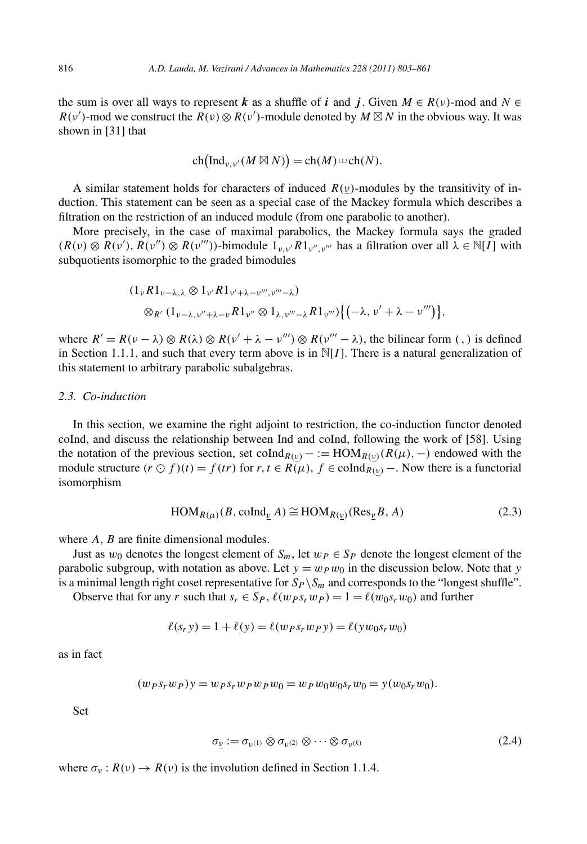the sum is over all ways to represent *k* as a shuffle of *i* and *j*. Given  $M \in R(v)$ -mod and  $N \in R(v)$  $R(v')$ -mod we construct the  $R(v) \otimes R(v')$ -module denoted by  $M \boxtimes N$  in the obvious way. It was shown in [31] that  $R(v) \otimes R(v')$ -modu<br>
ch(Ind<sub>ν,ν'</sub> (*M* ⊠ *N*))

$$
ch\big(\mathrm{Ind}_{\nu,\nu'}(M\boxtimes N)\big)=ch(M)\cup ch(N).
$$

A similar statement holds for characters of induced  $R(v)$ -modules by the transitivity of induction. This statement can be seen as a special case of the Mackey formula which describes a filtration on the restriction of an induced module (from one parabolic to another).

More precisely, in the case of maximal parabolics, the Mackey formula says the graded  $(R(v) \otimes R(v'), R(v'') \otimes R(v''')$ )-bimodule  $1_{v,v'} R1_{v'',v'''}$  has a filtration over all  $\lambda \in \mathbb{N}[I]$  with subquotients isomorphic to the graded bimodules

isomorphic to the graded bimodules

\n
$$
(1_{\nu}R1_{\nu-\lambda,\lambda} \otimes 1_{\nu'}R1_{\nu'+\lambda-\nu''',\nu'''-\lambda})
$$
\n
$$
\otimes_{R'} (1_{\nu-\lambda,\nu''+\lambda-\nu}R1_{\nu''} \otimes 1_{\lambda,\nu'''-\lambda}R1_{\nu''})\big\{(-\lambda,\nu'+\lambda-\nu''')\big\},
$$

where  $R' = R(v - \lambda) \otimes R(\lambda) \otimes R(v' + \lambda - v''') \otimes R(v'' - \lambda)$ , the bilinear form (,) is defined in Section 1.1.1, and such that every term above is in  $\mathbb{N}[I]$ . There is a natural generalization of this statement to arbitrary parabolic subalgebras.

## *2.3. Co-induction*

In this section, we examine the right adjoint to restriction, the co-induction functor denoted coInd, and discuss the relationship between Ind and coInd, following the work of [58]. Using the notation of the previous section, set coInd<sub> $R(\nu)$ </sub> − := HOM<sub> $R(\nu)$ </sub>( $R(\mu)$ , −) endowed with the module structure  $(r \odot f)(t) = f(tr)$  for  $r, t \in R(\mu), f \in \text{coInd}_{R(\mu)} -$ . Now there is a functorial isomorphism

$$
HOM_{R(\mu)}(B, \text{coInd}_{\underline{v}} A) \cong HOM_{R(\underline{v})}(\text{Res}_{\underline{v}} B, A)
$$
\n(2.3)

where *A*, *B* are finite dimensional modules.

Just as  $w_0$  denotes the longest element of  $S_m$ , let  $w_P \in S_P$  denote the longest element of the parabolic subgroup, with notation as above. Let  $y = w_P w_0$  in the discussion below. Note that *y* is a minimal length right coset representative for  $S_P \setminus S_m$  and corresponds to the "longest shuffle".

Observe that for any *r* such that  $s_r \in S_p$ ,  $\ell(w_p s_r w_p) = 1 = \ell(w_0 s_r w_0)$  and further

$$
\ell(s_r y) = 1 + \ell(y) = \ell(w_P s_r w_P y) = \ell(y w_0 s_r w_0)
$$

as in fact

$$
(w_P s_r w_P) y = w_P s_r w_P w_P w_0 = w_P w_0 w_0 s_r w_0 = y(w_0 s_r w_0).
$$

Set

$$
\sigma_{\underline{v}} := \sigma_{\nu^{(1)}} \otimes \sigma_{\nu^{(2)}} \otimes \cdots \otimes \sigma_{\nu^{(k)}} \tag{2.4}
$$

where  $\sigma_v$ :  $R(v) \rightarrow R(v)$  is the involution defined in Section 1.1.4.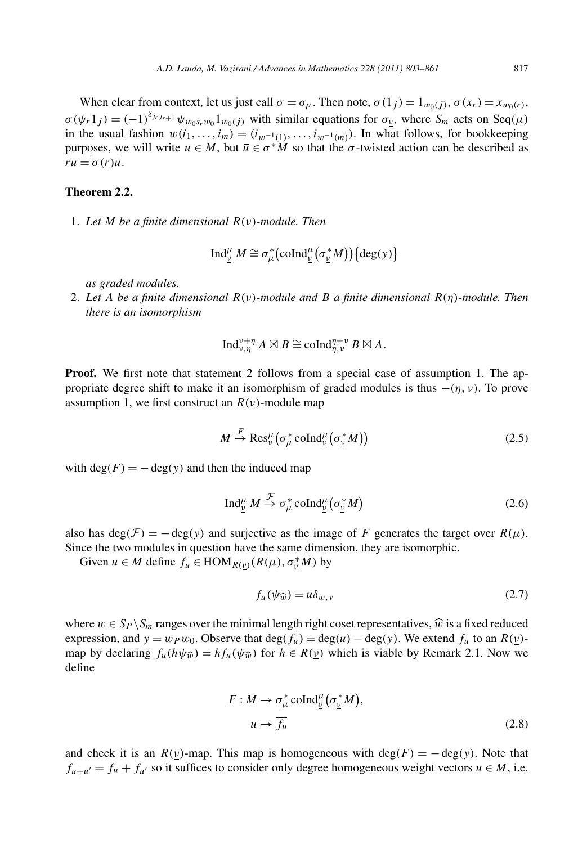When clear from context, let us just call  $\sigma = \sigma_{\mu}$ . Then note,  $\sigma(1_j) = 1_{w_0(j)}$ ,  $\sigma(x_r) = x_{w_0(r)}$ ,  $\sigma(\psi_r 1_j) = (-1)^{\delta_{jr} j_{r+1}} \psi_{w_0 s_r w_0} 1_{w_0(j)}$  with similar equations for  $\sigma_{\underline{v}}$ , where  $S_m$  acts on Seq $(\mu)$ in the usual fashion  $w(i_1, \ldots, i_m) = (i_{w^{-1}(1)}, \ldots, i_{w^{-1}(m)})$ . In what follows, for bookkeeping purposes, we will write  $u \in M$ , but  $\overline{u} \in \sigma^*M$  so that the  $\sigma$ -twisted action can be described as  $r\overline{u} = \overline{\sigma(r)u}$ .

# **Theorem 2.2.**

1. *Let M be a finite dimensional R(ν)-module. Then*

onal 
$$
R(\underline{v})
$$
-module. Then

\n
$$
\operatorname{Ind}_{\underline{v}}^{\mu} M \cong \sigma_{\mu}^{*}(\operatorname{coInd}_{\underline{v}}^{\mu}(\sigma_{\underline{v}}^{*}M)) \{ \deg(y) \}
$$

*as graded modules.*

2. *Let A be a finite dimensional R(ν)-module and B a finite dimensional R(η)-module. Then there is an isomorphism*

$$
\text{Ind}_{\nu,\eta}^{\nu+\eta} A \boxtimes B \cong \text{coInd}_{\eta,\nu}^{\eta+\nu} B \boxtimes A.
$$

**Proof.** We first note that statement 2 follows from a special case of assumption 1. The appropriate degree shift to make it an isomorphism of graded modules is thus  $-(\eta, v)$ . To prove assumption 1, we first construct an  $R(\underline{v})$ -module map<br>  $M \xrightarrow{F} \text{Res}_{\underline{v}}^{\mu}(\sigma_{\mu}^{*} \text{coInd}_{\underline{v}}^{\mu}(\sigma_{\underline{v}}^{*} M))$  (2.5) assumption 1, we first construct an  $R(v)$ -module map

$$
M \xrightarrow{F} \text{Res}_{\underline{\nu}}^{\mu} (\sigma_{\mu}^{*} \text{coInd}_{\underline{\nu}}^{\mu} (\sigma_{\underline{\nu}}^{*} M))
$$
 (2.5)

with  $deg(F) = -deg(y)$  and then the induced map

$$
\ln \text{th} \text{ induced map}
$$
\n
$$
\text{Ind}_{\underline{v}}^{\mu} M \xrightarrow{\mathcal{F}} \sigma_{\mu}^{*} \text{coInd}_{\underline{v}}^{\mu} (\sigma_{\underline{v}}^{*} M)
$$
\n
$$
(2.6)
$$

also has deg $(F) = -\deg(y)$  and surjective as the image of F generates the target over  $R(\mu)$ . Since the two modules in question have the same dimension, they are isomorphic.

Given  $u \in M$  define  $f_u \in \text{HOM}_{R(\underline{v})}(R(\mu), \sigma_{\underline{v}}^*M)$  by

$$
R(\mu), \sigma_{\underline{v}}^* M
$$
 by  

$$
f_u(\psi_{\widehat{w}}) = \overline{u} \delta_{w,y}
$$
 (2.7)

where  $w \in S_P \setminus S_m$  ranges over the minimal length right coset representatives,  $\hat{w}$  is a fixed reduced expression, and  $y = w_P w_0$ . Observe that deg( $f_u$ ) = deg( $u$ ) – deg( $y$ ). We extend  $f_u$  to an  $R(v)$ where  $w \in Sp \setminus S_m$  ranges over the minimal length right coset representatives,  $\hat{w}$  is a fixed reduced expression, and  $y = w_P w_0$ . Observe that deg( $f_u$ ) = deg( $u$ ) - deg( $y$ ). We extend  $f_u$  to an  $R(\underline{v})$ -<br>map by decla define

$$
F: M \to \sigma_{\mu}^{*} \operatorname{coInd}_{\underline{v}}^{\mu} (\sigma_{\underline{v}}^{*} M),
$$
  

$$
u \mapsto \overline{f_{u}}
$$
 (2.8)

and check it is an  $R(y)$ -map. This map is homogeneous with deg $(F) = -\deg(y)$ . Note that  $f_{u+u'} = f_u + f_{u'}$  so it suffices to consider only degree homogeneous weight vectors  $u \in M$ , i.e.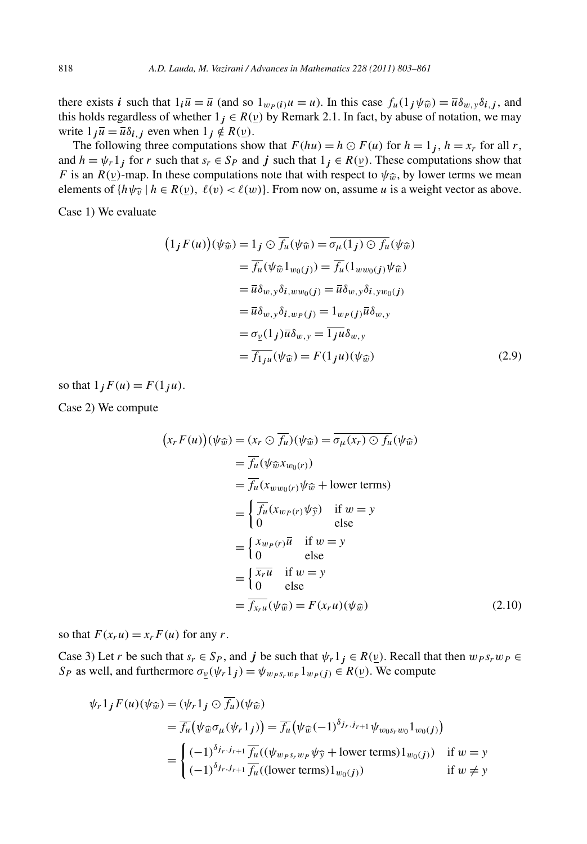there exists *i* such that  $1_i\overline{u} = \overline{u}$  (and so  $1_{w_P(i)}u = u$ ). In this case  $f_u(1_j\psi_{\widehat{w}}) = \overline{u}\delta_{w_y}\delta_{i,j}$ , and this holds regardless of whether  $1_j \in R(\underline{v})$  by Remark 2.1. In fact, by abuse of notation, we may write  $1_i \overline{u} = \overline{u} \delta_{i,i}$  even when  $1_i \notin R(v)$ .

The following three computations show that  $F(hu) = h \odot F(u)$  for  $h = 1<sub>j</sub>$ ,  $h = x<sub>r</sub>$  for all *r*, and  $h = \psi_r 1_j$  for *r* such that  $s_r \in S_p$  and *j* such that  $1_j \in R(\underline{v})$ . These computations show that The following three computations show that  $F(hu) = h \odot F(u)$  for  $h = 1_j$ ,  $h = x_r$  for all  $r$ , and  $h = \psi_r 1_j$  for  $r$  such that  $s_r \in S_P$  and  $j$  such that  $1_j \in R(\underline{v})$ . These computations show that  $F$  is an  $R(\underline{v})$ -map. In *F* is an  $R(\nu)$ -map. In these computations note that with respect to  $\psi_{\hat{w}}$ , by lower terms we mean

Case 1) We evaluate

$$
E(R(\underline{v}), \ell(v) < \ell(w)). \text{ From now on, assume } u \text{ is a weight vector as above.}
$$
\n
$$
(1_j F(u))(\psi_{\widehat{w}}) = 1_j \odot \overline{f_u}(\psi_{\widehat{w}}) = \overline{\sigma_\mu(1_j) \odot f_u}(\psi_{\widehat{w}})
$$
\n
$$
= \overline{f_u}(\psi_{\widehat{w}} 1_{w_0(j)}) = \overline{f_u}(1_{ww_0(j)} \psi_{\widehat{w}})
$$
\n
$$
= \overline{u} \delta_{w,y} \delta_{i,ww_0(j)} = \overline{u} \delta_{w,y} \delta_{i,yw_0(j)}
$$
\n
$$
= \overline{u} \delta_{w,y} \delta_{i, w_P(j)} = 1_{w_P(j)} \overline{u} \delta_{w,y}
$$
\n
$$
= \sigma_{\underline{v}}(1_j) \overline{u} \delta_{w,y} = \overline{1_j u} \delta_{w,y}
$$
\n
$$
= \overline{f_{1ju}}(\psi_{\widehat{w}}) = F(1_j u)(\psi_{\widehat{w}}) \tag{2.9}
$$

so that  $1_j F(u) = F(1_j u)$ .

Case 2) We compute

1<sub>j</sub>u).  
\n
$$
(x_r F(u))(\psi_{\widehat{w}}) = (x_r \odot \overline{f_u})(\psi_{\widehat{w}}) = \overline{\sigma_\mu(x_r) \odot f_u}(\psi_{\widehat{w}})
$$
\n
$$
= \overline{f_u}(\psi_{\widehat{w}} x_{w_0(r)})
$$
\n
$$
= \overline{f_u}(x_{w w_0(r)} \psi_{\widehat{w}} + \text{lower terms})
$$
\n
$$
= \begin{cases}\n\overline{f_u}(x_{w_P(r)} \psi_{\widehat{y}}) & \text{if } w = y \\
0 & \text{else}\n\end{cases}
$$
\n
$$
= \begin{cases}\n\overline{x_{w_P(r)}} \overline{u} & \text{if } w = y \\
0 & \text{else}\n\end{cases}
$$
\n
$$
= \begin{cases}\n\overline{x_r u} & \text{if } w = y \\
0 & \text{else}\n\end{cases}
$$
\n
$$
= \overline{f_{x_r u}}(\psi_{\widehat{w}}) = F(x_r u)(\psi_{\widehat{w}}) \tag{2.10}
$$

so that  $F(x_r u) = x_r F(u)$  for any *r*.

Case 3) Let *r* be such that  $s_r \in S_p$ , and *j* be such that  $\psi_r 1_j \in R(\underline{v})$ . Recall that then  $w_p s_r w_p \in$ S<sub>P</sub> as well, and furthermore  $\sigma_{\underline{v}}(\psi_r 1_j) = \psi_{w_P s_r w_P} 1_{w_P(j)} \in R(\underline{v})$ . We compute<br>  $\psi_r 1_j F(u)(\psi_{\widehat{w}}) = (\psi_r 1_j \odot \overline{f_u})(\psi_{\widehat{w}})$ 

$$
\psi_r 1_j F(u)(\psi_{\widehat{w}}) = (\psi_r 1_j \odot \overline{f_u})(\psi_{\widehat{w}})
$$
  
\n
$$
= \overline{f_u}(\psi_{\widehat{w}} \sigma_\mu(\psi_r 1_j)) = \overline{f_u}(\psi_{\widehat{w}} (-1)^{\delta_{j_r, j_{r+1}}} \psi_{w_0 s_r w_0} 1_{w_0(j)})
$$
  
\n
$$
= \begin{cases} (-1)^{\delta_{j_r, j_{r+1}}} \overline{f_u}((\psi_{w_{PS}, w_P} \psi_{\widehat{y}} + \text{lower terms}) 1_{w_0(j)}) & \text{if } w = y \\ (-1)^{\delta_{j_r, j_{r+1}}} \overline{f_u}((\text{lower terms}) 1_{w_0(j)}) & \text{if } w \neq y \end{cases}
$$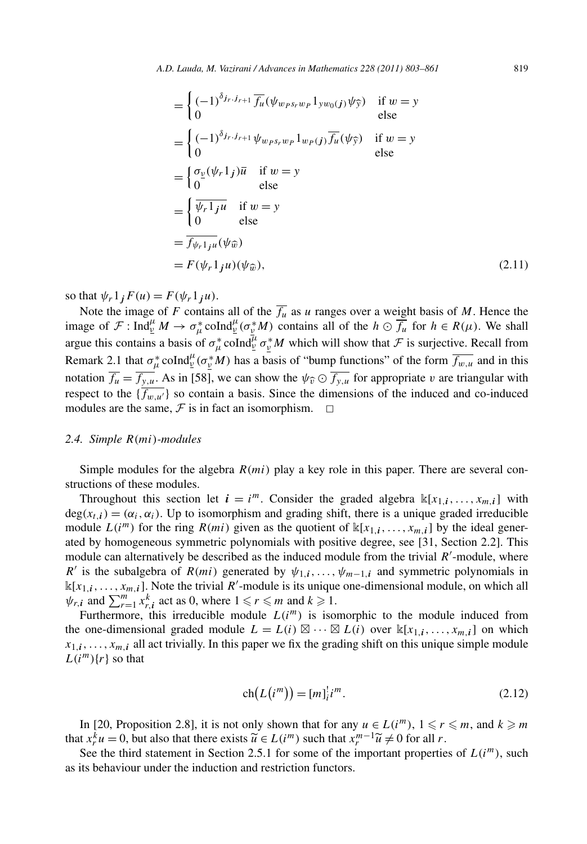A.D. Lauda, M. Vazirani / Advances in Mathematics 228 (2011) 803–861  
\n
$$
= \begin{cases}\n(-1)^{\delta_{j_r,j_{r+1}}} \overline{f_u}(\psi_{w_{PS},w_P} 1_{yw_0(j)} \psi_{\hat{y}}) & \text{if } w = y \\
0 & \text{else}\n\end{cases}
$$
\n
$$
= \begin{cases}\n(-1)^{\delta_{j_r,j_{r+1}}} \psi_{w_{PS},w_P} 1_{w_P(j)} \overline{f_u}(\psi_{\hat{y}}) & \text{if } w = y \\
0 & \text{else}\n\end{cases}
$$
\n
$$
= \begin{cases}\n\sigma_y(\psi_r 1_j)\overline{u} & \text{if } w = y \\
0 & \text{else}\n\end{cases}
$$
\n
$$
= \begin{cases}\n\overline{\psi_r 1_j u} & \text{if } w = y \\
0 & \text{else}\n\end{cases}
$$
\n
$$
= \overline{f_{\psi_r 1_j u}}(\psi_{\hat{w}})
$$
\n
$$
= F(\psi_r 1_j u)(\psi_{\hat{w}}), \qquad (2.11)
$$

so that  $\psi_r 1_j F(u) = F(\psi_r 1_j u)$ .

Note the image of *F* contains all of the  $\overline{f_u}$  as *u* ranges over a weight basis of *M*. Hence the image of  $\mathcal{F}: \text{Ind}_{\underline{v}}^{\mu} M \to \sigma_{\mu}^{*} \text{coInd}_{\underline{v}}^{\mu} (\sigma_{\underline{v}}^{*} M)$  contains all of the  $h \odot \overline{f_{u}}$  for  $h \in R(\mu)$ . We shall argue this contains a basis of  $\sigma^*_{\mu}$  coInd $\bar{\psi}$   $\sigma^*_{\underline{v}}M$  which will show that  $\mathcal F$  is surjective. Recall from Remark 2.1 that  $\sigma^*_{\mu}$  coInd<sup> $\mu$ </sup>  $(\sigma^*_{\nu}M)$  has a basis of "bump functions" of the form  $\overline{f_{w,\mu}}$  and in this notation  $\overline{f_u} = \overline{f_{y,u}}$ . As in [58], we can show the  $\psi_{\hat{v}} \odot \overline{f_{y,u}}$  for appropriate *v* are triangular with respect to the  $\{\overline{f_{w,u'}}\}$  so contain a basis. Since the dimensions of the induced and co-induced modules are the same,  $\mathcal F$  is in fact an isomorphism.  $\Box$ 

#### *2.4. Simple R(mi)-modules*

Simple modules for the algebra  $R(mi)$  play a key role in this paper. There are several constructions of these modules.

Throughout this section let  $i = i^m$ . Consider the graded algebra  $k[x_{1,i},...,x_{m,i}]$  with  $deg(x_{i,i}) = (\alpha_i, \alpha_i)$ . Up to isomorphism and grading shift, there is a unique graded irreducible module  $L(i^m)$  for the ring  $R(mi)$  given as the quotient of  $\mathbb{K}[x_{1,i},...,x_{m,i}]$  by the ideal generated by homogeneous symmetric polynomials with positive degree, see [31, Section 2.2]. This module can alternatively be described as the induced module from the trivial  $R'$ -module, where *R'* is the subalgebra of *R(mi)* generated by  $\psi_{1,i}, \ldots, \psi_{m-1,i}$  and symmetric polynomials in  $\mathbb{K}[x_{1,i},...,x_{m,i}]$ . Note the trivial *R'*-module is its unique one-dimensional module, on which all *grame in a meterial in the distribution and <i>n n* is the subalgebra of *R(mi)* generated by  $\psi_{1,i}, \ldots, \chi_{m,i}$ . Note the trivial *R'*-module is its unique  $\psi_{r,i}$  and  $\sum_{r=1}^{m} x_{r,i}^k$  act as 0, where  $1 \le r \le m$  and

Furthermore, this irreducible module  $L(i^m)$  is isomorphic to the module induced from the one-dimensional graded module  $L = L(i) \boxtimes \cdots \boxtimes L(i)$  over  $\mathbb{K}[x_{1,i},...,x_{m,i}]$  on which  $x_{1,i}, \ldots, x_{m,i}$  all act trivially. In this paper we fix the grading shift on this unique simple module  $L(i^m)\{r\}$  so that  $ch(L(i^m)) = [m]_i^i i^m$ . (2.12)  $L(i^m){r}$  so that

$$
ch(L(im)) = [m]i1 im.
$$
 (2.12)

In [20, Proposition 2.8], it is not only shown that for any  $u \in L(i^m)$ ,  $1 \leq r \leq m$ , and  $k \geq m$ that  $x_r^k u = 0$ , but also that there exists  $\widetilde{u} \in L(i^m)$  such that  $x_r^{m-1} \widetilde{u} \neq 0$  for all r. *f*  $L(i^m) = [m]$ ;  $i^m$ .<br> *r u* ∈ *L*( $i^m$ ), 1 ≤ *r f r n u* ∈ *D*( $i^m$ ), 1 ≤ *r k*<sub>*n*</sub> *u* = 0, but also that there exists  $\tilde{u} \in L(i^m)$  such that  $x_r^{m-1}\tilde{u} \neq 0$  for all *r*.

See the third statement in Section 2.5.1 for some of the important properties of  $L(i^m)$ , such as its behaviour under the induction and restriction functors.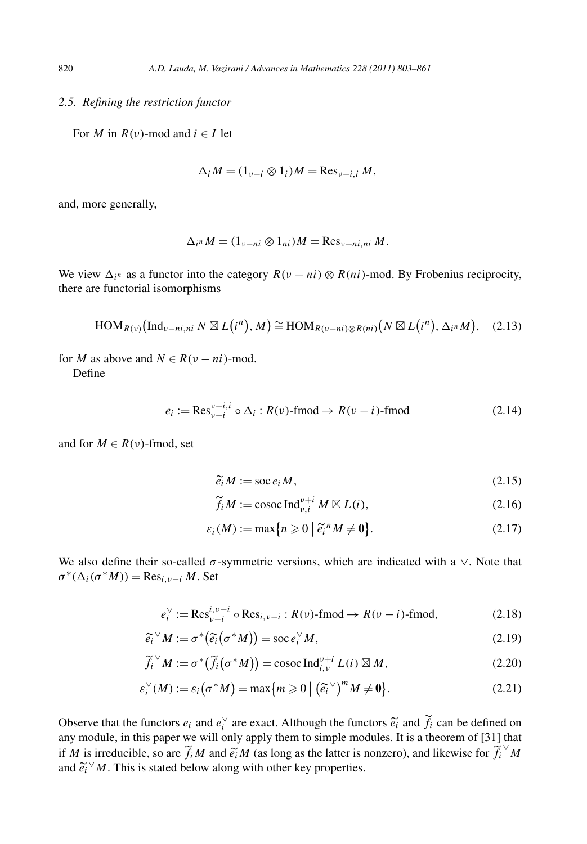# *2.5. Refining the restriction functor*

For *M* in  $R(v)$ -mod and  $i \in I$  let

$$
\Delta_i M = (1_{\nu - i} \otimes 1_i)M = \text{Res}_{\nu - i, i} M,
$$

and, more generally,

$$
\Delta_{i^n} M = (1_{\nu-ni} \otimes 1_{ni})M = \text{Res}_{\nu-ni,ni} M.
$$

We view  $\Delta_i^n$  as a functor into the category  $R(v - ni) \otimes R(ni)$ -mod. By Frobenius reciprocity,<br>there are functorial isomorphisms<br> $HOM_{R(v)}(\text{Ind}_{v-ni,ni} N \boxtimes L(i^n), M) \cong HOM_{R(v-ni) \otimes R(ni)}(N \boxtimes L(i^n), \Delta_{i^n} M)$ , (2.13) there are functorial isomorphisms *n n*

$$
\text{HOM}_{R(v)}\big(\text{Ind}_{v-ni,ni} N \boxtimes L(i^n), M\big) \cong \text{HOM}_{R(v-ni)\otimes R(ni)}\big(N \boxtimes L(i^n), \Delta_{i^n} M\big), \quad (2.13)
$$

for *M* as above and  $N \in R(\nu - ni)$ -mod. Define

$$
e_i := \text{Res}_{\nu - i}^{v - i, i} \circ \Delta_i : R(\nu) \text{-}\text{fmod} \to R(\nu - i) \text{-}\text{fmod}
$$
 (2.14)

and for  $M \in R(\nu)$ -fmod, set

$$
\widetilde{e_i}M := \operatorname{soc}\nolimits e_iM,\tag{2.15}
$$

$$
\widetilde{f}_i M := \operatorname{cosoc} \operatorname{Ind}_{\nu,i}^{\nu+i} M \boxtimes L(i),\tag{2.16}
$$

$$
\widetilde{e_i}M := \text{soc}\, e_iM,
$$
\n
$$
\widetilde{f_i}M := \text{cosoc}\,\text{Ind}_{\nu,i}^{\nu+i} M \boxtimes L(i),
$$
\n
$$
\varepsilon_i(M) := \max\{n \ge 0 \mid \widetilde{e_i}^n M \ne 0\}.
$$
\n(2.17)

We also define their so-called  $\sigma$ -symmetric versions, which are indicated with a  $\vee$ . Note that  $\sigma^*(\Delta_i(\sigma^*M)) = \text{Res}_{i,\nu-i} M$ . Set

$$
e_i^{\vee} := \text{Res}_{\nu-i}^{i, \nu-i} \circ \text{Res}_{i, \nu-i} : R(\nu)\text{-}\text{fmod} \to R(\nu-i)\text{-}\text{fmod},
$$
  
\n
$$
{}^{\vee} M := \sigma^* \big(\widetilde{e_i} \big(\sigma^* M\big)\big) = \text{soc } e_i^{\vee} M,
$$
  
\n
$$
{}^{\vee} M := \sigma^* \big(\widetilde{f_i} \big(\sigma^* M\big)\big) = \text{cosoc } \text{Ind}_{i}^{\nu+i} L(i) \boxtimes M,
$$
  
\n(2.20)

$$
e_i^{\vee} := \text{Res}_{\nu-i}^{i,\nu-i} \circ \text{Res}_{i,\nu-i} : R(\nu)\text{-}\text{fmod} \to R(\nu-i)\text{-}\text{fmod},
$$
(2.18)  

$$
\widetilde{e_i}^{\vee} M := \sigma^* \big(\widetilde{e_i} \big(\sigma^* M\big)\big) = \text{soc}\, e_i^{\vee} M,
$$
(2.19)

$$
\widetilde{e_i}^{\vee} M := \sigma^* (\widetilde{e_i} (\sigma^* M)) = \operatorname{soc} e_i^{\vee} M,
$$
\n
$$
\widetilde{f_i}^{\vee} M := \sigma^* (\widetilde{f_i} (\sigma^* M)) = \operatorname{cosoc} \operatorname{Ind}_{i, \nu}^{\nu + i} L(i) \boxtimes M,
$$
\n
$$
\varepsilon_i^{\vee} (M) := \varepsilon_i (\sigma^* M) = \max \{ m \ge 0 \mid (\widetilde{e_i}^{\vee})^m M \ne 0 \}.
$$
\n(2.21)

$$
\varepsilon_i^{\vee}(M) := \varepsilon_i(\sigma^*M) = \max\{m \ge 0 \mid (\tilde{e}_i^{\vee})^m M \ne 0\}.
$$
\n(2.21)  
Observe that the functors  $e_i$  and  $e_i^{\vee}$  are exact. Although the functors  $\tilde{e}_i$  and  $\tilde{f}_i$  can be defined on

any module, in this paper we will only apply them to simple modules. It is a theorem of [31] that if *M* is irreducible, so are  $\widetilde{f}_i M$  and  $\widetilde{e}_i M$  (as long as the latter is nonzero), and likewise for  $\widetilde{f}_i^{\vee} M$ *i* and  $e_i^{\vee}$  are exact. Although the functors  $\tilde{e}_i$  and  $\tilde{f}_i$  can be define will only apply them to simple modules. It is a theorem of [31]  $\tilde{i}$  *M* and  $\tilde{e}_i$  *M* (as long as the latter is nonzero), an Obser<br>any m<br>if *M* i<sub>i</sub><br>and  $\tilde{e}_i$ and  $\widetilde{e_i}^{\vee}M$ . This is stated below along with other key properties.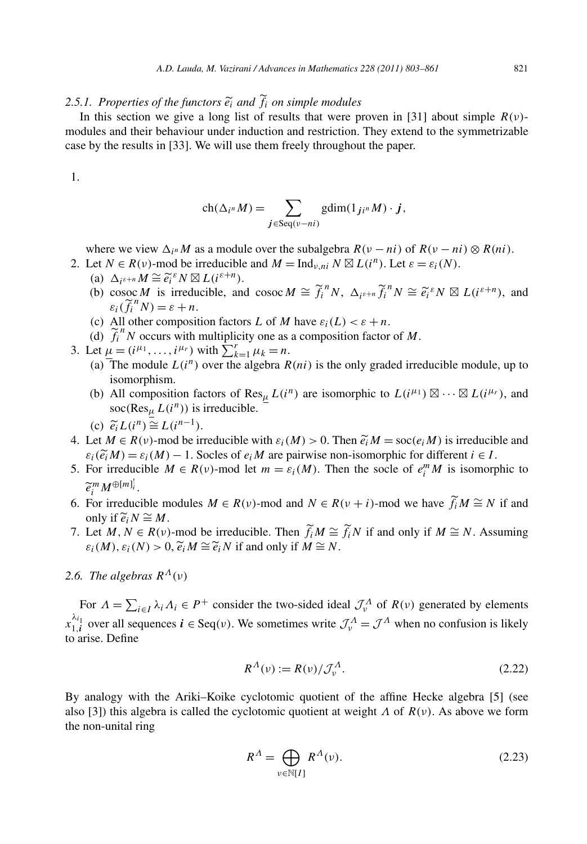# *2.5.1. Properties of the functors <sup>e</sup><sup>i</sup> and <sup>f</sup> <sup>i</sup> on simple modules*

In this section we give a long list of results that were proven in [31] about simple  $R(v)$ modules and their behaviour under induction and restriction. They extend to the symmetrizable case by the results in [33]. We will use them freely throughout the paper.

1.

$$
\operatorname{ch}(\Delta_{i^n} M) = \sum_{\boldsymbol{j} \in \operatorname{Seq}(\nu - ni)} \operatorname{gdim}(1_{\boldsymbol{j}i^n} M) \cdot \boldsymbol{j},
$$

where we view  $\Delta_i^n M$  as a module over the subalgebra  $R(\nu - ni)$  of  $R(\nu - ni) \otimes R(ni)$ . algebra  $R(v -$ 

- 2. Let  $N \in R(\nu)$ -mod be irreducible and  $M = \text{Ind}_{\nu, ni} N \boxtimes L(i^n)$ . Let  $\varepsilon = \varepsilon_i(N)$ . where we view  $\Delta_i$ <br> *jet*  $N \in R(\nu)$ -mo<br>
(a)  $\Delta_i \varepsilon + nM \cong \widetilde{e_i}$ 
	- (a)  $\Delta_{i^{\varepsilon+n}} M \cong \widetilde{e_i}^{\varepsilon} N \boxtimes L(i^{\varepsilon+n}).$
- where we view  $\Delta_i^n M$  as a module over the subalgebra  $R(\nu ni)$  of  $R(\nu ni) \otimes R(ni)$ .<br> *i*et  $N \in R(\nu)$ -mod be irreducible and  $M = \text{Ind}_{\nu, ni} N \boxtimes L(i^n)$ . Let  $\varepsilon = \varepsilon_i(N)$ .<br>
(a)  $\Delta_i \varepsilon_{+n} M \cong \tilde{e}_i^{\varepsilon} N \boxtimes L(i^{\varepsilon + n})$ .<br>
(b)  $\varepsilon_i(\widetilde{f}_i^n N) = \varepsilon + n.$ (b) cosoc *M* is irreducible, and cosoc *N*<br>  $\varepsilon_i(\tilde{f}_i^N N) = \varepsilon + n$ .<br>
(c) All other composition factors *L* of *M*<br>
(d)  $\tilde{f}_i^N N$  occurs with multiplicity one as<br>
3. Let  $\underline{\mu} = (i^{\mu_1}, \dots, i^{\mu_r})$  with  $\sum_{k=1}^r \mu_k =$ 
	- (c) All other composition factors *L* of *M* have  $\varepsilon_i(L) < \varepsilon + n$ .
	- (d)  $\widetilde{f}_i^n N$  occurs with multiplicity one as a composition factor of *M*.
- - (a) The module  $L(i^n)$  over the algebra  $R(ni)$  is the only graded irreducible module, up to isomorphism.
- (b) All composition factors of Res<sub> $\mu$ </sub>  $L(i^n)$  are isomorphic to  $L(i^{\mu_1}) \boxtimes \cdots \boxtimes L(i^{\mu_r})$ , and soc( $\text{Res}_{\mu} L(i^n)$ ) is irreducible. (b) All composition fa<br>soc(Res<sub> $\mu$ </sub> *L*(*i<sup>n</sup>*)) is<br>(c)  $\tilde{e}_i L(i^n) \cong L(i^{n-1})$ . 4. Let  $M \in \mathbb{R}(v)$ -mod be irreducible.<br>
4. Let  $M \in \mathbb{R}(v)$ -mod be irreducible with  $\varepsilon_i(M) > 0$ . Then  $\tilde{e}_i M = \text{soc}(e_i M)$  is irreducible and  $\tilde{e}_i M \in \mathbb{R}(v)$ -mod be irreducible with  $\varepsilon_i(M) > 0$ . Then  $\tilde{e}_i M = \text{$

(c) 
$$
\widetilde{e}_i L(i^n) \cong L(i^{n-1}).
$$

- *soc*(Res<sub>*µ*</sub>  $L(i^n)$ ) is irreducible.<br>
(c)  $\tilde{e}_i L(i^n) \cong L(i^{n-1})$ .<br>
Let  $M \in R(\nu)$ -mod be irreducible with  $\varepsilon_i(M) > 0$ . Then  $\tilde{e}_i M = \text{soc}(e_i M)$  is irreducible  $\varepsilon_i(\tilde{e}_i M) = \varepsilon_i(M) 1$ . Socles of  $e_i M$  are pairwise no
- 5. For irreducible  $M \in R(v)$ -mod let  $m = \varepsilon_i(M)$ . Then the socle of  $e_i^m M$  is isomorphic to  $\widetilde{e}_i^m M^{\oplus [m]_i^!}.$
- 6. For irreducible modules  $M \in R(v)$ -mod and  $N \in R(v + i)$ -mod we have  $\widetilde{f}_i M \cong N$  if and For irreducible *N*<br> $\tilde{e}_i^m M^{\oplus [m]_i^!}$ .<br>For irreducible m<br>only if  $\tilde{e}_i N \cong M$ . *For irreducible modules*  $M \in R(v)$ -mod and  $N \in R$ <br> *only if*  $\tilde{e}_i N \cong M$ .<br> *Let*  $M, N \in R(v)$ -mod be irreducible. Then  $\tilde{f}_i M \cong$ <br>  $\varepsilon_i(M), \varepsilon_i(N) > 0, \tilde{e}_i M \cong \tilde{e}_i N$  if and only if  $M \cong N$ .
- 7. Let  $M, N \in R(\nu)$ -mod be irreducible. Then  $\widetilde{f}_i M \cong \widetilde{f}_i N$  if and only if  $M \cong N$ . Assuming

# 2.6. The algebras  $R^{\Lambda}(\nu)$

 $\varepsilon_i(M)$ ,  $\varepsilon_i(M)$ <br>*Γ Λ* =  $\sum$  $\sum_{i \in I} \lambda_i \Lambda_i \in P^+$  consider the two-sided ideal  $\mathcal{J}^{\Lambda}_{\nu}$  of  $R(\nu)$  generated by elements  $x_{1,i}^{\lambda_{i_1}}$  over all sequences  $i \in \text{Seq}(v)$ . We sometimes write  $\mathcal{J}^A_v = \mathcal{J}^A$  when no confusion is likely to arise. Define

$$
R^{\Lambda}(v) := R(v) / \mathcal{J}_v^{\Lambda}.
$$
\n(2.22)

By analogy with the Ariki–Koike cyclotomic quotient of the affine Hecke algebra [5] (see also [3]) this algebra is called the cyclotomic quotient at weight *Λ* of *R(ν)*. As above we form the non-unital ring *R<sup>Λ</sup>* =  $\bigoplus$ 

$$
R^{A} = \bigoplus_{\nu \in \mathbb{N}[I]} R^{A}(\nu).
$$
 (2.23)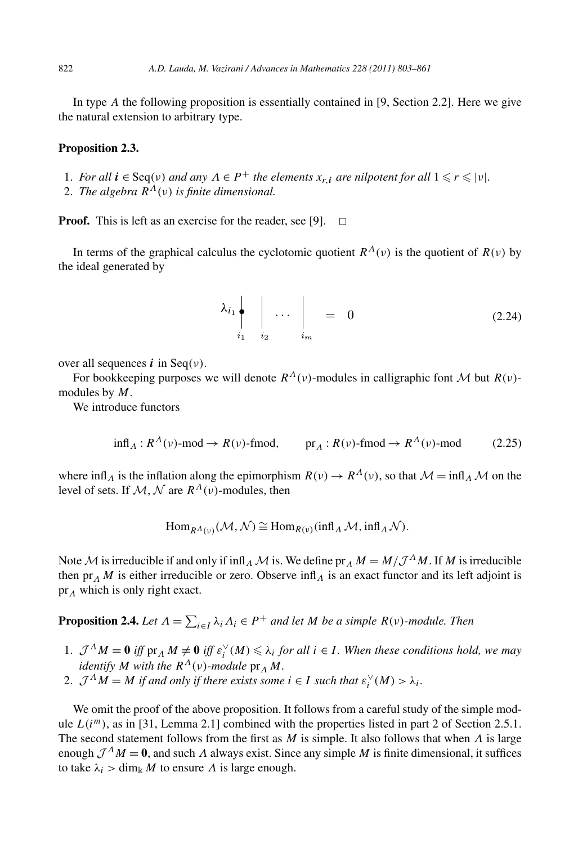In type *A* the following proposition is essentially contained in [9, Section 2.2]. Here we give the natural extension to arbitrary type.

# **Proposition 2.3.**

- 1. *For all*  $i \in \text{Seq}(v)$  *and any*  $\Lambda \in P^+$  *the elements*  $x_r$ *i are nilpotent for all*  $1 \leq r \leq |v|$ *.*
- 2. *The algebra*  $R^{\Lambda}(v)$  *is finite dimensional.*

**Proof.** This is left as an exercise for the reader, see [9].  $\Box$ 

In terms of the graphical calculus the cyclotomic quotient  $R^{\Lambda}(v)$  is the quotient of  $R(v)$  by the ideal generated by

$$
\lambda_{i_1} \leftarrow \qquad \qquad \downarrow \qquad \qquad \downarrow \qquad \qquad \downarrow \qquad \qquad \downarrow \qquad \qquad \downarrow \qquad \qquad \downarrow \qquad \downarrow \qquad \qquad \downarrow \qquad \downarrow \qquad \downarrow \qquad \qquad \downarrow \qquad \downarrow \qquad \downarrow \qquad \downarrow \qquad \downarrow \qquad \downarrow \qquad \downarrow \qquad \downarrow \qquad \downarrow \qquad \downarrow \qquad \downarrow \qquad \downarrow \qquad \downarrow \qquad \downarrow \qquad \downarrow \qquad \downarrow \qquad \downarrow \qquad \downarrow \qquad \downarrow \qquad \downarrow \qquad \downarrow \qquad \downarrow \qquad \downarrow \qquad \downarrow \qquad \downarrow \qquad \downarrow \qquad \downarrow \qquad \downarrow \qquad \downarrow \qquad \downarrow \qquad \downarrow \qquad \downarrow \qquad \downarrow \qquad \downarrow \qquad \downarrow \qquad \downarrow \qquad \downarrow \qquad \downarrow \qquad \downarrow \qquad \downarrow \qquad \downarrow \qquad \downarrow \qquad \downarrow \qquad \downarrow \qquad \downarrow \qquad \downarrow \qquad \downarrow \qquad \downarrow \qquad \downarrow \qquad \downarrow \qquad \downarrow \qquad \downarrow \qquad \downarrow \qquad \downarrow \qquad \downarrow \qquad \downarrow \qquad \downarrow \qquad \downarrow \qquad \downarrow \qquad \downarrow \qquad \downarrow \qquad \downarrow \qquad \downarrow \qquad \downarrow \qquad \downarrow \qquad \downarrow \qquad \downarrow \qquad \downarrow \qquad \downarrow \qquad \downarrow \qquad \downarrow \qquad \downarrow \qquad \downarrow \qquad \downarrow \qquad \downarrow \qquad \downarrow \qquad \downarrow \qquad \downarrow \qquad \downarrow \qquad \downarrow \qquad \downarrow \qquad \downarrow \qquad \downarrow \qquad \downarrow \qquad \downarrow \qquad \downarrow \qquad \downarrow \qquad \downarrow \qquad \downarrow \qquad \downarrow \qquad \downarrow \qquad \downarrow \qquad \downarrow \qquad \downarrow \qquad \downarrow \qquad \downarrow \qquad \downarrow \qquad \downarrow \qquad \downarrow \qquad \downarrow \qquad \downarrow \qquad \downarrow \qquad \downarrow \qquad \downarrow \qquad \downarrow \qquad \downarrow \qquad \downarrow \qquad \downarrow \qquad \downarrow \qquad \downarrow \qquad \downarrow
$$

over all sequences *i* in Seq*(ν)*.

For bookkeeping purposes we will denote  $R^{\Lambda}(v)$ -modules in calligraphic font *M* but  $R(v)$ modules by *M*.

We introduce functors

$$
\text{infl}_A: R^A(\nu)\text{-mod} \to R(\nu)\text{-fmod}, \qquad \text{pr}_A: R(\nu)\text{-fmod} \to R^A(\nu)\text{-mod} \tag{2.25}
$$

where  $\inf_{\Lambda}$  is the inflation along the epimorphism  $R(v) \to R^{\Lambda}(v)$ , so that  $\mathcal{M} = \inf_{\Lambda} \mathcal{M}$  on the level of sets. If  $M, N$  are  $R^{\Lambda}(v)$ -modules, then

$$
\text{Hom}_{R^{\Lambda}(v)}(\mathcal{M},\mathcal{N}) \cong \text{Hom}_{R(v)}(\text{infl}_\Lambda \mathcal{M},\text{infl}_\Lambda \mathcal{N}).
$$

Note M is irreducible if and only if infl<sub>*Λ*</sub> M is. We define  $pr_A M = M/\mathcal{J}^{\Lambda}M$ . If M is irreducible then pr<sub>Λ</sub> *M* is either irreducible or zero. Observe infl<sub>*Λ*</sub> is an exact functor and its left adjoint is pr*<sup>Λ</sup>* which is only right exact. **Proposition 2.4.** *Let*  $\Lambda = \sum$ <br>**Proposition 2.4.** *Let*  $\Lambda = \sum$ 

 $\sum_{i \in I} \lambda_i \Lambda_i \in P^+$  *and let M be a simple*  $R(v)$ *-module. Then* 

- 1.  $\mathcal{J}^{\Lambda}M = 0$  *iff*  $pr_{\Lambda} M \neq 0$  *iff*  $\varepsilon_i^{\vee}(M) \leq \lambda_i$  for all  $i \in I$ . When these conditions hold, we may *identify M* with the  $R^{\Lambda}(v)$ *-module*  $pr_{\Lambda} M$ *.*
- 2.  $\mathcal{J}^{\Lambda}M = M$  *if and only if there exists some*  $i \in I$  *such that*  $\varepsilon_i^{\vee}(M) > \lambda_i$ .

We omit the proof of the above proposition. It follows from a careful study of the simple module  $L(i^m)$ , as in [31, Lemma 2.1] combined with the properties listed in part 2 of Section 2.5.1. The second statement follows from the first as *M* is simple. It also follows that when *Λ* is large enough  $\mathcal{J}^A M = 0$ , and such  $\Lambda$  always exist. Since any simple  $M$  is finite dimensional, it suffices to take  $\lambda_i > \dim_k M$  to ensure  $\Lambda$  is large enough.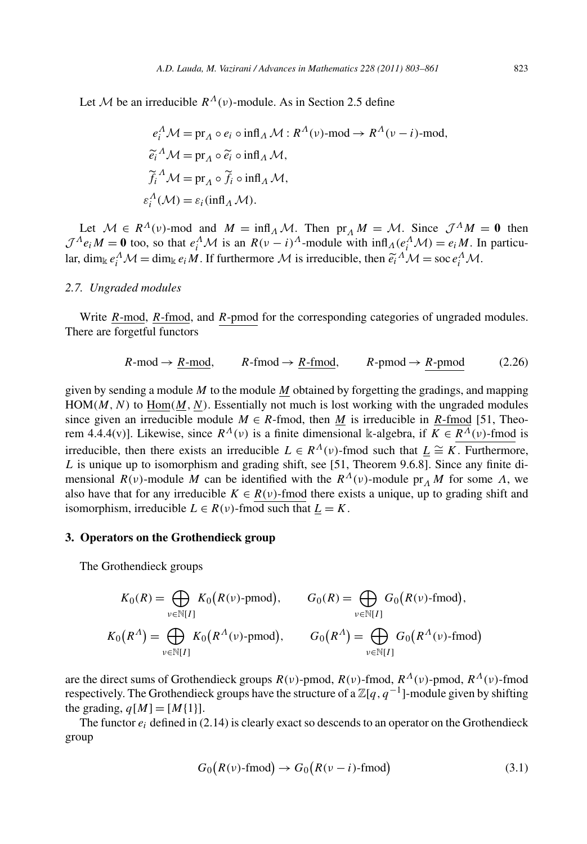Let *M* be an irreducible  $R^{\Lambda}(v)$ -module. As in Section 2.5 define

$$
e_i^A \mathcal{M} = \text{pr}_A \circ e_i \circ \inf A \mathcal{M} : R^A(\nu) \text{-mod} \to R^A(\nu - i) \text{-mod},
$$
  
\n
$$
\tilde{e}_i^A \mathcal{M} = \text{pr}_A \circ \tilde{e}_i \circ \inf A \mathcal{M},
$$
  
\n
$$
\tilde{f}_i^A \mathcal{M} = \text{pr}_A \circ \tilde{f}_i \circ \inf A \mathcal{M},
$$
  
\n
$$
\varepsilon_i^A(\mathcal{M}) = \varepsilon_i (\inf A \mathcal{M}).
$$

Let  $M \in R^{\Lambda}(v)$ -mod and  $M = \inf_{\Lambda} M$ . Then  $pr_{\Lambda} M = M$ . Since  $\mathcal{J}^{\Lambda} M = 0$  then  $\mathcal{J}^A e_i M = 0$  too, so that  $e_i^A \mathcal{M}$  is an  $R(\nu - i)^A$ -module with  $\inf_{A} (e_i^A \mathcal{M}) = e_i M$ . In particu-Let  $M \in R^{\Lambda}(v)$ -mod and  $M = \inf_{\Lambda} M$ . Then  $pr_{\Lambda} M = M$ . Since  $\mathcal{J}^{\Lambda}M = \mathcal{J}^{\Lambda}e_iM = \mathbf{0}$  too, so that  $e_i^{\Lambda}M$  is an  $R(v - i)^{\Lambda}$ -module with  $\inf_{\Lambda}(e_i^{\Lambda}M) = e_iM$ . It ar, dim<sub>k</sub>  $e_i^{\Lambda}M = \dim_k e_iM$ . If furthermore  $M$ 

#### *2.7. Ungraded modules*

Write *R*-mod, *R*-fmod, and *R*-pmod for the corresponding categories of ungraded modules. There are forgetful functors

$$
R\text{-mod} \to \underline{R\text{-mod}},
$$
  $R\text{-find} \to \underline{R\text{-find}},$   $R\text{-pmod} \to R\text{-pmod}$  (2.26)

given by sending a module *M* to the module *M* obtained by forgetting the gradings, and mapping  $HOM(M, N)$  to  $Hom(M, N)$ . Essentially not much is lost working with the ungraded modules since given an irreducible module  $M \in R$ -fmod, then *M* is irreducible in *R*-fmod [51, Theorem 4.4.4(v)]. Likewise, since  $R^{\Lambda}(v)$  is a finite dimensional k-algebra, if  $K \in R^{\Lambda}(v)$ -fmod is irreducible, then there exists an irreducible  $L \in R^{\Lambda}(v)$ -fmod such that  $L \cong K$ . Furthermore, *L* is unique up to isomorphism and grading shift, see [51, Theorem 9.6.8]. Since any finite dimensional  $R(v)$ -module *M* can be identified with the  $R^{\Lambda}(v)$ -module pr<sub>Λ</sub> *M* for some Λ, we also have that for any irreducible  $K \in R(v)$ -fmod there exists a unique, up to grading shift and isomorphism, irreducible  $L \in R(\nu)$ -fmod such that  $\underline{L} = K$ .

# **3. Operators on the Grothendieck group**

The Grothendieck groups

Forthendieck groups

\n
$$
K_0(R) = \bigoplus_{\nu \in \mathbb{N}[I]} K_0(R(\nu)\text{-pmod}), \qquad G_0(R) = \bigoplus_{\nu \in \mathbb{N}[I]} G_0(R(\nu)\text{-fmod}),
$$
\n
$$
K_0(R^{\Lambda}) = \bigoplus_{\nu \in \mathbb{N}[I]} K_0(R^{\Lambda}(\nu)\text{-pmod}), \qquad G_0(R^{\Lambda}) = \bigoplus_{\nu \in \mathbb{N}[I]} G_0(R^{\Lambda}(\nu)\text{-fmod})
$$

are the direct sums of Grothendieck groups *R(ν)*-pmod, *R(ν)*-fmod, *RΛ(ν)*-pmod, *RΛ(ν)*-fmod respectively. The Grothendieck groups have the structure of a Z[*q,q*−1]-module given by shifting the grading,  $q[M]=[M{1}].$ 

The functor  $e_i$  defined in (2.14) is clearly exact so descends to an operator on the Grothendieck<br>
up<br>  $G_0(R(v)$ -fmod)  $\rightarrow G_0(R(v - i)$ -fmod) (3.1) group

$$
G_0(R(\nu)\text{-}\mathrm{fmod}) \to G_0(R(\nu-i)\text{-}\mathrm{fmod})
$$
\n(3.1)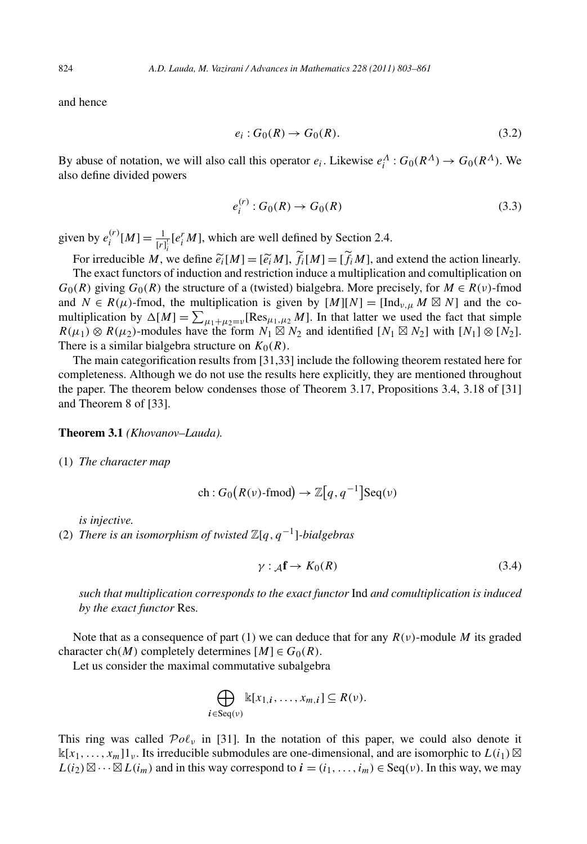and hence

$$
e_i: G_0(R) \to G_0(R). \tag{3.2}
$$

By abuse of notation, we will also call this operator  $e_i$ . Likewise  $e_i^A$ :  $G_0(R^A) \to G_0(R^A)$ . We also define divided powers

$$
e_i^{(r)}: G_0(R) \to G_0(R)
$$
\n(3.3)

given by  $e_i^{(r)}[M] = \frac{1}{[r]_i^r} [e_i^r M]$ , which are well defined by Section 2.4. For irreducible *M*, we define  $\tilde{e}_i^r$ [*M*],  $\tilde{e}_i^r$  and  $\tilde{e}_i^r$ [*M*] = [ $\tilde{e}_i^r$ *M*],  $\tilde{f}$ 

 $f_i[M] = [f_iM]$ , and extend the action linearly.

The exact functors of induction and restriction induce a multiplication and comultiplication on  $G_0(R)$  giving  $G_0(R)$  the structure of a (twisted) bialgebra. More precisely, for  $M \in R(\nu)$ -fmod and  $N \in R(\mu)$ -fmod, the multiplication is given by  $[M][N] = [\text{Ind}_{\nu,\mu} M \boxtimes N]$  and the co-For inequation *M*, we define<br>The exact functors of induce<br> $G_0(R)$  giving  $G_0(R)$  the struce<br>and  $N \in R(\mu)$ -fmod, the multiplication by  $\Delta[M] = \sum$  $\sum_{\mu_1+\mu_2=\nu}$  [Res<sub> $\mu_1,\mu_2$ </sub>*M*]. In that latter we used the fact that simple  $R(\mu_1) \otimes R(\mu_2)$ -modules have the form  $N_1 \boxtimes N_2$  and identified  $[N_1 \boxtimes N_2]$  with  $[N_1] \otimes [N_2]$ . There is a similar bialgebra structure on  $K_0(R)$ .

The main categorification results from [31,33] include the following theorem restated here for completeness. Although we do not use the results here explicitly, they are mentioned throughout the paper. The theorem below condenses those of Theorem 3.17, Propositions 3.4, 3.18 of [31] and Theorem 8 of [33].

**Theorem 3.1** *(Khovanov–Lauda).*

(1) *The character map*

that).  
\n
$$
\text{ch}: G_0\big(R(\nu)\text{-}\text{fmod}\big) \to \mathbb{Z}\big[q, q^{-1}\big] \text{Seq}(\nu)
$$

*is injective.*

(2) *There is an isomorphism of twisted* Z[*q,q*−1]*-bialgebras*

$$
\gamma: A\mathbf{f} \to K_0(R) \tag{3.4}
$$

*such that multiplication corresponds to the exact functor* Ind *and comultiplication is induced by the exact functor* Res*.*

Note that as a consequence of part (1) we can deduce that for any  $R(v)$ -module *M* its graded character ch(*M*) completely determines  $[M] \in G_0(R)$ .

Let us consider the maximal commutative subalgebra

$$
\bigoplus_{i \in \text{Seq}(\nu)} \mathbb{k}[x_{1,i},\ldots,x_{m,i}] \subseteq R(\nu).
$$

This ring was called  $Po\ell_{v}$  in [31]. In the notation of this paper, we could also denote it  $\mathbb{K}[x_1,\ldots,x_m]$ <sup>1</sup>*ν*. Its irreducible submodules are one-dimensional, and are isomorphic to  $L(i_1)$   $\boxtimes$  $L(i_2) \boxtimes \cdots \boxtimes L(i_m)$  and in this way correspond to  $\boldsymbol{i} = (i_1, \ldots, i_m) \in \text{Seq}(v)$ . In this way, we may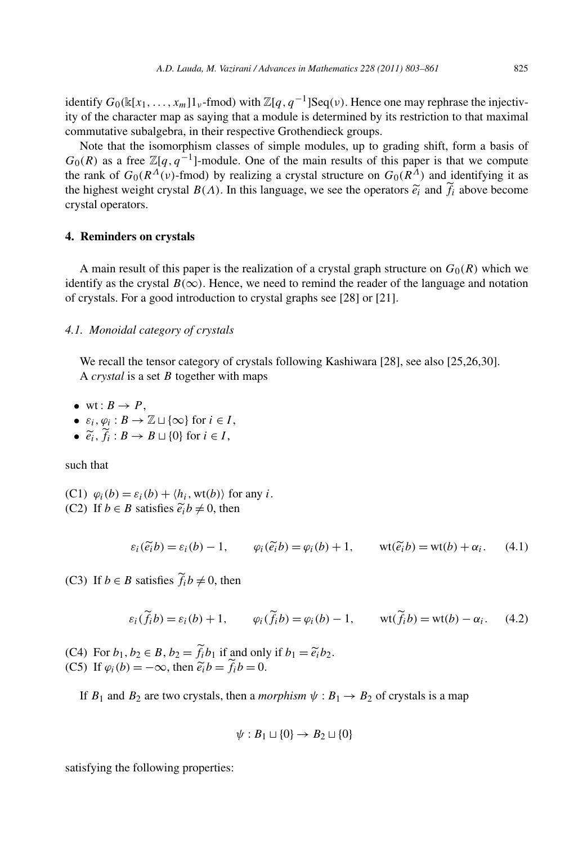identify  $G_0(\mathbbk[x_1,\ldots,x_m]1_\nu$ -fmod) with  $\mathbb{Z}[q,q^{-1}]\text{Seq}(\nu)$ . Hence one may rephrase the injectivity of the character map as saying that a module is determined by its restriction to that maximal commutative subalgebra, in their respective Grothendieck groups.

Note that the isomorphism classes of simple modules, up to grading shift, form a basis of  $G_0(R)$  as a free  $\mathbb{Z}[q, q^{-1}]$ -module. One of the main results of this paper is that we compute the rank of  $G_0(R^{\Lambda}(\nu)$ -fmod) by realizing a crystal structure on  $G_0(R^{\Lambda})$  and identifying it as Note that the isomorphism classes of simple modules, up to grading shift, form a basis of  $G_0(R)$  as a free  $\mathbb{Z}[q, q^{-1}]$ -module. One of the main results of this paper is that we compute the rank of  $G_0(R^A(\nu)$ -fmod) by crystal operators.

#### **4. Reminders on crystals**

A main result of this paper is the realization of a crystal graph structure on  $G_0(R)$  which we identify as the crystal  $B(\infty)$ . Hence, we need to remind the reader of the language and notation of crystals. For a good introduction to crystal graphs see [28] or [21].

#### *4.1. Monoidal category of crystals*

We recall the tensor category of crystals following Kashiwara [28], see also [25,26,30]. A *crystal* is a set *B* together with maps

- wt:  $B \rightarrow P$ ,
- $\varepsilon_i, \varphi_i : B \to \mathbb{Z} \sqcup \{\infty\}$  for  $i \in I$ ,
- *e*<sub>*i*</sub>,  $\varphi_i : B \to P$ ,<br>
  $\varepsilon_i, \varphi_i : B \to \mathbb{Z} \sqcup \{\infty\}$  for  $i \in I$ ,<br>
  $\widetilde{e_i}, \widetilde{f_i} : B \to B \sqcup \{0\}$  for  $i \in I$ ,

#### such that

(C1)  $\varphi_i(b) = \varepsilon_i(b) + \langle h_i, \text{wt}(b) \rangle$  for any *i*. such that<br>(C1)  $\varphi_i(b) = \varepsilon_i(b) + \langle h_i, \text{wt}(b) \rangle$  for<br>(C2) If  $b \in B$  satisfies  $\tilde{e}_i^t b \neq 0$ , then

3 satisfies 
$$
\tilde{e}_i b \neq 0
$$
, then  
\n
$$
\varepsilon_i(\tilde{e}_i b) = \varepsilon_i(b) - 1, \qquad \varphi_i(\tilde{e}_i b) = \varphi_i(b) + 1, \qquad \text{wt}(\tilde{e}_i b) = \text{wt}(b) + \alpha_i.
$$
 (4.1)

(C3) If *b*  $\in$  *B* satisfies  $\widetilde{f}_i b \neq 0$ , then

$$
\varepsilon_i(\tilde{f}_ib) = \varepsilon_i(b) + 1, \qquad \varphi_i(\tilde{f}_ib) = \varphi_i(b) - 1, \qquad \text{wt}(\tilde{f}_ib) = \text{wt}(b) - \alpha_i. \tag{4.2}
$$

(C4) For  $b_1$ ,  $b_2 \in B$ ,  $b_2 = \tilde{f}_i b_1$  if and only if  $b_1 = \tilde{e}_i b_2$ .  $\varepsilon_i(f_i b) = \varepsilon_i(b) + 1,$ <br>
(C4) For  $b_1, b_2 \in B, b_2 = \tilde{f}_i b_1$  if  $\varepsilon$ <br>
(C5) If  $\varphi_i(b) = -\infty$ , then  $\tilde{e}_i b = \tilde{f}$ *i*<sub>*i*</sub>  $\varphi$ <sub>*i*</sub> $(b) = -\infty$ , then  $\tilde{e}_i b = \tilde{f}_i b = 0$ .

If  $B_1$  and  $B_2$  are two crystals, then a *morphism*  $\psi : B_1 \rightarrow B_2$  of crystals is a map

$$
\psi: B_1 \sqcup \{0\} \to B_2 \sqcup \{0\}
$$

satisfying the following properties: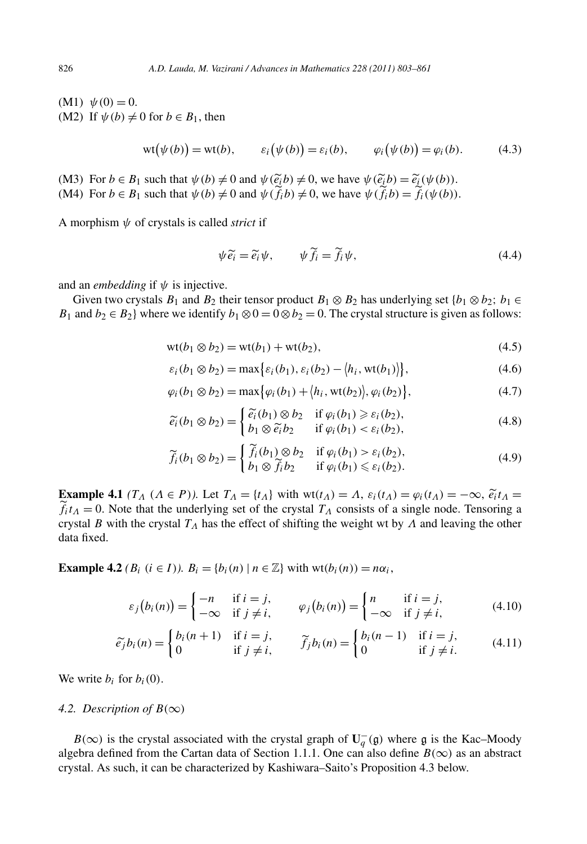$(M1) \psi(0) = 0.$ (M2) If  $\psi(b) \neq 0$  for  $b \in B_1$ , then for  $b \in l$ <br>wt( $\psi(b)$ )

for 
$$
b \in B_1
$$
, then  
\n
$$
wt(\psi(b)) = wt(b), \qquad \varepsilon_i(\psi(b)) = \varepsilon_i(b), \qquad \varphi_i(\psi(b)) = \varphi_i(b). \tag{4.3}
$$

(M3) For  $b \in B_1$  such that  $\psi(b) = \psi(b)$ ,  $\varepsilon_i(\psi(b)) = \varepsilon_i(b)$ ,  $\varphi_i(\psi(b)) = \varphi_i(b)$ <br>(M3) For  $b \in B_1$  such that  $\psi(b) \neq 0$  and  $\psi(\tilde{e_i}b) \neq 0$ , we have  $\psi(\tilde{e_i}b) = \tilde{e_i}(\psi(b))$ . (M4) For  $b \in B_1$  such that  $\psi(b) \neq 0$  and  $\psi(f_i b) \neq 0$ , we have  $\psi(f_i b) = f_i(\psi(b))$ .

A morphism *ψ* of crystals is called *strict* if

ed *strict* if  
\n
$$
\psi \widetilde{e_i} = \widetilde{e_i} \psi, \qquad \psi \widetilde{f_i} = \widetilde{f_i} \psi,
$$
\n(4.4)

and an *embedding* if *ψ* is injective.

Given two crystals  $B_1$  and  $B_2$  their tensor product  $B_1 \otimes B_2$  has underlying set  $\{b_1 \otimes b_2; b_1 \in$ *B*<sub>1</sub> and *b*<sub>2</sub> ∈ *B*<sub>2</sub>} where we identify *b*<sub>1</sub> ⊗ 0 = 0 ⊗ *b*<sub>2</sub> = 0. The crystal structure is given as follows:<br> *wt*(*b*<sub>1</sub> ⊗ *b*<sub>2</sub>) = *wt*(*b*<sub>1</sub>) + *wt*(*b*<sub>2</sub>),<br> *ε<sub>i</sub>*(*b*<sub>1</sub> ⊗ *b*<sub>2</sub>) = max{ $\varepsilon_i(b_1), \varepsilon_i(b_2)$ 

$$
wt(b_1 \otimes b_2) = wt(b_1) + wt(b_2),
$$
\n(4.5)

$$
\varepsilon_i(b_1 \otimes b_2) = \max\{\varepsilon_i(b_1), \varepsilon_i(b_2) - \langle h_i, \text{wt}(b_1) \rangle\},\tag{4.6}
$$

$$
wt(b_1 \otimes b_2) = wt(b_1) + wt(b_2),
$$
\n
$$
\varepsilon_i(b_1 \otimes b_2) = \max\{\varepsilon_i(b_1), \varepsilon_i(b_2) - \langle h_i, wt(b_1) \rangle\},
$$
\n
$$
\varphi_i(b_1 \otimes b_2) = \max\{\varphi_i(b_1) + \langle h_i, wt(b_2) \rangle, \varphi_i(b_2)\},
$$
\n
$$
\tilde{\varepsilon}_i(b_i \otimes b_2) - \int \tilde{e}_i(b_1) \otimes b_2 \quad \text{if } \varphi_i(b_1) \ge \varepsilon_i(b_2),
$$
\n
$$
(4.8)
$$

$$
\varphi_i(b_1 \otimes b_2) = \max \{ \varphi_i(b_1) + \langle h_i, \text{wt}(b_2) \rangle, \varphi_i(b_2) \},\
$$
\n
$$
\widetilde{e_i}(b_1 \otimes b_2) = \begin{cases}\n\widetilde{e_i}(b_1) \otimes b_2 & \text{if } \varphi_i(b_1) \ge \varepsilon_i(b_2), \\
b_1 \otimes \widetilde{e_i}b_2 & \text{if } \varphi_i(b_1) < \varepsilon_i(b_2),\n\end{cases} \tag{4.8}
$$

$$
\widetilde{f}_i(b_1 \otimes b_2) = \begin{cases} \widetilde{f}_i(b_1) \otimes b_2 & \text{if } \varphi_i(b_1) > \varepsilon_i(b_2), \\ b_1 \otimes \widetilde{f}_i b_2 & \text{if } \varphi_i(b_1) \leq \varepsilon_i(b_2). \end{cases}
$$
\n(4.9)

**Example 4.1**  $(T_A \ (A \in P))$ . Let  $T_A = \{t_A\}$  with  $wt(t_A) = A$ ,  $\varepsilon_i(t_A) = \varphi_i(t_A) = -\infty$ ,  $\tilde{\varepsilon}_i^T t_A =$  $f_i t_\Lambda = 0$ . Note that the underlying set of the crystal  $T_\Lambda$  consists of a single node. Tensoring a crystal *B* with the crystal  $T_A$  has the effect of shifting the weight wt by  $\Lambda$  and leaving the other data fixed.

**Example 4.2** *(B<sub>i</sub>*  $(i \in I)$ *).*  $B_i = \{b_i(n) | n \in \mathbb{Z}\}\$  with  $wt(b_i(n)) = n\alpha_i$ ,

$$
2 (B_i (i \in I)).
$$
  
\n
$$
B_i = \{b_i(n) \mid n \in \mathbb{Z}\} \text{ with wt}(b_i(n)) = n\alpha_i,
$$
  
\n
$$
\varepsilon_j(b_i(n)) = \begin{cases} -n & \text{if } i = j, \\ -\infty & \text{if } j \neq i, \end{cases} \qquad \varphi_j(b_i(n)) = \begin{cases} n & \text{if } i = j, \\ -\infty & \text{if } j \neq i, \end{cases} \qquad (4.10)
$$
  
\n
$$
\tilde{e}_j b_i(n) = \begin{cases} b_i(n+1) & \text{if } i = j, \\ 0 & \text{if } j \neq i, \end{cases} \qquad \tilde{f}_j b_i(n) = \begin{cases} b_i(n-1) & \text{if } i = j, \\ 0 & \text{if } j \neq i, \end{cases} \qquad (4.11)
$$

$$
\widetilde{e_j}b_i(n) = \begin{cases} b_i(n+1) & \text{if } i = j, \\ 0 & \text{if } j \neq i, \end{cases} \qquad \widetilde{f_j}b_i(n) = \begin{cases} b_i(n-1) & \text{if } i = j, \\ 0 & \text{if } j \neq i. \end{cases} \tag{4.11}
$$

We write  $b_i$  for  $b_i(0)$ .

#### *4.2. Description of*  $B(\infty)$

*B*( $\infty$ ) is the crystal associated with the crystal graph of **U**<sub>q</sub><sup>-</sup>( $\mathfrak{g}$ ) where  $\mathfrak{g}$  is the Kac–Moody algebra defined from the Cartan data of Section 1.1.1. One can also define  $B(\infty)$  as an abstract crystal. As such, it can be characterized by Kashiwara–Saito's Proposition 4.3 below.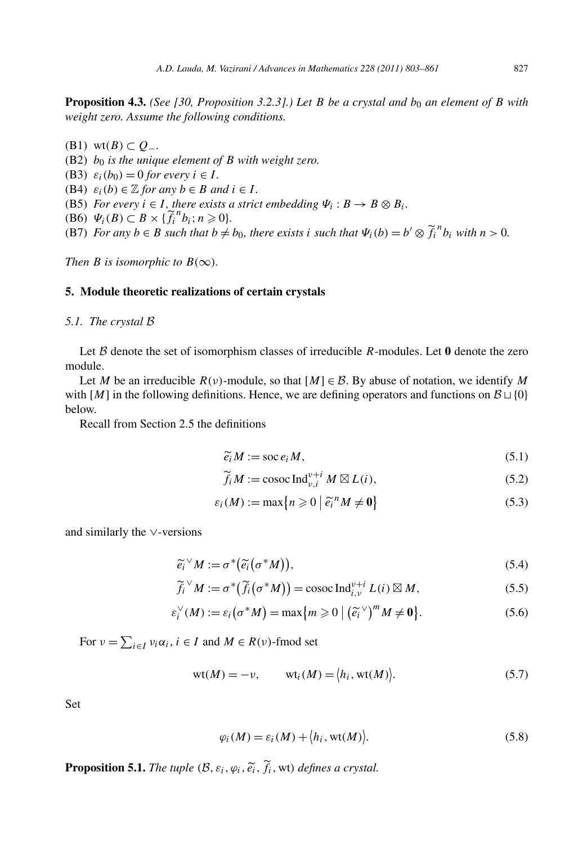**Proposition 4.3.** *(See [30, Proposition 3.2.3].) Let B be a crystal and b*<sup>0</sup> *an element of B with weight zero. Assume the following conditions.*

(B1) wt*(B)* ⊂ *Q*−*.* (B2) *b*<sup>0</sup> *is the unique element of B with weight zero.* (B3)  $\varepsilon_i(b_0) = 0$  *for every*  $i \in I$ . (B4)  $\varepsilon_i(b) \in \mathbb{Z}$  *for any*  $b \in B$  *and*  $i \in I$ . (B5) *For every*  $i \in I$ *, there exists a strict embedding*  $\Psi_i : B \to B \otimes B_i$ *.* 

- $(B6) \Psi_i(B) \subset B \times {\{\widetilde{f}_i}^n b_i; n \geq 0\}.$
- (B7) For any  $b \in B$  such that  $b \neq b_0$ , there exists *i* such that  $\Psi_i(b) = b' \otimes \widetilde{f_i}^n b_i$  with  $n > 0$ .

*Then B is isomorphic to*  $B(\infty)$ *.* 

# **5. Module theoretic realizations of certain crystals**

*5.1. The crystal* B

Let B denote the set of isomorphism classes of irreducible *R*-modules. Let **0** denote the zero module.

Let *M* be an irreducible  $R(v)$ -module, so that  $[M] \in \mathcal{B}$ . By abuse of notation, we identify *M* with  $[M]$  in the following definitions. Hence, we are defining operators and functions on  $B \sqcup \{0\}$ below.

Recall from Section 2.5 the definitions

effinitions  
\n
$$
\widetilde{e_i} M := \operatorname{soc} e_i M,
$$
\n(5.1)

$$
\widetilde{f}_i M := \operatorname{cosoc} \operatorname{Ind}_{\nu,i}^{\nu+i} M \boxtimes L(i),\tag{5.2}
$$

$$
\widetilde{e_i} M := \operatorname{soc} e_i M,
$$
\n(5.1)  
\n
$$
\widetilde{f_i} M := \operatorname{cosoc} \operatorname{Ind}_{\nu,i}^{\nu+i} M \boxtimes L(i),
$$
\n(5.2)  
\n
$$
\varepsilon_i(M) := \max\{n \geq 0 \mid \widetilde{e_i}^n M \neq 0\}
$$
\n(5.3)

and similarly the ∨-versions

$$
\widetilde{e_i} \vee M := \sigma^* \big( \widetilde{e_i} \big( \sigma^* M \big) \big), \tag{5.4}
$$
\nso that

$$
\widetilde{e_i}^{\vee} M := \sigma^* \big( \widetilde{e_i} \big( \sigma^* M \big) \big), \qquad (5.4)
$$
\n
$$
\widetilde{f_i}^{\vee} M := \sigma^* \big( \widetilde{f_i} \big( \sigma^* M \big) \big) = \operatorname{cosoc} \operatorname{Ind}_{i, \nu}^{\nu + i} L(i) \boxtimes M, \qquad (5.5)
$$
\n
$$
\widetilde{f_i}^{\vee} (M) := \varepsilon_i \big( \sigma^* M \big) = \max \{ m \ge 0 \mid \big( \widetilde{e_i}^{\vee} \big)^m M \neq 0 \}.
$$
\n
$$
(5.6)
$$

$$
\varepsilon_i^{\vee}(M) := \varepsilon_i(\sigma^*M) = \max\{m \ge 0 \mid (\widetilde{e_i}^{\vee})^m M \ne 0\}.
$$
 (5.6)

For  $v = \sum$  $\sum_{i \in I} v_i \alpha_i$ ,  $i \in I$  and  $M \in R(v)$ -fmod set

$$
I \text{ and } M \in R(\nu)\text{-}\text{fmod set}
$$
  

$$
\text{wt}(M) = -\nu, \qquad \text{wt}_i(M) = \langle h_i, \text{wt}(M) \rangle. \tag{5.7}
$$

Set

$$
\varphi_i(M) = \varepsilon_i(M) + \langle h_i, \text{wt}(M) \rangle. \tag{5.8}
$$

**Proposition 5.1.** *The tuple*  $(\mathcal{B}, \varepsilon_i, \varphi_i, \tilde{e_i}, \tilde{f_i}, \text{wt})$  *defines a crystal.*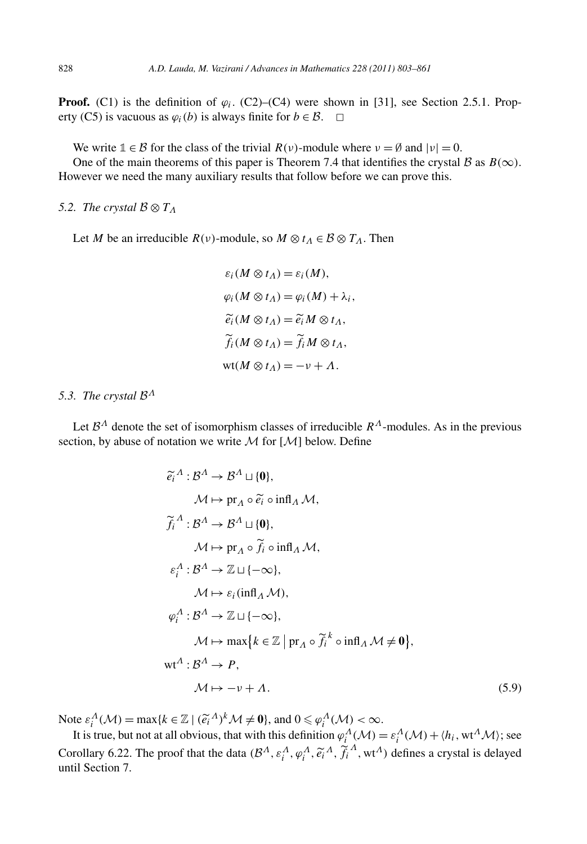**Proof.** (C1) is the definition of  $\varphi_i$ . (C2)–(C4) were shown in [31], see Section 2.5.1. Property (C5) is vacuous as  $\varphi_i(b)$  is always finite for  $b \in \mathcal{B}$ .  $\Box$ 

We write  $1 \in \mathcal{B}$  for the class of the trivial  $R(v)$ -module where  $v = \emptyset$  and  $|v| = 0$ .

One of the main theorems of this paper is Theorem 7.4 that identifies the crystal  $\beta$  as  $B(\infty)$ . However we need the many auxiliary results that follow before we can prove this.

# *5.2. The crystal*  $\mathcal{B} \otimes T_A$

Let *M* be an irreducible  $R(v)$ -module, so  $M \otimes t_A \in B \otimes T_A$ . Then

$$
\varepsilon_i(M \otimes t_A) = \varepsilon_i(M),
$$
  
\n
$$
\varphi_i(M \otimes t_A) = \varphi_i(M) + \lambda_i,
$$
  
\n
$$
\widetilde{e_i}(M \otimes t_A) = \widetilde{e_i}M \otimes t_A,
$$
  
\n
$$
\widetilde{f_i}(M \otimes t_A) = \widetilde{f_i}M \otimes t_A,
$$
  
\n
$$
\text{wt}(M \otimes t_A) = -\nu + A.
$$

# *5.3. The crystal* <sup>B</sup>*<sup>Λ</sup>*

Let  $\mathcal{B}^{\Lambda}$  denote the set of isomorphism classes of irreducible  $\mathbb{R}^{\Lambda}$ -modules. As in the previous section, by abuse of notation we write  $\mathcal M$  for  $[\mathcal M]$  below. Define *ei*

$$
\tilde{e}_{i}^{\Lambda}: \mathcal{B}^{\Lambda} \to \mathcal{B}^{\Lambda} \sqcup \{\mathbf{0}\},
$$
\n
$$
\mathcal{M} \mapsto \mathrm{pr}_{\Lambda} \circ \tilde{e}_{i} \circ \mathrm{infl}_{\Lambda} \mathcal{M},
$$
\n
$$
\tilde{f}_{i}^{\Lambda}: \mathcal{B}^{\Lambda} \to \mathcal{B}^{\Lambda} \sqcup \{\mathbf{0}\},
$$
\n
$$
\mathcal{M} \mapsto \mathrm{pr}_{\Lambda} \circ \tilde{f}_{i} \circ \mathrm{infl}_{\Lambda} \mathcal{M},
$$
\n
$$
\varepsilon_{i}^{\Lambda}: \mathcal{B}^{\Lambda} \to \mathbb{Z} \sqcup \{-\infty\},
$$
\n
$$
\mathcal{M} \mapsto \varepsilon_{i} (\mathrm{infl}_{\Lambda} \mathcal{M}),
$$
\n
$$
\varphi_{i}^{\Lambda}: \mathcal{B}^{\Lambda} \to \mathbb{Z} \sqcup \{-\infty\},
$$
\n
$$
\mathcal{M} \mapsto \max \{k \in \mathbb{Z} \mid \mathrm{pr}_{\Lambda} \circ \tilde{f}_{i}^{k} \circ \mathrm{infl}_{\Lambda} \mathcal{M} \neq \mathbf{0}\},
$$
\n
$$
\mathrm{wt}^{\Lambda}: \mathcal{B}^{\Lambda} \to \mathcal{P},
$$
\n
$$
\mathcal{M} \mapsto -\nu + \Lambda.
$$
\n(5.9)\n
$$
\mathrm{Note} \ \varepsilon_{i}^{\Lambda}(\mathcal{M}) = \max \{k \in \mathbb{Z} \mid (\tilde{e}_{i}^{\Lambda})^{k} \mathcal{M} \neq \mathbf{0}\}, \text{and } 0 \leq \varphi_{i}^{\Lambda}(\mathcal{M}) < \infty.
$$

It is true, but not at all obvious, that with this definition  $\varphi_i^A(\mathcal{M}) = \varepsilon_i^A(\mathcal{M}) + \langle h_i, w t^A \mathcal{M} \rangle$ ; see Corollary 6.22. The proof that the data  $(B^{\Lambda}, \varepsilon_i^{\Lambda}, \varphi_i^{\Lambda}, \tilde{\varepsilon}_i^{\Lambda}, \tilde{\varepsilon}_i^{\Lambda}, \mathfrak{m}^{A})$  defines a crystal is delayed  $\leq \varphi_i^{\Delta}$ <br>*i* initial,  $\widetilde{e}_i^{\Delta}$ ,  $\widetilde{e}_i$ until Section 7.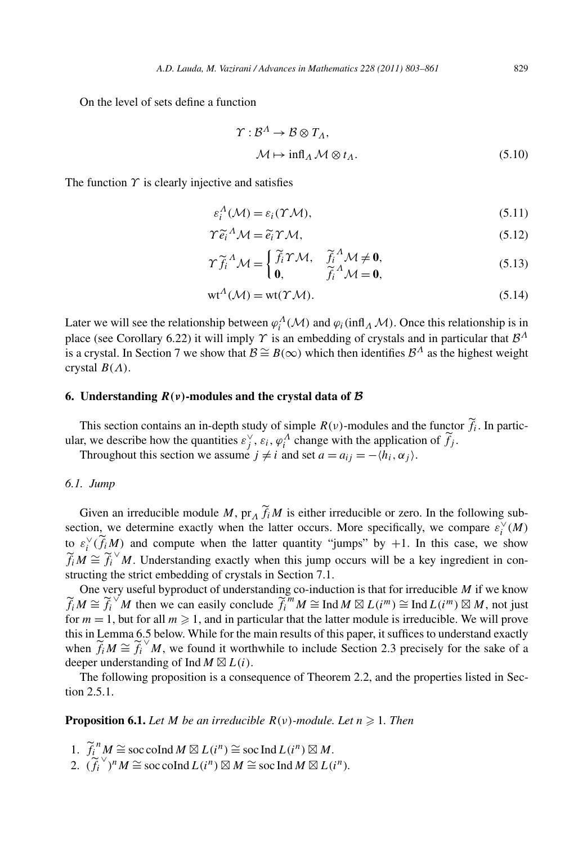On the level of sets define a function

$$
\gamma: \mathcal{B}^{\Lambda} \to \mathcal{B} \otimes T_{\Lambda},
$$
  

$$
\mathcal{M} \mapsto \inf_{\Lambda} \mathcal{M} \otimes t_{\Lambda}.
$$
 (5.10)

The function  $\gamma$  is clearly injective and satisfies

$$
\varepsilon_i^A(\mathcal{M}) = \varepsilon_i(\Upsilon \mathcal{M}),\tag{5.11}
$$

$$
\varepsilon_i^A(\mathcal{M}) = \varepsilon_i(\Upsilon \mathcal{M}),
$$
  
\n
$$
\Upsilon \tilde{e}_i^A \mathcal{M} = \tilde{e}_i \Upsilon \mathcal{M},
$$
  
\n(5.11)  
\n(5.12)

$$
\Upsilon \widetilde{f}_i{}^A \mathcal{M} = \begin{cases} \widetilde{f}_i \Upsilon \mathcal{M}, & \widetilde{f}_i{}^A \mathcal{M} \neq \mathbf{0}, \\ \mathbf{0}, & \widetilde{f}_i{}^A \mathcal{M} = \mathbf{0}, \end{cases}
$$
(5.13)

$$
\text{wt}^{\Lambda}(\mathcal{M}) = \text{wt}(\Upsilon \mathcal{M}).\tag{5.14}
$$

Later we will see the relationship between  $\varphi_i^A(\mathcal{M})$  and  $\varphi_i(\inf_A \mathcal{M})$ . Once this relationship is in place (see Corollary 6.22) it will imply *<sup>Υ</sup>* is an embedding of crystals and in particular that <sup>B</sup>*<sup>Λ</sup>* is a crystal. In Section 7 we show that  $\mathcal{B} \cong B(\infty)$  which then identifies  $\mathcal{B}^{\Lambda}$  as the highest weight crystal *B(Λ)*.

#### **6.** Understanding  $R(v)$ -modules and the crystal data of  $B$

This section contains an in-depth study of simple  $R(v)$ -modules and the functor  $f_i$ . In particular, we describe how the quantities  $\varepsilon_j^{\vee}$ ,  $\varepsilon_i$ ,  $\varphi_i^{\Lambda}$  change with the application of  $\widetilde{f}_j$ .

Throughout this section we assume  $j \neq i$  and set  $a = a_{ij} = -\langle h_i, \alpha_j \rangle$ .

#### *6.1. Jump*

Given an irreducible module *M*,  $pr_A f_i M$  is either irreducible or zero. In the following subsection, we determine exactly when the latter occurs. More specifically, we compare  $\varepsilon_i^{\vee}(M)$ to  $\varepsilon_i^{\vee}(\widetilde{f}_i M)$  and compute when the latter quantity "jumps" by +1. In this case, we show  $\widetilde{f}_i M \cong \widetilde{f}_i^{\vee} M$ . Understanding exactly when this jump occurs will be a key ingredient in constructing the strict embedding of crystals in Section 7.1.

One very useful byproduct of understanding co-induction is that for irreducible *M* if we know  $\widetilde{f}_i M \cong \widetilde{f}_i \circ M$  then we can easily conclude  $\widetilde{f}_i^m M \cong \text{Ind } M \boxtimes L(i^m) \cong \text{Ind } L(i^m) \boxtimes M$ , not just for  $m = 1$ , but for all  $m \ge 1$ , and in particular that the latter module is irreducible. We will prove this in Lemma 6.5 below. While for the main results of this paper, it suffices to understand exactly when  $\widetilde{f}_iM \cong \widetilde{f}_i^{\vee}M$ , we found it worthwhile to include Section 2.3 precisely for the sake of a deeper understanding of Ind  $M \boxtimes L(i)$ .

The following proposition is a consequence of Theorem 2.2, and the properties listed in Section 2.5.1.

**Proposition 6.1.** *Let M be an irreducible*  $R(v)$ *-module. Let*  $n \geq 1$ *. Then* 

- 1.  $\widetilde{f}_i^n M \cong \text{soc} \text{ \text{ \texttt{coll}} } M \boxtimes L(i^n) \cong \text{ \text{soc} } \text{Ind } L(i^n) \boxtimes M$ .
- 2.  $(\widetilde{f}_i^{\vee})^n M \cong$  soc coInd  $L(i^n) \boxtimes M \cong$  socInd  $M \boxtimes L(i^n)$ .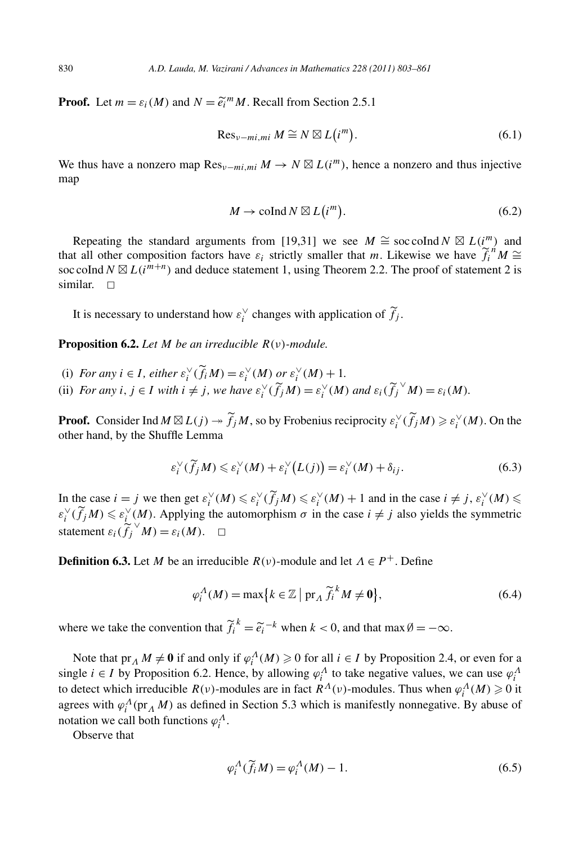**Proof.** Let  $m = \varepsilon_i(M)$  and  $N = \widetilde{e_i}^m M$ . Recall from Section 2.5.1 *m*

$$
\operatorname{Res}_{v-mi,mi} M \cong N \boxtimes L(i^m). \tag{6.1}
$$

We thus have a nonzero map  $\text{Res}_{\nu-mi,mi} M \to N \boxtimes L(i^m)$ , hence a nonzero and thus injective<br>map<br> $M \to \text{coInd } N \boxtimes L(i^m)$  (6.2) map

$$
M \to \text{coInd } N \boxtimes L(i^m). \tag{6.2}
$$

Repeating the standard arguments from [19,31] we see  $M \cong$  soc coInd  $N \boxtimes L(i^m)$  and that all other composition factors have  $\varepsilon_i$  strictly smaller that *m*. Likewise we have  $\tilde{f}_i^n M \cong$ soc coInd  $N \boxtimes L(i^{m+n})$  and deduce statement 1, using Theorem 2.2. The proof of statement 2 is similar.  $\Box$ 

It is necessary to understand how  $\varepsilon_i^{\vee}$  changes with application of  $\widetilde{f}_j$ .

**Proposition 6.2.** *Let M be an irreducible R(ν)-module.*

- (i) *For any*  $i \in I$ *, either*  $\varepsilon_i^{\vee}(\widetilde{f}_i M) = \varepsilon_i^{\vee}(M)$  *or*  $\varepsilon_i^{\vee}(M) + 1$ *.*
- (ii) For any  $i, j \in I$  with  $i \neq j$ , we have  $\varepsilon_i^{\vee}(\widetilde{f}_jM) = \varepsilon_i^{\vee}(M)$  and  $\varepsilon_i(\widetilde{f}_j^{\vee}M) = \varepsilon_i(M)$ .

**Proof.** Consider Ind  $M \boxtimes L(j) \rightarrow \tilde{f}_jM$ , so by Frobenius reciprocity  $\varepsilon_i^{\vee}(\tilde{f}_jM) \geq \varepsilon_i^{\vee}(M)$ . On the other hand, by the Shuffle Lemma<br>  $\varepsilon_i^{\vee}(\tilde{f}_jM) \leq \varepsilon_i^{\vee}(M) + \varepsilon_i^{\vee}(L(j)) = \varepsilon_i^{\vee}(M) + \delta_{ij}$ . (6 other hand, by the Shuffle Lemma

$$
\varepsilon_i^{\vee}(\widetilde{f}_j M) \leqslant \varepsilon_i^{\vee}(M) + \varepsilon_i^{\vee}\big(L(j)\big) = \varepsilon_i^{\vee}(M) + \delta_{ij}.
$$
\n
$$
(6.3)
$$

In the case  $i = j$  we then get  $\varepsilon_i^{\vee}(M) \leqslant \varepsilon_i^{\vee}(\widetilde{f}_jM) \leqslant \varepsilon_i^{\vee}(M) + 1$  and in the case  $i \neq j$ ,  $\varepsilon_i^{\vee}(M) \leqslant j$  $\varepsilon_i^{\vee}(\widetilde{f}_jM) \leq \varepsilon_i^{\vee}(M)$ . Applying the automorphism  $\sigma$  in the case  $i \neq j$  also yields the symmetric statement  $\varepsilon_i(\tilde{f}_j^{\vee}M) = \varepsilon_i(M)$ .  $\Box$ 

**Definition 6.3.** Let *M* be an irreducible  $R(\nu)$ -module and let  $\Lambda \in P^+$ . Define

$$
\text{a irreducible } R(\nu) \text{-module and let } A \in P^+. \text{ Define}
$$
\n
$$
\varphi_i^A(M) = \max \{ k \in \mathbb{Z} \mid \text{pr}_A \widetilde{f_i}^k M \neq 0 \},\tag{6.4}
$$

 $\varphi_i^A(M) = \max \{ k \in \mathbb{Z} \mid \text{pr}_A \widetilde{f}_i^k M \neq 0 \},$ <br>where we take the convention that  $\widetilde{f}_i^k = \widetilde{e}_i^{-k}$  when  $k < 0$ , and that  $\max \emptyset = -\infty$ .

Note that  $pr_A M \neq 0$  if and only if  $\varphi_i^A(M) \geq 0$  for all  $i \in I$  by Proposition 2.4, or even for a single *i* ∈ *I* by Proposition 6.2. Hence, by allowing  $\varphi_i^A$  to take negative values, we can use  $\varphi_i^A$ to detect which irreducible  $R(v)$ -modules are in fact  $R^{\Lambda}(v)$ -modules. Thus when  $\varphi_i^{\Lambda}(M) \geq 0$  it agrees with  $\varphi_i^A$  ( $pr_A M$ ) as defined in Section 5.3 which is manifestly nonnegative. By abuse of notation we call both functions  $\varphi_i^A$ .

Observe that

$$
\varphi_i^A(\widetilde{f}_i M) = \varphi_i^A(M) - 1.
$$
\n(6.5)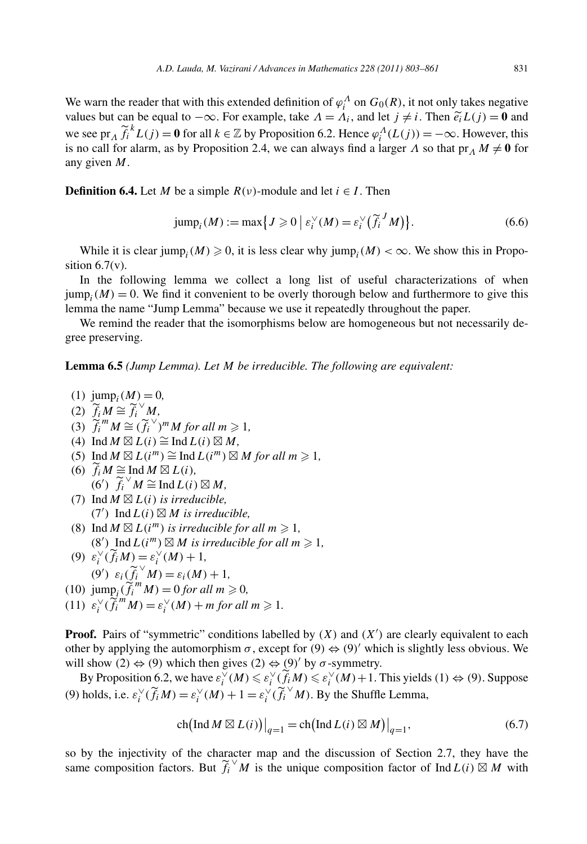We warn the reader that with this extended definition of  $\varphi_i^A$  on  $G_0(R)$ , it not only takes negative values but can be equal to  $-\infty$ . For example, take  $\Lambda = \Lambda_i$ , and let  $j \neq i$ . Then  $\tilde{e}_i L(j) = 0$  and we see  $pr_A \tilde{f}_i^k L(j) = 0$  for all  $k \in \mathbb{Z}$  by Proposition 6.2. Hence  $\varphi_i^A(L(j)) = -\infty$ . However, this is no call for alarm, as by Proposition 2.4, we can always find a larger  $\Lambda$  so that pr<sub>Λ</sub>  $M \neq 0$  for any given *M*.

**Definition 6.4.** Let *M* be a simple  $R(v)$ -module and let  $i \in I$ . Then

be a simple 
$$
R(v)
$$
-module and let  $i \in I$ . Then  
\n
$$
\text{jump}_i(M) := \max\{J \geq 0 \mid \varepsilon_i^{\vee}(M) = \varepsilon_i^{\vee}(\widetilde{f}_i^J M)\}.
$$
\n(6.6)

While it is clear  $jump_i(M) \ge 0$ , it is less clear why  $jump_i(M) < \infty$ . We show this in Proposition  $6.7(v)$ .

In the following lemma we collect a long list of useful characterizations of when  $jump_i(M) = 0$ . We find it convenient to be overly thorough below and furthermore to give this lemma the name "Jump Lemma" because we use it repeatedly throughout the paper.

We remind the reader that the isomorphisms below are homogeneous but not necessarily degree preserving.

**Lemma 6.5** *(Jump Lemma). Let M be irreducible. The following are equivalent:*

- $(1)$  jump<sub>*i*</sub> $(M) = 0$ ,
- (2)  $\widetilde{f}_i M \cong \widetilde{f}_i^{\vee} M$ ,
- (3)  $\widetilde{f}_i^m M \cong (\widetilde{f}_i^{\vee})^m M$  for all  $m \geq 1$ ,
- $(4)$  Ind *M* ⊠  $L(i)$  ≅ Ind  $L(i)$  ⊠ *M*,
- (5) Ind  $M \boxtimes L(i^m) \cong \text{Ind } L(i^m) \boxtimes M$  *for all*  $m \ge 1$ *,*
- $\widetilde{f}_i M \cong \text{Ind } M \boxtimes L(i)$ ,  $(6')$   $\widetilde{f}_i^{\vee} M \cong \text{Ind } L(i) \boxtimes M$ ,
- (7) Ind  $M \boxtimes L(i)$  *is irreducible,* (7') Ind  $L(i) \boxtimes M$  *is irreducible*,
- (8) Ind  $M \boxtimes L(i^m)$  *is irreducible for all*  $m \ge 1$ *,* (8') Ind  $L(i^m) \boxtimes M$  *is irreducible for all*  $m \ge 1$ ,
- (9)  $\varepsilon_i^{\vee}(\widetilde{f}_iM) = \varepsilon_i^{\vee}(M) + 1$ ,  $(\hat{\theta}') \varepsilon_i(\widetilde{f}_i^{\vee}M) = \varepsilon_i(M) + 1,$
- (10)  $\lim_{i} \left( \tilde{f}_i^m M \right) = 0$  *for all*  $m \ge 0$ ,
- (11)  $\varepsilon_i^{\vee}(\widetilde{f_i}^m M) = \varepsilon_i^{\vee}(M) + m$  for all  $m \ge 1$ .

**Proof.** Pairs of "symmetric" conditions labelled by  $(X)$  and  $(X')$  are clearly equivalent to each other by applying the automorphism  $\sigma$ , except for  $(9) \Leftrightarrow (9)'$  which is slightly less obvious. We will show (2)  $\Leftrightarrow$  (9) which then gives (2)  $\Leftrightarrow$  (9)' by  $\sigma$ -symmetry.

By Proposition 6.2, we have  $\varepsilon_i^{\vee}(M) \leq \varepsilon_i^{\vee}(f_i M) \leq \varepsilon_i^{\vee}(M) + 1$ . This yields (1)  $\Leftrightarrow$  (9). Suppose<br>holds, i.e.  $\varepsilon_i^{\vee}(\tilde{f}_i M) = \varepsilon_i^{\vee}(M) + 1 = \varepsilon_i^{\vee}(\tilde{f}_i^{\vee} M)$ . By the Shuffle Lemma,<br>ch(Ind  $M \$ (9) holds, i.e.  $\varepsilon_i^{\vee}(\widetilde{f}_i M) = \varepsilon_i^{\vee}(M) + 1 = \varepsilon_i^{\vee}(\widetilde{f}_i^{\vee} M)$ . By the Shuffle Lemma,

$$
\operatorname{ch}\bigl(\operatorname{Ind} M \boxtimes L(i)\bigr)\big|_{q=1} = \operatorname{ch}\bigl(\operatorname{Ind} L(i) \boxtimes M\bigr)\big|_{q=1},\tag{6.7}
$$

so by the injectivity of the character map and the discussion of Section 2.7, they have the same composition factors. But  $\widetilde{f}_i^{\vee}M$  is the unique composition factor of Ind  $L(i) \boxtimes M$  with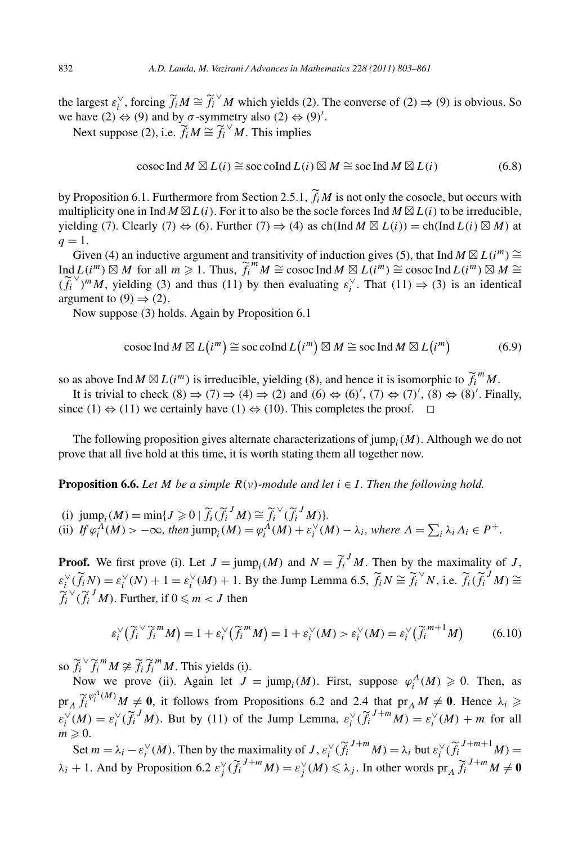the largest  $\varepsilon_i^{\vee}$ , forcing  $\widetilde{f}_i M \cong \widetilde{f}_i^{\vee} M$  which yields (2). The converse of (2)  $\Rightarrow$  (9) is obvious. So we have  $(2) \Leftrightarrow (9)$  and by  $\sigma$ -symmetry also  $(2) \Leftrightarrow (9)'$ .

Next suppose (2), i.e.  $\widetilde{f}_i M \cong \widetilde{f}_i^{\vee} M$ . This implies

$$
\operatorname{cosoc} \operatorname{Ind} M \boxtimes L(i) \cong \operatorname{soc} \operatorname{coInd} L(i) \boxtimes M \cong \operatorname{soc} \operatorname{Ind} M \boxtimes L(i) \tag{6.8}
$$

by Proposition 6.1. Furthermore from Section 2.5.1,  $f_iM$  is not only the cosocle, but occurs with multiplicity one in Ind  $M \boxtimes L(i)$ . For it to also be the socle forces Ind  $M \boxtimes L(i)$  to be irreducible, *y*ielding (7). Clearly (7) ⇔ (6). Further (7) ⇒ (4) as ch(Ind *M*  $\boxtimes$  *L(i)*) = ch(Ind *L(i)*  $\boxtimes$  *M)* at  $q = 1$ .

Given (4) an inductive argument and transitivity of induction gives (5), that Ind *M*  $\boxtimes L(i^m) \cong$  $\text{Ind } L(i^m) \overset{\sim}{\boxtimes} M$  for all  $m \geq 1$ . Thus,  $\widetilde{f}_i^m M \cong \text{cosoc Ind } M \boxtimes L(i^m) \cong \text{cosoc Ind } L(i^m) \boxtimes M \cong$  $(\widetilde{f}_i^{\vee})^m M$ , yielding (3) and thus (11) by then evaluating  $\varepsilon_i^{\vee}$ . That  $(11) \Rightarrow (3)$  is an identical argument to  $(9) \rightarrow (2)$ argument to  $(9) \Rightarrow (2)$ .  $m \rightarrow \infty$  Proposition<br>*m*  $) \cong$  soc coInd *L m m* (6.9)

Now suppose (3) holds. Again by Proposition 6.1

$$
\operatorname{cosoc} \operatorname{Ind} M \boxtimes L(i^m) \cong \operatorname{soc} \operatorname{coInd} L(i^m) \boxtimes M \cong \operatorname{soc} \operatorname{Ind} M \boxtimes L(i^m) \tag{6.9}
$$

so as above Ind  $M \boxtimes L(i^m)$  is irreducible, yielding (8), and hence it is isomorphic to  $\widetilde{f_i}^m M$ .

It is trivial to check  $(8) \Rightarrow (7) \Rightarrow (4) \Rightarrow (2)$  and  $(6) \Leftrightarrow (6)'$ ,  $(7) \Leftrightarrow (7)'$ ,  $(8) \Leftrightarrow (8)'$ . Finally, since  $(1) \Leftrightarrow (11)$  we certainly have  $(1) \Leftrightarrow (10)$ . This completes the proof.  $\Box$ 

The following proposition gives alternate characterizations of jump*i(M)*. Although we do not prove that all five hold at this time, it is worth stating them all together now.

**Proposition 6.6.** Let *M* be a simple  $R(v)$ *-module and let*  $i \in I$ *. Then the following hold.* 

(i)  $\text{jump}_i(M) = \min\{J \geq 0 \mid \widetilde{f}_i(\widetilde{f}_i^J M) \cong \widetilde{f}_i^{\vee}(\widetilde{f}_i^J M)\}.$ **Proposition 6.6.** *Let M be a simple R(v)-module and let i*  $\in$  *I*. Then the follow<br>
(i)  $\lim_{M \to \infty} M = \min\{J \ge 0 \mid \tilde{f}_i(\tilde{f}_i^J M) \cong \tilde{f}_i^{\vee}(\tilde{f}_i^J M) \}.$ <br>
(ii)  $\text{If } \varphi_i^A(M) > -\infty$ , then  $\text{jump}_i(M) = \varphi_i^A(M) + \varepsilon_i$  $\sum_i \lambda_i \Lambda_i \in P^+$ . If  $\varphi_i^{\{r\}}(M) > -\infty$ , then  $\text{jump}_i(M) = \varphi_i^{\{r\}}(M) + \varepsilon_i^{\{r\}}(M) - \lambda_i$ , where  $\Lambda = \sum_i \lambda_i \Lambda_i \in I$ 

**Proof.** We first prove (i). Let  $J = \text{jump}_i(M)$  and  $N = \tilde{f}_i^J M$ . Then by the maximality of *J*,  $\varepsilon_i^{\vee}(\widetilde{f}_i N) = \varepsilon_i^{\vee}(N) + 1 = \varepsilon_i^{\vee}(M) + 1$ . By the Jump Lemma 6.5,  $\widetilde{f}_i N \cong \widetilde{f}_i^{\vee} N$ , i.e.  $\widetilde{f}_i(\widetilde{f}_i^J M) \cong$ <br>  $\widetilde{f}_i^{\vee}(\widetilde{f}_i^J M)$ . Further, if  $0 \le m < J$  then<br>  $\varepsilon_i^{\vee}(\widetilde{f}_i^{\vee} \wid$  $\widetilde{f}_i^{\vee}(\widetilde{f}_i^{\vee}M)$ . Further, if  $0 \le m < J$  then  $\sim 10^{-1}$  $-1 =$ <br>*m M*)

$$
\varepsilon_i^{\vee}(\widetilde{f_i}^{\vee}\widetilde{f_i}^mM) = 1 + \varepsilon_i^{\vee}(\widetilde{f_i}^mM) = 1 + \varepsilon_i^{\vee}(M) > \varepsilon_i^{\vee}(M) = \varepsilon_i^{\vee}(\widetilde{f_i}^{m+1}M) \tag{6.10}
$$

so  $\widetilde{f}_i \tilde{f}_i^m M \ncong \widetilde{f}_i \widetilde{f}_i^m M$ . This yields (i).

Now we prove (ii). Again let  $J = \text{jump}_i(M)$ . First, suppose  $\varphi_i^A(M) \ge 0$ . Then, as  $pr_A \tilde{f}_i^{\varphi_i^A(M)} M \neq 0$ , it follows from Propositions 6.2 and 2.4 that  $pr_A M \neq 0$ . Hence  $\lambda_i \geq \varepsilon_i^{\vee}(M) = \varepsilon_i^{\vee}(\tilde{f}_i^J M)$ . But by (11) of the Jump Lemma,  $\varepsilon_i^{\vee}(\tilde{f}_i^{J+m} M) = \varepsilon_i^{\vee}(M) + m$  for all  $m \geqslant 0$ . and 2.4 that  $pr_A M \neq 0$ . of the Jump Lemma,  $\varepsilon_i^{\vee}(f_i \cdot M) = \varepsilon_i^{\vee}(M)$ .

Set  $m = \lambda_i - \varepsilon_i^{\vee}(M)$ . Then by the maximality of J,  $\varepsilon_i^{\vee}(\widetilde{f}_i^{J+m}M) = \lambda_i$  but  $\varepsilon_i^{\vee}(\widetilde{f}_i^{J+m+1}M) =$  $\lambda_i + 1$ . And by Proposition 6.2  $\varepsilon_j^{\vee}(\widetilde{f}_i^{J+m}M) = \varepsilon_j^{\vee}(M) \leq \lambda_j$ . In other words  $\text{pr}_A \widetilde{f}_i^{J+m}M \neq \mathbf{0}$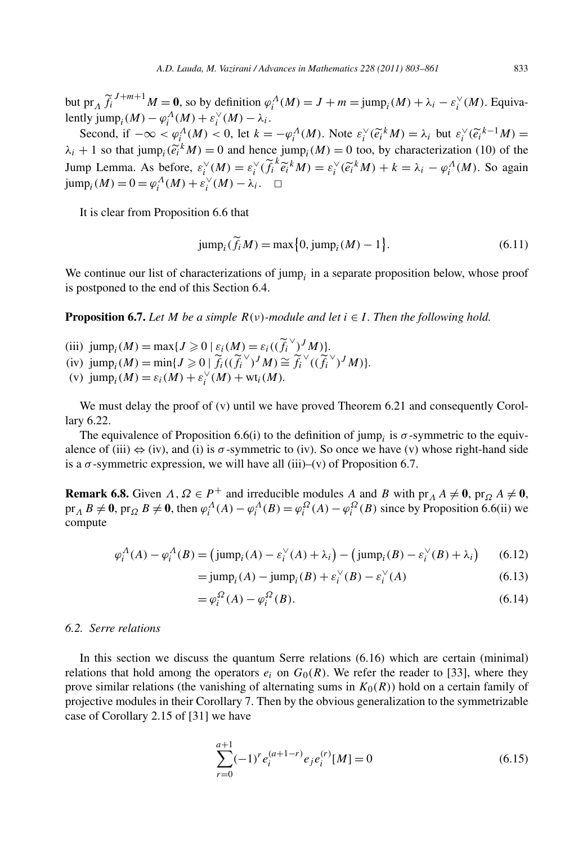but  $pr_A \widetilde{f}_i^{J+m+1}M = 0$ , so by definition  $\varphi_i^A(M) = J + m = \text{jump}_i(M) + \lambda_i - \varepsilon_i^{\vee}(M)$ . Equivalently  $\text{jump}_i(M) - \varphi_i^A(M) + \varepsilon_i^{\vee}(M) - \lambda_i$ .  $\jmath$ *i*  $\operatorname{ump}_i(M) + \lambda_i - \varepsilon_i^{\vee}(M)$ <br>  $\gamma_i^{\vee}(\widetilde{e_i}^k M) = \lambda_i \text{ but } \varepsilon_i^{\vee}(\widetilde{e_i}^k)$  $\ddot{\phantom{0}}$ 

Second, if  $-\infty < \varphi_i^A(M) < 0$ , let  $k = -\varphi_i^A(M)$ . Note  $\varepsilon_i^{\vee}(\tilde{e}_i^k M) = \lambda_i$  but  $\varepsilon_i^{\vee}(\tilde{e}_i^{k-1}M) =$ <br>+ 1 so that jump<sub>i</sub>  $(\tilde{e}_i^k M) = 0$  and hence jump<sub>i</sub>  $(M) = 0$  too, by characterization (10) of the<br>np Lemma. but  $pr_A J_i$   $M = 0$ <br>
lently jump<sub>i</sub>( $M$ ) –  $\varphi_i^A$ (<br>
Second, if  $-\infty < \varphi_i$ <br>  $\lambda_i + 1$  so that jump<sub>i</sub>( $\widetilde{e_i}$ )  $\lambda_i + 1$  so that jump<sub>i</sub>( $\tilde{e}_i^k M$ ) = 0 and hence jump<sub>i</sub>( $M$ ) = 0 too, by characterization (10) of the Jump Lemma. As before,  $\varepsilon_i^{\vee}(M) = \varepsilon_i^{\vee}(\widetilde{f_i}^k \widetilde{e_i}^k M) = \varepsilon_i^{\vee}(\widetilde{e_i}^k M) + k = \lambda_i - \varphi_i^{\Lambda}(M)$ . So again  $e^{-\varphi}$ <br>*ju*<br> $\widetilde{e_i}$  $\lim_{i} M(n) = 0 = \varphi_i^A(M) + \varepsilon_i^{\vee}(M) - \lambda_i.$ 

It is clear from Proposition 6.6 that

$$
\lim_{\delta_i} \delta_i
$$
\n
$$
\lim_{i} \delta_i
$$
\n
$$
\lim_{i} \delta_i
$$
\n
$$
\lim_{i} \delta_i
$$
\n
$$
\lim_{i} \delta_i
$$
\n
$$
\lim_{i} \delta_i
$$
\n
$$
\lim_{i} \delta_i
$$
\n
$$
\lim_{i} \delta_i
$$
\n
$$
\lim_{i} \delta_i
$$
\n
$$
\lim_{i} \delta_i
$$
\n
$$
\lim_{i} \delta_i
$$
\n
$$
\lim_{i} \delta_i
$$
\n
$$
\lim_{i} \delta_i
$$
\n
$$
\lim_{i} \delta_i
$$
\n
$$
\lim_{i} \delta_i
$$
\n
$$
\lim_{i} \delta_i
$$
\n
$$
\lim_{i} \delta_i
$$
\n
$$
\lim_{i} \delta_i
$$
\n
$$
\lim_{i} \delta_i
$$
\n
$$
\lim_{i} \delta_i
$$
\n
$$
\lim_{i} \delta_i
$$
\n
$$
\lim_{i} \delta_i
$$
\n
$$
\lim_{i} \delta_i
$$
\n
$$
\lim_{i} \delta_i
$$
\n
$$
\lim_{i} \delta_i
$$
\n
$$
\lim_{i} \delta_i
$$
\n
$$
\lim_{i} \delta_i
$$
\n
$$
\lim_{i} \delta_i
$$
\n
$$
\lim_{i} \delta_i
$$
\n
$$
\lim_{i} \delta_i
$$
\n
$$
\lim_{i} \delta_i
$$
\n
$$
\lim_{i} \delta_i
$$
\n
$$
\lim_{i} \delta_i
$$
\n
$$
\lim_{i} \delta_i
$$
\n
$$
\lim_{i} \delta_i
$$
\n
$$
\lim_{i} \delta_i
$$
\n
$$
\lim_{i} \delta_i
$$
\n
$$
\lim_{i} \delta_i
$$
\n
$$
\lim_{i} \delta_i
$$
\n
$$
\lim_{i} \delta_i
$$
\n
$$
\lim_{i} \delta_i
$$
\n
$$
\lim_{i} \delta_i
$$
\n
$$
\lim_{i} \delta_i
$$
\n
$$
\lim_{i} \delta_i
$$
\n
$$
\lim_{i} \delta_i
$$

We continue our list of characterizations of jump<sub>i</sub> in a separate proposition below, whose proof is postponed to the end of this Section 6.4.

**Proposition 6.7.** *Let*  $M$  *be a simple*  $R(v)$ *-module and let*  $i \in I$ *. Then the following hold.* 

(iii)  $\text{jump}_i(M) = \max\{J \geq 0 \mid \varepsilon_i(M) = \varepsilon_i((\widetilde{f}_i^{\vee})^J M)\}.$  $(\text{iv})$   $\text{jump}_i(M) = \min\{J \geq 0 \mid \widetilde{f}_i((\widetilde{f}_i^{\vee})^J M) \cong \widetilde{f}_i^{\vee}((\widetilde{f}_i^{\vee})^J M)\}.$ (v)  $\text{jump}_i(M) = \varepsilon_i(M) + \varepsilon_i^{\vee}(M) + \text{wt}_i(M)$ *.* 

We must delay the proof of  $(v)$  until we have proved Theorem 6.21 and consequently Corollary 6.22.

The equivalence of Proposition 6.6(i) to the definition of jump<sub>i</sub> is  $\sigma$ -symmetric to the equivalence of (iii)  $\Leftrightarrow$  (iv), and (i) is  $\sigma$ -symmetric to (iv). So once we have (v) whose right-hand side is a  $\sigma$ -symmetric expression, we will have all (iii)–(v) of Proposition 6.7.

**Remark 6.8.** Given  $\Lambda$ ,  $\Omega \in P^+$  and irreducible modules  $\Lambda$  and  $B$  with  $\text{pr}_\Lambda A \neq \mathbf{0}$ ,  $\text{pr}_\Omega A \neq \mathbf{0}$ , pr<sub>A</sub>  $B \neq 0$ , pr<sub>Ω</sub>  $B \neq 0$ , then  $\varphi_i^A(A) - \varphi_i^A(B) = \varphi_i^{\Omega}(A) - \varphi_i^{\Omega}(B)$  since by Proposition 6.6(ii) we<br>compute<br> $\varphi_i^A(A) - \varphi_i^A(B) = (\text{jump}_i(A) - \varepsilon_i^{\vee}(A) + \lambda_i) - (\text{jump}_i(B) - \varepsilon_i^{\vee}(B) + \lambda_i)$  (6.12) compute

$$
\varphi_i^A(A) - \varphi_i^A(B) = \left(\text{jump}_i(A) - \varepsilon_i^\vee(A) + \lambda_i\right) - \left(\text{jump}_i(B) - \varepsilon_i^\vee(B) + \lambda_i\right) \tag{6.12}
$$

$$
=jumpi(A) - jumpi(B) + \varepsilon_i^{\vee}(B) - \varepsilon_i^{\vee}(A)
$$
\n(6.13)

$$
=\varphi_i^{\Omega}(A)-\varphi_i^{\Omega}(B). \tag{6.14}
$$

#### *6.2. Serre relations*

In this section we discuss the quantum Serre relations (6.16) which are certain (minimal) relations that hold among the operators  $e_i$  on  $G_0(R)$ . We refer the reader to [33], where they prove similar relations (the vanishing of alternating sums in  $K_0(R)$ ) hold on a certain family of projective modules in their Corollary 7. Then by the obvious generalization to the symmetrizable case of Corollary 2.15 of [31] we have

$$
\sum_{r=0}^{a+1} (-1)^r e_i^{(a+1-r)} e_j e_i^{(r)} [M] = 0 \tag{6.15}
$$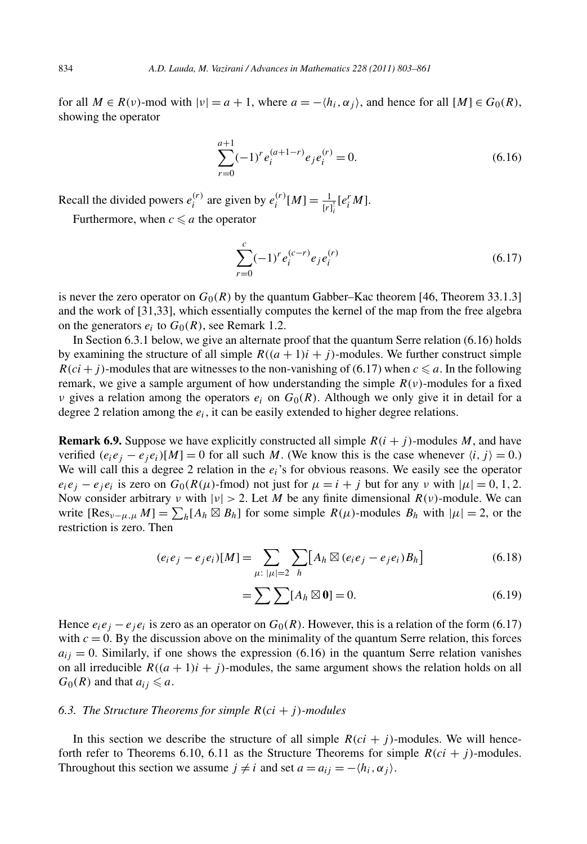for all  $M \in R(\nu)$ -mod with  $|\nu| = a + 1$ , where  $a = -\langle h_i, \alpha_j \rangle$ , and hence for all  $[M] \in G_0(R)$ , showing the operator

$$
\sum_{r=0}^{a+1} (-1)^r e_i^{(a+1-r)} e_j e_i^{(r)} = 0.
$$
\n(6.16)

Recall the divided powers  $e_i^{(r)}$  are given by  $e_i^{(r)}[M] = \frac{1}{[r]_i^r} [e_i^r M]$ .

Furthermore, when  $c \leq a$  the operator

$$
\sum_{r=0}^{c} (-1)^r e_i^{(c-r)} e_j e_i^{(r)}
$$
\n(6.17)

is never the zero operator on  $G_0(R)$  by the quantum Gabber–Kac theorem [46, Theorem 33.1.3] and the work of [31,33], which essentially computes the kernel of the map from the free algebra on the generators  $e_i$  to  $G_0(R)$ , see Remark 1.2.

In Section 6.3.1 below, we give an alternate proof that the quantum Serre relation (6.16) holds by examining the structure of all simple  $R((a + 1)i + j)$ -modules. We further construct simple  $R(c\mathbf{i} + \mathbf{j})$ -modules that are witnesses to the non-vanishing of (6.17) when  $c \le a$ . In the following remark, we give a sample argument of how understanding the simple  $R(v)$ -modules for a fixed *ν* gives a relation among the operators  $e_i$  on  $G_0(R)$ . Although we only give it in detail for a degree 2 relation among the *ei*, it can be easily extended to higher degree relations.

**Remark 6.9.** Suppose we have explicitly constructed all simple  $R(i + j)$ -modules *M*, and have verified  $(e_i e_j - e_j e_i)[M] = 0$  for all such *M*. (We know this is the case whenever  $\langle i, j \rangle = 0$ .) We will call this a degree 2 relation in the  $e_i$ 's for obvious reasons. We easily see the operator  $e_i e_j - e_i e_i$  is zero on  $G_0(R(\mu)$ -fmod) not just for  $\mu = i + j$  but for any *v* with  $|\mu| = 0, 1, 2$ . Now consider arbitrary *ν* with  $|v| > 2$ . Let *M* be any finite dimensional  $R(v)$ -module. We can We will call this a degree<br>We will call this a degree<br> $e_i e_j - e_j e_i$  is zero on  $G_0$ <br>Now consider arbitrary  $\nu$ <br>write  $[Res_{\nu-\mu,\mu} M] = \sum$  $\sum_h[A_h \boxtimes B_h]$  for some simple  $R(\mu)$ -modules  $B_h$  with  $|\mu|=2$ , or the restriction is zero. Then *(eie<sub>j</sub>* − *e<sub>j</sub> e<sub>i</sub>*  $[k] > 2$ . Let *M*<br> *=*  $\sum_{h} [A_h \boxtimes B_h]$  for som<br> *keie<sub>j</sub>* − *e<sub>j</sub>e<sub>i</sub>*)[*M*] =  $\sum$ 

$$
(e_i e_j - e_j e_i)[M] = \sum_{\mu: \ |\mu| = 2} \sum_{h} [A_h \boxtimes (e_i e_j - e_j e_i) B_h]
$$
\n
$$
= \sum_{\mu: \ |\mu| = 2} [A_h \boxtimes \mathbf{0}] = 0.
$$
\n(6.19)

$$
= \sum \sum [A_h \boxtimes \mathbf{0}] = 0. \tag{6.19}
$$

Hence  $e_i e_j - e_j e_i$  is zero as an operator on  $G_0(R)$ . However, this is a relation of the form (6.17) with  $c = 0$ . By the discussion above on the minimality of the quantum Serre relation, this forces  $a_{ij} = 0$ . Similarly, if one shows the expression (6.16) in the quantum Serre relation vanishes on all irreducible  $R((a + 1)i + j)$ -modules, the same argument shows the relation holds on all  $G_0(R)$  and that  $a_{ij} \leq a$ .

#### *6.3. The Structure Theorems for simple*  $R$ ( $ci + j$ )*-modules*

In this section we describe the structure of all simple  $R(c\mathbf{i} + \mathbf{j})$ -modules. We will henceforth refer to Theorems 6.10, 6.11 as the Structure Theorems for simple  $R(c_i + j)$ -modules. Throughout this section we assume  $j \neq i$  and set  $a = a_{ij} = -\langle h_i, \alpha_j \rangle$ .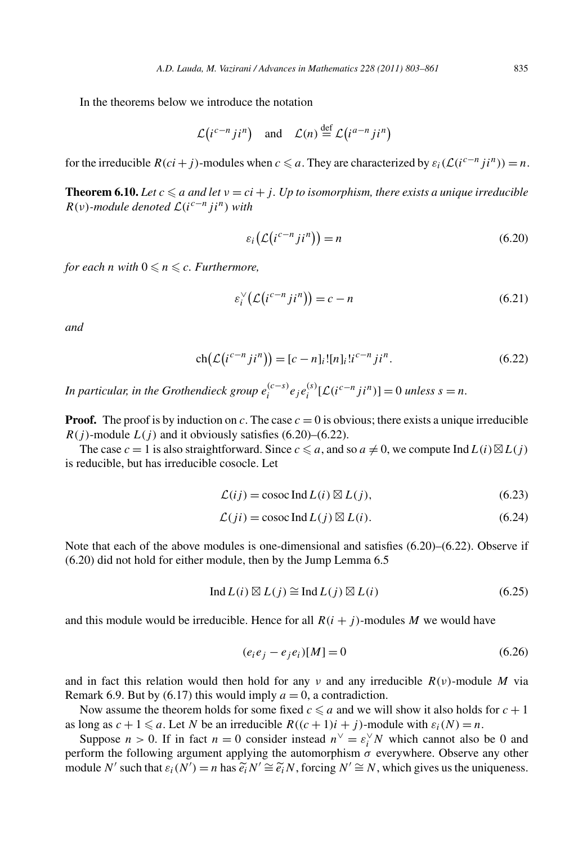In the theorems below we introduce the notation

We introduce the notation  

$$
\mathcal{L}(i^{c-n}ji^n)
$$
 and  $\mathcal{L}(n) \stackrel{\text{def}}{=} \mathcal{L}(i^{a-n}ji^n)$ 

for the irreducible  $R(c_i + j)$ -modules when  $c \leq a$ . They are characterized by  $\varepsilon_i(\mathcal{L}(i^{c-n}i^{n})) = n$ .

**Theorem 6.10.** *Let c*  $\le a$  *and let*  $v = ci + j$ . *Up to isomorphism, there exists a unique irreducible*<br>  $R(v)$ -module denoted  $\mathcal{L}(i^{c-n}ji^n)$  with<br>  $\varepsilon_i(\mathcal{L}(i^{c-n}ji^n)) = n$  (6.20)  $R(v)$ *-module denoted*  $L(i^{c-n}ji^n)$  *with* 

$$
\varepsilon_i(\mathcal{L}(i^{c-n}ji^n)) = n \tag{6.20}
$$

*for each n* with  $0 \le n \le c$ *. Furthermore,* 

$$
c_1(\mathcal{L}(t - jt)) = n
$$
\n
$$
more,
$$
\n
$$
\varepsilon_i^{\vee}(\mathcal{L}(t^{c-n}ji^n)) = c - n
$$
\n(6.21)

*and*

$$
e_i (\mathcal{L}(i - ji)) = c - n
$$
\n
$$
ch(\mathcal{L}(i^{c-n}ji^n)) = [c - n]_i! [n]_i! i^{c-n} ji^n.
$$
\n(6.22)

In particular, in the Grothendieck group  $e_i^{(c-s)}e_je_i^{(s)}[L(i^{c-n}ji^n)]=0$  unless  $s=n$ .

**Proof.** The proof is by induction on *c*. The case  $c = 0$  is obvious; there exists a unique irreducible  $R(j)$ -module  $L(j)$  and it obviously satisfies (6.20)–(6.22).

The case  $c = 1$  is also straightforward. Since  $c \le a$ , and so  $a \ne 0$ , we compute Ind  $L(i) \boxtimes L(j)$ is reducible, but has irreducible cosocle. Let

$$
\mathcal{L}(ij) = \operatorname{cosoc} \operatorname{Ind} L(i) \boxtimes L(j),\tag{6.23}
$$

$$
\mathcal{L}(ji) = \text{cosoc} \operatorname{Ind} L(j) \boxtimes L(i). \tag{6.24}
$$

Note that each of the above modules is one-dimensional and satisfies (6.20)–(6.22). Observe if (6.20) did not hold for either module, then by the Jump Lemma 6.5

$$
\operatorname{Ind} L(i) \boxtimes L(j) \cong \operatorname{Ind} L(j) \boxtimes L(i) \tag{6.25}
$$

and this module would be irreducible. Hence for all  $R(i + j)$ -modules M we would have

$$
(e_i e_j - e_j e_i)[M] = 0 \tag{6.26}
$$

and in fact this relation would then hold for any *v* and any irreducible  $R(v)$ -module *M* via Remark 6.9. But by (6.17) this would imply  $a = 0$ , a contradiction.

Now assume the theorem holds for some fixed  $c \leq a$  and we will show it also holds for  $c + 1$ as long as  $c + 1 \le a$ . Let *N* be an irreducible  $R((c + 1)i + j)$ -module with  $\varepsilon_i(N) = n$ .

Suppose  $n > 0$ . If in fact  $n = 0$  consider instead  $n^{\vee} = \varepsilon_i^{\vee} N$  which cannot also be 0 and perform the following argument applying the automorphism  $\sigma$  everywhere. Observe any other module *N'* such that  $\varepsilon_i(N') = n$  has  $\tilde{e_i} N' \cong \tilde{e_i} N$ , forcing  $N' \cong N$ , which gives us the uniqueness. *V* be an irreducible  $R((c + 1)i + j)$ -module with  $\varepsilon_i(N) = n$ .<br>
Fact  $n = 0$  consider instead  $n^{\vee} = \varepsilon_i^{\vee} N$  which cannot also be 0 and<br>
ument applying the automorphism  $\sigma$  everywhere. Observe any other<br>  $p = n$  has  $\tilde{$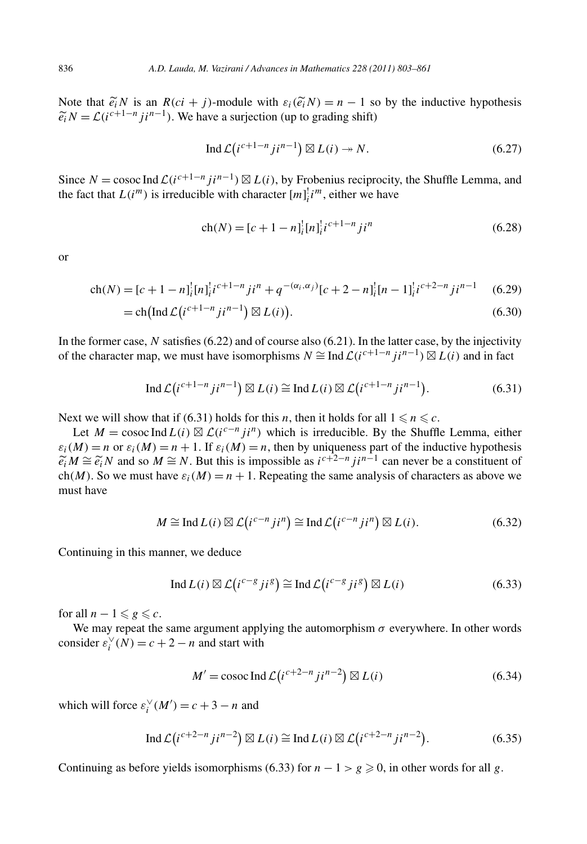A.*D. Lauda, M. Vazirani* / Advances in Mathematics 228 (2011) 803–861<br>Note that  $\tilde{e}_iN$  is an *R(ci* + *j*)-module with  $\varepsilon_i(\tilde{e}_iN) = n - 1$  so by the inductive hypothesis *e*<sup>*k*</sup>*in* = *A.D. Lauda, M. vaztrant / Advances in Mathematics 226 (2)*<br>
Note that  $\tilde{e}_i N$  is an  $R(c i + j)$ -module with  $\varepsilon_i(\tilde{e}_i N) = n - 1$  so  $\tilde{e}_i N = \mathcal{L}(i^{c+1-n} j i^{n-1})$ . We have a surjection (up to grading shif *c*+1−*nji*<sup>*n*−1</sup>)

$$
\operatorname{Ind} \mathcal{L} (i^{c+1-n} j i^{n-1}) \boxtimes L(i) \to N. \tag{6.27}
$$

Since  $N = \csc \text{Ind }\mathcal{L}(i^{c+1-n} i^{n-1}) \boxtimes L(i)$ , by Frobenius reciprocity, the Shuffle Lemma, and the fact that  $L(i^m)$  is irreducible with character  $[m]_i^i i^m$ , either we have

$$
ch(N) = [c + 1 - n]_i^t [n]_i^t i^{c+1-n} j i^n
$$
\n(6.28)

or

$$
\operatorname{ch}(N) = [c+1-n]_i^![n]_i^![i^{c+1-n}ji^n + q^{-(\alpha_i, \alpha_j)}[c+2-n]_i^![n-1]_i^![i^{c+2-n}ji^{n-1} \quad (6.29)
$$
  
= ch(Ind  $\mathcal{L}(i^{c+1-n}ji^{n-1}) \boxtimes L(i)$ ). (6.30)

$$
= ch\left(\operatorname{Ind}\mathcal{L}\left(i^{c+1-n}j i^{n-1}\right)\boxtimes L(i)\right). \tag{6.30}
$$

In the former case, *N* satisfies (6.22) and of course also (6.21). In the latter case, by the injectivity of the character map, we must have isomorphisms  $N \cong \text{Ind }\mathcal{L}(i^{c+1-n}j^{n-1}) \boxtimes L(i)$  and in fact *c*+1−*n ji*<sup>*n*−1</sup>)  $\boxtimes$  *L*(*i*)  $\cong$  **Ind** *L*(*i*<sup>*c*+1−*n*</sup> *ji*<sup>*n*−1</sup>)  $c+1-n$  *ji*<sup>*n*−1</sup>)  $\cong$  *L*(*i*)  $\cong$  **Ind** *L*(*i*)  $\boxtimes$  *L*(*i*<sup>*c*+1−*n*</sup> *ji*<sup>*n*−1</sup>)

$$
\operatorname{Ind}\mathcal{L}(i^{c+1-n}ji^{n-1})\boxtimes L(i)\cong \operatorname{Ind} L(i)\boxtimes \mathcal{L}(i^{c+1-n}ji^{n-1}).\tag{6.31}
$$

Next we will show that if (6.31) holds for this *n*, then it holds for all  $1 \le n \le c$ .

Let  $M = \csc \text{Ind } L(i) \boxtimes L(i^{c-n} j i^n)$  which is irreducible. By the Shuffle Lemma, either  $\varepsilon_i(M) = n$  or  $\varepsilon_i(M) = n + 1$ . If  $\varepsilon_i(M) = n$ , then by uniqueness part of the inductive hypothesis  $\tilde{e}_i M \cong \tilde{e}_i N$  and so  $M \cong N$ . But this is impossible as  $i^{c+2-n} j i^{n-1}$  can never be a constituent of *e M* ≈ *e e i M* = *e esoc Ind <i>L*(*i*) ⊠ *L*(*i*<sup>*c*-*n*</sup>*ji*<sup>*n*</sup>)</sub> which is irreducible. By the Shuffle Lemma, either  $\epsilon_i(M) = n$  or  $\epsilon_i(M) = n + 1$ . If  $\epsilon_i(M) = n$ , then by uniqueness part of the inductive hy ch(*M*). So we must have  $\varepsilon_i(M) = n + 1$ . Repeating the same analysis of characters as above we must have<br> *M* ≅ Ind *L*(*i*) ⊠ *L*(*i*<sup>*c*−*n*</sup>*ji<sup>n</sup>*) ≅ Ind  $\mathcal{L}(i^{c-n} ji^n)$  ⊠ *L*(*i*). (6.32) must have

$$
M \cong \text{Ind } L(i) \boxtimes \mathcal{L}(i^{c-n} j i^n) \cong \text{Ind } \mathcal{L}(i^{c-n} j i^n) \boxtimes L(i). \tag{6.32}
$$

Continuing in this manner, we deduce

$$
= \text{Im}\,\Sigma(v) \triangleq \Sigma(v - jv) = \text{Im}\,\Sigma(v - jv) \triangleq \Sigma(v). \tag{6.32}
$$
  
ner, we deduce  

$$
\text{Im} \, L(i) \boxtimes \mathcal{L}(i^{c-g} j i^g) \cong \text{Im} \, \mathcal{L}(i^{c-g} j i^g) \boxtimes L(i) \tag{6.33}
$$

for all  $n - 1 \leqslant g \leqslant c$ .

We may repeat the same argument applying the automorphism  $\sigma$  everywhere. In other words<br> *c*+2−*n* and start with<br>  $M' = \csc \text{Ind }\mathcal{L}(i^{c+2-n}ji^{n-2}) \boxtimes L(i)$  (6.34) consider  $\varepsilon_i^{\vee}(N) = c + 2 - n$  and start with

$$
M' = \operatorname{cosoc} \operatorname{Ind} \mathcal{L} \left( i^{c+2-n} j i^{n-2} \right) \boxtimes L(i) \tag{6.34}
$$

which will force  $\varepsilon_i^{\vee}(M') = c + 3 - n$  and

$$
\sum_{i=1}^{N} (M') = c + 3 - n
$$
 and  
Ind  $\mathcal{L}(i^{c+2-n} j i^{n-2}) \boxtimes L(i) \cong \text{Ind } L(i) \boxtimes \mathcal{L}(i^{c+2-n} j i^{n-2}).$  (6.35)

Continuing as before yields isomorphisms (6.33) for  $n - 1 > g \ge 0$ , in other words for all *g*.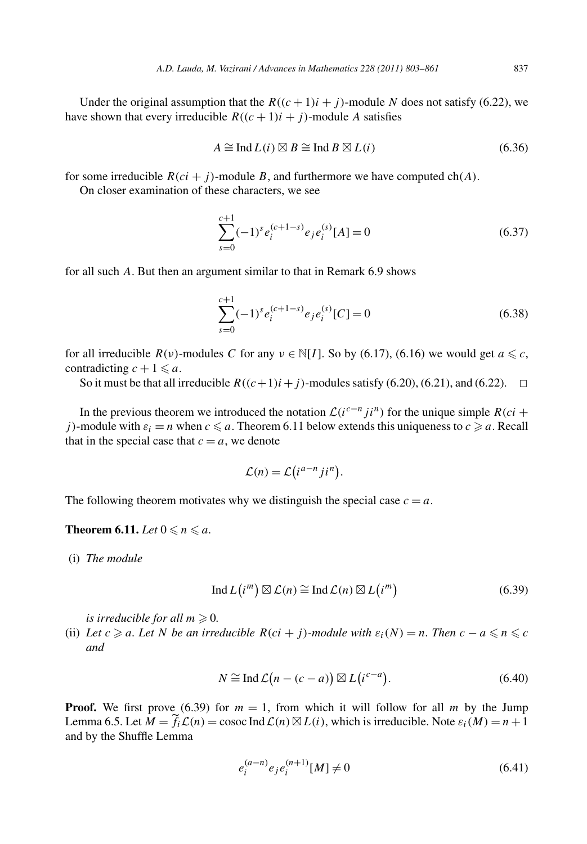Under the original assumption that the  $R((c + 1)i + j)$ -module N does not satisfy (6.22), we have shown that every irreducible  $R((c + 1)i + j)$ -module *A* satisfies

$$
A \cong \text{Ind } L(i) \boxtimes B \cong \text{Ind } B \boxtimes L(i) \tag{6.36}
$$

for some irreducible  $R(c^i + j)$ -module B, and furthermore we have computed  $ch(A)$ .

On closer examination of these characters, we see

$$
\sum_{s=0}^{c+1} (-1)^s e_i^{(c+1-s)} e_j e_i^{(s)}[A] = 0 \tag{6.37}
$$

for all such *A*. But then an argument similar to that in Remark 6.9 shows

$$
\sum_{s=0}^{c+1} (-1)^s e_i^{(c+1-s)} e_j e_i^{(s)} [C] = 0
$$
\n(6.38)

for all irreducible  $R(v)$ -modules C for any  $v \in \mathbb{N}[I]$ . So by (6.17), (6.16) we would get  $a \leq c$ , contradicting  $c + 1 \leq a$ .

So it must be that all irreducible  $R((c+1)i+j)$ -modules satisfy (6.20), (6.21), and (6.22).  $\Box$ 

In the previous theorem we introduced the notation  $\mathcal{L}(i^{c-n}j^{n})$  for the unique simple  $R(c^{i} +$ *i*)-module with  $\varepsilon_i = n$  when  $c \le a$ . Theorem 6.11 below extends this uniqueness to  $c \ge a$ . Recall that in the special case that  $c = a$ , we denote<br>  $\mathcal{L}(n) = \mathcal{L}(i^{a-n} j i^n)$ . that in the special case that  $c = a$ , we denote

$$
\mathcal{L}(n) = \mathcal{L}(i^{a-n}j i^n).
$$

The following theorem motivates why we distinguish the special case  $c = a$ .

**Theorem 6.11.** *Let*  $0 \le n \le a$ *.* 

(i) *The module*

$$
\text{Ind } L(i^{m}) \boxtimes \mathcal{L}(n) \cong \text{Ind } \mathcal{L}(n) \boxtimes L(i^{m})
$$
 (6.39)

*is irreducible for all*  $m \geqslant 0$ .

(ii) Let  $c \ge a$ . Let N be an irreducible  $R(ci + j)$ -module with  $\varepsilon_i(N) = n$ . Then  $c - a \le n \le c$ <br>and  $N \cong \text{Ind }\mathcal{L}(n - (c - a)) \boxtimes L(i^{c-a}).$  (6.40) *and*

$$
N \cong \text{Ind }\mathcal{L}(n - (c - a)) \boxtimes L(i^{c-a}). \tag{6.40}
$$

**Proof.** We first prove (6.39) for  $m = 1$ , from which it will follow for all m by the Jump Lemma 6.5. Let  $M = f_i \mathcal{L}(n) = \text{cosoc} \ln \frac{d\mathcal{L}(n) \boxtimes L(i)}{d\mathcal{L}(i)}$ , which is irreducible. Note  $\varepsilon_i(M) = n + 1$ and by the Shuffle Lemma

$$
e_i^{(a-n)} e_j e_i^{(n+1)} [M] \neq 0 \tag{6.41}
$$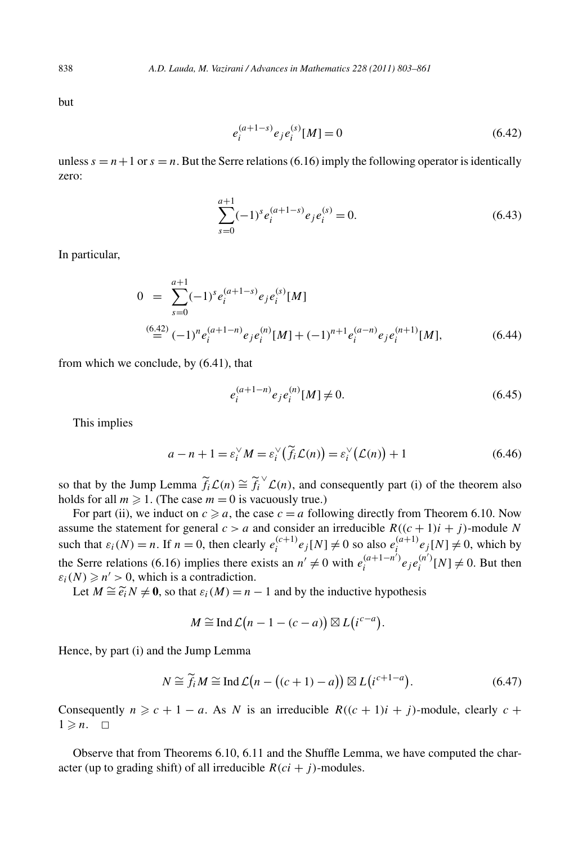but

$$
e_i^{(a+1-s)} e_j e_i^{(s)} [M] = 0 \tag{6.42}
$$

unless  $s = n + 1$  or  $s = n$ . But the Serre relations (6.16) imply the following operator is identically zero:

$$
\sum_{s=0}^{a+1} (-1)^s e_i^{(a+1-s)} e_j e_i^{(s)} = 0.
$$
\n(6.43)

In particular,

$$
0 = \sum_{s=0}^{a+1} (-1)^s e_i^{(a+1-s)} e_j e_i^{(s)} [M]
$$
  
\n
$$
\stackrel{(6.42)}{=} (-1)^n e_i^{(a+1-n)} e_j e_i^{(n)} [M] + (-1)^{n+1} e_i^{(a-n)} e_j e_i^{(n+1)} [M],
$$
\n(6.44)

from which we conclude, by (6.41), that

$$
e_i^{(a+1-n)} e_j e_i^{(n)} [M] \neq 0.
$$
\n(6.45)

This implies

$$
e_i e_j e_i [M] \neq 0.
$$
\n
$$
a - n + 1 = \varepsilon_i^{\vee} M = \varepsilon_i^{\vee} (\widetilde{f}_i \mathcal{L}(n)) = \varepsilon_i^{\vee} (\mathcal{L}(n)) + 1
$$
\n
$$
(6.46)
$$

so that by the Jump Lemma  $\widetilde{f}_i \mathcal{L}(n) \cong \widetilde{f}_i^{\vee} \mathcal{L}(n)$ , and consequently part (i) of the theorem also holds for all  $m \ge 1$ . (The case  $m = 0$  is vacuously true.)

For part (ii), we induct on  $c \ge a$ , the case  $c = a$  following directly from Theorem 6.10. Now assume the statement for general  $c > a$  and consider an irreducible  $R((c + 1)i + j)$ -module N such that  $\varepsilon_i(N) = n$ . If  $n = 0$ , then clearly  $e_i^{(c+1)} e_j[N] \neq 0$  so also  $e_i^{(a+1)} e_j[N] \neq 0$ , which by the Serre relations (6.16) implies there exists an  $n' \neq 0$  with  $e_i^{(a+1-n')} e_j e_i^{(n')} [N] \neq 0$ . But then  $\epsilon_i(N) \ge n' > 0$ , which is a contradiction. In that  $\varepsilon_i(N) = n$ . If  $n = 0$ , then clearly  $e_i^N$   $e_j \mid N \neq 0$  so also  $e_i^N$   $e_j$ <br>Serre relations (6.16) implies there exists an  $n' \neq 0$  with  $e_i^{(a+1-n')} e_j e_i^{(n')}$ <br> $N \ge n' > 0$ , which is a contradiction.<br>Let  $M \cong \tilde{e}_i N$ *n*.<br> *n* − 1 and by the inductive h<sub>1</sub><br> *n* − 1 − (*c* − *a*)) ⊠ *L*(*i*<sup>*c*−*a*</sup>)  $\overline{1}$ 

$$
M \cong \text{Ind }\mathcal{L}(n-1-(c-a)) \boxtimes L(i^{c-a}).
$$

Hence, by part (i) and the Jump Lemma

$$
M = \text{Ind }\mathcal{L}(n - 1 - (c - a)) \boxtimes L(t)
$$
  
1 the Jump Lemma  

$$
N \cong \widetilde{f}_i M \cong \text{Ind }\mathcal{L}(n - ((c + 1) - a)) \boxtimes L(t^{c+1-a}).
$$
 (6.47)

Consequently  $n \geq c + 1 - a$ . As *N* is an irreducible  $R((c + 1)i + j)$ -module, clearly  $c +$  $1 \geqslant n$ .  $\Box$ 

Observe that from Theorems 6.10, 6.11 and the Shuffle Lemma, we have computed the character (up to grading shift) of all irreducible  $R$ ( $ci + j$ )-modules.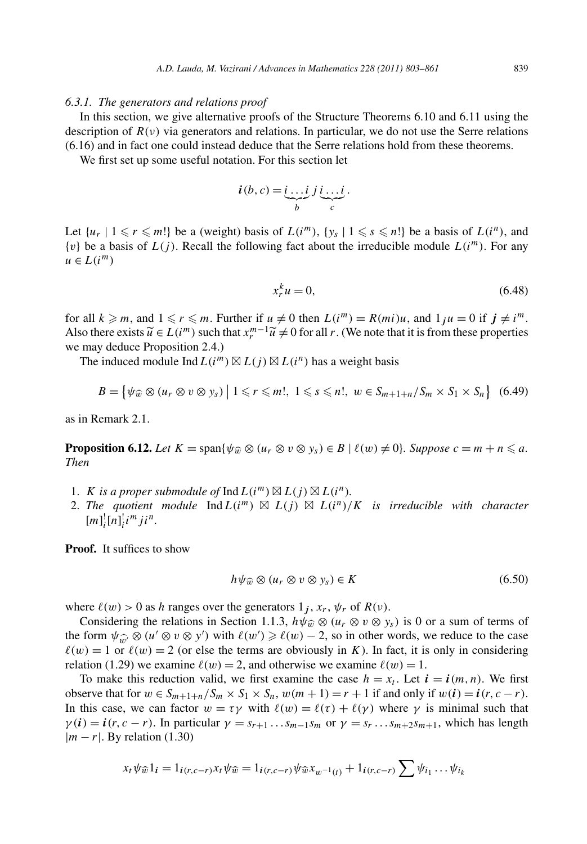#### *6.3.1. The generators and relations proof*

In this section, we give alternative proofs of the Structure Theorems 6.10 and 6.11 using the description of  $R(v)$  via generators and relations. In particular, we do not use the Serre relations  $(6.16)$  and in fact one could instead deduce that the Serre relations hold from these theorems.

We first set up some useful notation. For this section let<br>  $\mathbf{i}(b, c) = \underbrace{\mathbf{i} \dots \mathbf{i}} \mathbf{j} \underbrace{\mathbf{i} \dots \mathbf{i}}$ 

$$
\boldsymbol{i}(b,c) = \underbrace{i \dots i}_{b} \underbrace{j \, i \dots i}_{c}.
$$

Let  $\{u_r \mid 1 \leq r \leq m!\}$  be a (weight) basis of  $L(i^m)$ ,  $\{y_s \mid 1 \leq s \leq n!\}$  be a basis of  $L(i^n)$ , and  $\{v\}$  be a basis of  $L(i)$ . Recall the following fact about the irreducible module  $L(i^m)$ . For any  $u \in L(i^m)$ 

$$
x_r^k u = 0,\t\t(6.48)
$$

for all  $k \ge m$ , and  $1 \le r \le m$ . Further if  $u \ne 0$  then  $L(i^m) = R(mi)u$ , and  $1_ju = 0$  if  $j \ne i^m$ .  $x_r^k u = 0,$  (6.48)<br>for all *k* ≥ *m*, and 1 ≤ *r* ≤ *m*. Further if *u* ≠ 0 then *L*(*i*<sup>*m*</sup>) = *R*(*mi*)*u*, and 1<sub>*j*</sub> *u* = 0 if *j* ≠ *i*<sup>*m*</sup>.<br>Also there exists  $\tilde{u} \in L(i^m)$  such that  $x_r^{m-1} \tilde{u} \neq 0$  for al we may deduce Proposition 2.4.) *B*  $\vec{B} = \{ \psi_{\hat{w}} \otimes (u_r \otimes v \otimes y_s) \}$ <br>*B* =  $\{\psi_{\hat{w}} \otimes (u_r \otimes v \otimes y_s) \otimes y_s \}$ mat  $x_r$   $u \neq 0$  for an r. (we note that it is from these pr

The induced module  $\text{Ind } L(i^m) \boxtimes L(j) \boxtimes L(i^n)$  has a weight basis

$$
B = \left\{ \psi_{\widehat{w}} \otimes (u_r \otimes v \otimes y_s) \mid 1 \leq r \leq m!, \ 1 \leq s \leq n!, \ w \in S_{m+1+n}/S_m \times S_1 \times S_n \right\} \tag{6.49}
$$

as in Remark 2.1.

**Proposition 6.12.** *Let*  $K = \text{span}\{\psi_{\widehat{w}} \otimes (u_r \otimes v \otimes y_s) \in B \mid \ell(w) \neq 0\}$ *. Suppose*  $c = m + n \leq a$ *. Then*

- 1. *K* is a proper submodule of  $\text{Ind } L(i^m) \boxtimes L(j) \boxtimes L(i^n)$ .
- 2. The quotient module  $\text{Ind } L(i^m) \boxtimes L(j) \boxtimes L(i^n)/K$  is irreducible with character  $[m]_i^![n]_i^![i^m j i^n$ .

**Proof.** It suffices to show

$$
h\psi_{\widehat{w}} \otimes (u_r \otimes v \otimes y_s) \in K
$$
 (6.50)

where  $\ell(w) > 0$  as *h* ranges over the generators  $1_j$ ,  $x_r$ ,  $\psi_r$  of  $R(v)$ .

Considering the relations in Section 1.1.3,  $h\psi_{\widehat{w}} \otimes (u_r \otimes v \otimes y_s)$  is 0 or a sum of terms of the form  $\psi_{w} \otimes (u' \otimes v \otimes y')$  with  $\ell(w') \geq \ell(w) - 2$ , so in other words, we reduce to the case  $\ell(w) = 1$  or  $\ell(w) = 2$  (or else the terms are obviously in *K*). In fact, it is only in considering relation (1.29) we examine  $\ell(w) = 2$ , and otherwise we examine  $\ell(w) = 1$ .

To make this reduction valid, we first examine the case  $h = x_t$ . Let  $\mathbf{i} = \mathbf{i}(m,n)$ . We first observe that for  $w \in S_{m+1+n}/S_m \times S_1 \times S_n$ ,  $w(m+1) = r+1$  if and only if  $w(i) = i(r, c-r)$ . In this case, we can factor  $w = \tau \gamma$  with  $\ell(w) = \ell(\tau) + \ell(\gamma)$  where  $\gamma$  is minimal such that  $\gamma(i) = i(r, c - r)$ . In particular  $\gamma = s_{r+1} \dots s_{m-1} s_m$  or  $\gamma = s_r \dots s_{m+2} s_{m+1}$ , which has length |*m* − *r*|. By relation (1.30) *xty x x x <i>x* = 1*i*</del> *y* = *s<sub>r+1</sub>...s<sub>m-1</sub>s<sub>m</sub>* or  $\gamma = s_r \dots s_{m+2} s_{m+1}$ , which relation (1.30)<br>*x<sub>t</sub>*  $\psi \hat{w} 1_i = 1_{i(r,c-r)} x_t \psi \hat{w} = 1_{i(r,c-r)} \psi \hat{w} x_{w^{-1}(t)} + 1_{i(r,c-r)} \sum \psi_{i_1} \dots \psi_{i_k}$ 

$$
x_t \psi_{\widehat{w}} 1_i = 1_{i(r,c-r)} x_t \psi_{\widehat{w}} = 1_{i(r,c-r)} \psi_{\widehat{w}} x_{w^{-1}(t)} + 1_{i(r,c-r)} \sum \psi_{i_1} \dots \psi_{i_k}
$$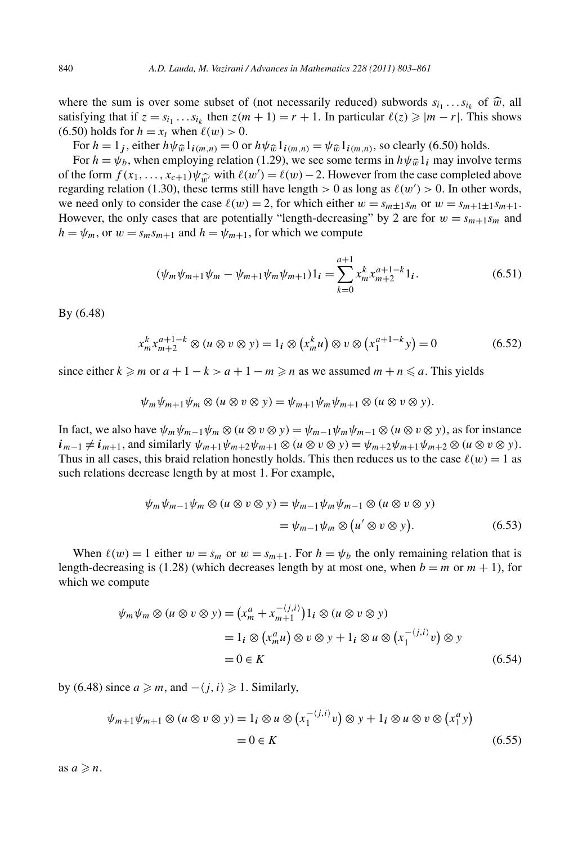where the sum is over some subset of (not necessarily reduced) subwords  $s_{i_1} \ldots s_{i_k}$  of  $\hat{w}$ , all satisfying that if  $z = s_{i_1} \ldots s_{i_k}$  then  $z(m + 1) = r + 1$ . In particular  $\ell(z) \geq |m - r|$ . This shows (6.50) holds for  $h = x_t$  when  $\ell(w) > 0$ . for *h* =  $s_{i_1} \tldots s_{i_k}$  then  $z(m + 1) = r + 1$ . In particular  $\ell(z) \ge |m - r|$ . This 50) holds for  $h = x_t$  when  $\ell(w) > 0$ .<br>For  $h = 1_j$ , either  $h \psi_{\widehat{w}} 1_{i(m,n)} = 0$  or  $h \psi_{\widehat{w}} 1_{i(m,n)} = \psi_{\widehat{w}} 1_{i(m,n)}$ , so clearly (6.50) 50) holds for  $h = x_t$  when  $\ell(w) > 0$ .<br>For  $h = 1_j$ , either  $h\psi_{\widehat{w}} 1_{i(m,n)} = 0$  or  $h\psi_{\widehat{w}} 1_{i(m,n)} = \psi_{\widehat{w}} 1_{i(m,n)}$ , so clearly (6.50) holds.<br>For  $h = \psi_b$ , when employing relation (1.29), we see some terms in  $h\psi_{\widehat{$ 

 $\overline{ }$ 

of the form  $f(x_1, \ldots, x_{c+1}) \psi_{w'}$  with  $\ell(w') = \ell(w) - 2$ . However from the case completed above regarding relation (1.30), these terms still have length  $> 0$  as long as  $\ell(w') > 0$ . In other words, we need only to consider the case  $\ell(w) = 2$ , for which either  $w = s_{m+1} s_m$  or  $w = s_{m+1+1} s_{m+1}$ . However, the only cases that are potentially "length-decreasing" by 2 are for  $w = s_{m+1} s_m$  and  $h = \psi_m$ , or  $w = s_m s_{m+1}$  and  $h = \psi_{m+1}$ , for which we compute

cases that are potentially "length-decreasing" by 2 are for 
$$
w = s_{m+1} s_m
$$
 and  
\n $m+1$  and  $h = \psi_{m+1}$ , for which we compute  
\n
$$
(\psi_m \psi_{m+1} \psi_m - \psi_{m+1} \psi_m \psi_{m+1})1_i = \sum_{k=0}^{a+1} x_m^k x_{m+2}^{a+1-k} 1_i.
$$
\n(6.51)

By (6.48)

$$
k=0
$$
  

$$
x_m^k x_{m+2}^{a+1-k} \otimes (u \otimes v \otimes y) = 1_i \otimes (x_m^k u) \otimes v \otimes (x_1^{a+1-k} y) = 0
$$
 (6.52)

since either  $k \ge m$  or  $a + 1 - k > a + 1 - m \ge n$  as we assumed  $m + n \le a$ . This yields

$$
\psi_m \psi_{m+1} \psi_m \otimes (u \otimes v \otimes y) = \psi_{m+1} \psi_m \psi_{m+1} \otimes (u \otimes v \otimes y).
$$

In fact, we also have  $\psi_m \psi_{m-1} \psi_m \otimes (u \otimes v \otimes y) = \psi_{m-1} \psi_m \psi_{m-1} \otimes (u \otimes v \otimes y)$ , as for instance  $i_{m-1} \neq i_{m+1}$ , and similarly  $\psi_{m+1} \psi_{m+2} \psi_{m+1} \otimes (u \otimes v \otimes y) = \psi_{m+2} \psi_{m+1} \psi_{m+2} \otimes (u \otimes v \otimes y)$ . Thus in all cases, this braid relation honestly holds. This then reduces us to the case  $\ell(w) = 1$  as

such relations decrease length by at most 1. For example,  
\n
$$
\psi_m \psi_{m-1} \psi_m \otimes (u \otimes v \otimes y) = \psi_{m-1} \psi_m \psi_{m-1} \otimes (u \otimes v \otimes y)
$$
\n
$$
= \psi_{m-1} \psi_m \otimes (u' \otimes v \otimes y).
$$
\n(6.53)

When  $\ell(w) = 1$  either  $w = s_m$  or  $w = s_{m+1}$ . For  $h = \psi_b$  the only remaining relation that is when  $\ell(w) = 1$  entire  $w = s_m$  or  $w = s_{m+1}$ . For  $n = \psi_b$  the only remaining relation that is length-decreasing is (1.28) (which decreases length by at most one, when  $b = m$  or  $m + 1$ ), for which we compute<br> $\psi_m \psi_m \otimes (u \otimes v \$ which we compute

$$
\begin{aligned}\n\text{ompute} \\
\psi_m \psi_m \otimes (u \otimes v \otimes y) &= \left(x_m^a + x_{m+1}^{-(j,i)}\right) 1_i \otimes (u \otimes v \otimes y) \\
&= 1_i \otimes \left(x_m^a u\right) \otimes v \otimes y + 1_i \otimes u \otimes \left(x_1^{-(j,i)} v\right) \otimes y \\
&= 0 \in K\n\end{aligned}\n\tag{6.54}
$$

by (6.48) since  $a \ge m$ , and  $-\langle j, i \rangle \ge 1$ . Similarly,

$$
= 0 \in \mathbb{A}
$$
\n
$$
\text{since } a \ge m, \text{ and } -\langle j, i \rangle \ge 1. \text{ Similarly,}
$$
\n
$$
\psi_{m+1} \psi_{m+1} \otimes (u \otimes v \otimes y) = 1_i \otimes u \otimes (x_1^{-\langle j, i \rangle} v) \otimes y + 1_i \otimes u \otimes v \otimes (x_1^a y)
$$
\n
$$
= 0 \in K
$$
\n
$$
(6.55)
$$

*x*→ *i*,

 $as a \geqslant n$ .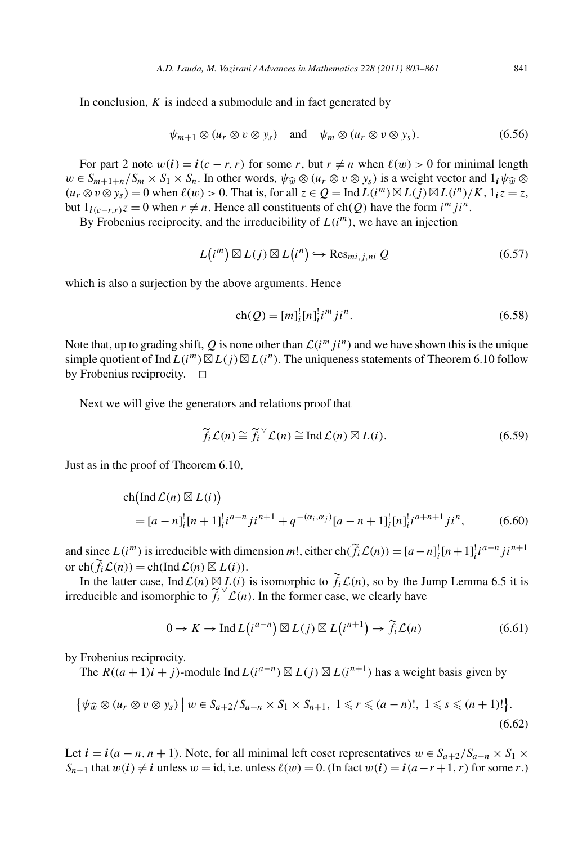In conclusion,  $K$  is indeed a submodule and in fact generated by

$$
\psi_{m+1} \otimes (u_r \otimes v \otimes y_s) \quad \text{and} \quad \psi_m \otimes (u_r \otimes v \otimes y_s). \tag{6.56}
$$

For part 2 note  $w(i) = i(c - r, r)$  for some r, but  $r \neq n$  when  $\ell(w) > 0$  for minimal length  $w \in S_{m+1+n}/S_m \times S_1 \times S_n$ . In other words,  $\psi \n\hat{\omega} \otimes (u_r \otimes v \otimes y_s)$  is a weight vector and  $1_i \psi \n\hat{\omega} \otimes$ *(u<sub>r</sub>* ⊗ *v* ⊗ *y<sub>s</sub>*) = 0 when  $\ell(w) > 0$ . That is, for all  $z \in Q$  = Ind  $L(i^m) \boxtimes L(j) \boxtimes L(i^n) / K$ ,  $1_i z = z$ , but  $1_{i(c-r,r)}z = 0$  when  $r \neq n$ . Hence all constituents of ch*(Q)* have the form  $i^m j i^n$ .<br>
By Frobenius reciprocity, and the irreducibility of  $L(i^m)$ , we have an injection<br>  $I(i^m) \boxtimes I(i) \boxtimes I(i^n) \hookrightarrow \text{Res}_{i,j}$ . **c**<br>ty<br>n \

By Frobenius reciprocity, and the irreducibility of  $L(i^m)$ , we have an injection

$$
L(i^{m}) \boxtimes L(j) \boxtimes L(i^{n}) \hookrightarrow \text{Res}_{mi,j,ni} Q \tag{6.57}
$$

which is also a surjection by the above arguments. Hence

$$
ch(Q) = [m]_i^! [n]_i^! i^m j i^n.
$$
\n(6.58)

Note that, up to grading shift, Q is none other than  $\mathcal{L}(i^m j i^n)$  and we have shown this is the unique simple quotient of Ind  $L(i^m) \boxtimes L(i) \boxtimes L(i^n)$ . The uniqueness statements of Theorem 6.10 follow by Frobenius reciprocity.  $\square$ 

Next we will give the generators and relations proof that

$$
\widetilde{f}_i \mathcal{L}(n) \cong \widetilde{f}_i^{\vee} \mathcal{L}(n) \cong \text{Ind } \mathcal{L}(n) \boxtimes L(i).
$$
 (6.59)

Just as in the proof of Theorem 6.10,

$$
f(z_0, t) = \ln \sum_{i=1}^{n} \sum_{i=1}^{n} \sum_{j=1}^{n} \sum_{j=1}^{n} \sum_{j=1}^{n} \sum_{j=1}^{n} \sum_{j=1}^{n} \sum_{j=1}^{n} \sum_{j=1}^{n} \sum_{j=1}^{n} \sum_{j=1}^{n} \sum_{j=1}^{n} \sum_{j=1}^{n} \sum_{j=1}^{n} \sum_{j=1}^{n} \sum_{j=1}^{n} \sum_{j=1}^{n} \sum_{j=1}^{n} \sum_{j=1}^{n} \sum_{j=1}^{n} \sum_{j=1}^{n} \sum_{j=1}^{n} \sum_{j=1}^{n} \sum_{j=1}^{n} \sum_{j=1}^{n} \sum_{j=1}^{n} \sum_{j=1}^{n} \sum_{j=1}^{n} \sum_{j=1}^{n} \sum_{j=1}^{n} \sum_{j=1}^{n} \sum_{j=1}^{n} \sum_{j=1}^{n} \sum_{j=1}^{n} \sum_{j=1}^{n} \sum_{j=1}^{n} \sum_{j=1}^{n} \sum_{j=1}^{n} \sum_{j=1}^{n} \sum_{j=1}^{n} \sum_{j=1}^{n} \sum_{j=1}^{n} \sum_{j=1}^{n} \sum_{j=1}^{n} \sum_{j=1}^{n} \sum_{j=1}^{n} \sum_{j=1}^{n} \sum_{j=1}^{n} \sum_{j=1}^{n} \sum_{j=1}^{n} \sum_{j=1}^{n} \sum_{j=1}^{n} \sum_{j=1}^{n} \sum_{j=1}^{n} \sum_{j=1}^{n} \sum_{j=1}^{n} \sum_{j=1}^{n} \sum_{j=1}^{n} \sum_{j=1}^{n} \sum_{j=1}^{n} \sum_{j=1}^{n} \sum_{j=1}^{n} \sum_{j=1}^{n} \sum_{j=1}^{n} \sum_{j=1}^{n} \sum_{j=1}^{n} \sum_{j=1}^{n} \sum_{j=1}^{n} \sum_{j=1}^{n} \sum_{j=1}^{n} \sum_{j=1}^{n} \sum_{j=1}^{n} \sum_{j=1}^{n} \sum_{j=1}^{n} \sum_{j=1}^{n
$$

and since  $L(i^m)$  is irreducible with dimension *m*!, either ch $(\widetilde{f}_i \mathcal{L}(n)) = [a - n]_i^1 [n+1]_i^1 i^{a-n} j i^{n+1}$ or  $\mathrm{ch}(f_i \mathcal{L}(n)) = \mathrm{ch}(\mathrm{Ind}\,\mathcal{L}(n) \boxtimes L(i)).$ 

In the latter case, Ind  $\mathcal{L}(n) \boxtimes L(i)$  is isomorphic to  $\widetilde{f}_i \mathcal{L}(n)$ , so by the Jump Lemma 6.5 it is educible and isomorphic to  $\widetilde{f}_i^{\vee} \mathcal{L}(n)$ . In the former case, we clearly have<br> $0 \to K \to \text{Ind } L(i^{a-n}) \boxtimes L(i)$ irreducible and isomorphic to  $f_i^{\vee}$   $\mathcal{L}(n)$ . In the former case, we clearly have

$$
0 \to K \to \text{Ind } L(i^{a-n}) \boxtimes L(j) \boxtimes L(i^{n+1}) \to \widetilde{f}_i \mathcal{L}(n) \tag{6.61}
$$

by Frobenius reciprocity.

The 
$$
R((a+1)i + j)
$$
-module Ind  $L(i^{a-n}) \boxtimes L(j) \boxtimes L(i^{n+1})$  has a weight basis given by  
\n
$$
\{\psi_{\widehat{w}} \otimes (u_r \otimes v \otimes y_s) \mid w \in S_{a+2}/S_{a-n} \times S_1 \times S_{n+1}, 1 \leq r \leq (a-n)!, 1 \leq s \leq (n+1)!\}.
$$
\n(6.62)

Let  $\mathbf{i} = \mathbf{i}(a - n, n + 1)$ . Note, for all minimal left coset representatives  $w \in S_{a+2}/S_{a-n} \times S_1 \times S_2$ *S<sub>n+1</sub>* that  $w(i) ≠ i$  unless  $w = id$ , i.e. unless  $\ell(w) = 0$ . (In fact  $w(i) = i(a - r + 1, r)$  for some *r*.)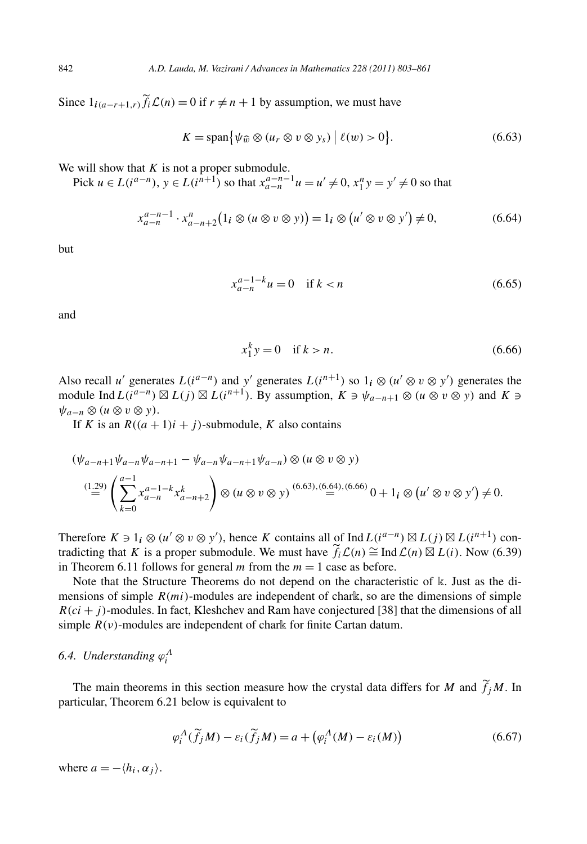Since  $1_{i(a-r+1,r)} f_i \mathcal{L}(n) = 0$  if  $r \neq n+1$  by assumption, we must have  $A = 0$  if  $r \neq n + 1$  by assumption.<br> *K* = span $\{\psi_{\widehat{w}} \otimes (u_r \otimes v \otimes y_s)\}$ 

$$
K = \text{span}\{\psi_{\widehat{w}} \otimes (u_r \otimes v \otimes y_s) \mid \ell(w) > 0\}.
$$
 (6.63)

We will show that *K* is not a proper submodule.

Pick  $u \in L(i^{a-n})$ ,  $y \in L(i^{n+1})$  so that  $x_{a-n}^{a-n-1}u = u' \neq 0$ ,  $x_1^n y = y' \neq 0$  so that per submodule.<br>
1) so that  $x_{a-n}^{a-n-1}u = u' \neq 0$ ,  $x_1^n y = y' \neq 0$ <br>  $(1_i \otimes (u \otimes v \otimes y)) = 1_i \otimes (u' \otimes v \otimes y')$ 

$$
x_{a-n}^{a-n-1} \cdot x_{a-n+2}^n (1_i \otimes (u \otimes v \otimes y)) = 1_i \otimes (u' \otimes v \otimes y') \neq 0,
$$
 (6.64)

but

$$
x_{a-n}^{a-1-k}u = 0 \quad \text{if } k < n \tag{6.65}
$$

and

$$
x_1^k y = 0 \quad \text{if } k > n. \tag{6.66}
$$

Also recall *u'* generates  $L(i^{a-n})$  and  $y'$  generates  $L(i^{n+1})$  so  $1_i \otimes (u' \otimes v \otimes y')$  generates the module Ind  $L(i^{a-n}) \boxtimes L(j) \boxtimes L(i^{n+1})$ . By assumption,  $K \ni \psi_{a-n+1} \otimes (u \otimes v \otimes y)$  and  $K \ni$ *ψa*<sup>−</sup>*<sup>n</sup>* ⊗ *(u* ⊗ *v* ⊗ *y)*.

If *K* is an  $R((a + 1)i + j)$ -submodule, *K* also contains

$$
(\psi_{a-n+1}\psi_{a-n}\psi_{a-n+1} - \psi_{a-n}\psi_{a-n+1}\psi_{a-n}) \otimes (u \otimes v \otimes y)
$$
  
\n
$$
\stackrel{(1.29)}{=} \left(\sum_{k=0}^{a-1} x_{a-n}^{a-1-k} x_{a-n+2}^k \right) \otimes (u \otimes v \otimes y) \stackrel{(6.63),(6.64),(6.66)}{=} 0 + 1_i \otimes (u' \otimes v \otimes y') \neq 0.
$$

Therefore  $K \ni 1_i \otimes (u' \otimes v \otimes y')$ , hence *K* contains all of Ind  $L(i^{a-n}) \boxtimes L(j) \boxtimes L(i^{n+1})$  contradicting that *K* is a proper submodule. We must have  $\tilde{f}_i \mathcal{L}(n) \cong \text{Ind }\mathcal{L}(n) \boxtimes L(i)$ . Now (6.39) in Theorem 6.11 follows for general *m* from the  $m = 1$  case as before.

Note that the Structure Theorems do not depend on the characteristic of k. Just as the dimensions of simple *R(mi)*-modules are independent of chark, so are the dimensions of simple  $R$ ( $ci + j$ )-modules. In fact, Kleshchev and Ram have conjectured [38] that the dimensions of all simple  $R(v)$ -modules are independent of chark for finite Cartan datum.

# *6.4.* Understanding  $\varphi_i^A$

The main theorems in this section measure how the crystal data differs for *M* and  $\tilde{f}_jM$ . In ticular, Theorem 6.21 below is equivalent to<br>  $\varphi_i^A(\tilde{f}_jM) - \varepsilon_i(\tilde{f}_jM) = a + (\varphi_i^A(M) - \varepsilon_i(M))$  (6.67) particular, Theorem 6.21 below is equivalent to

$$
\varphi_i^A(\widetilde{f}_jM) - \varepsilon_i(\widetilde{f}_jM) = a + \left(\varphi_i^A(M) - \varepsilon_i(M)\right) \tag{6.67}
$$

where  $a = -\langle h_i, \alpha_j \rangle$ .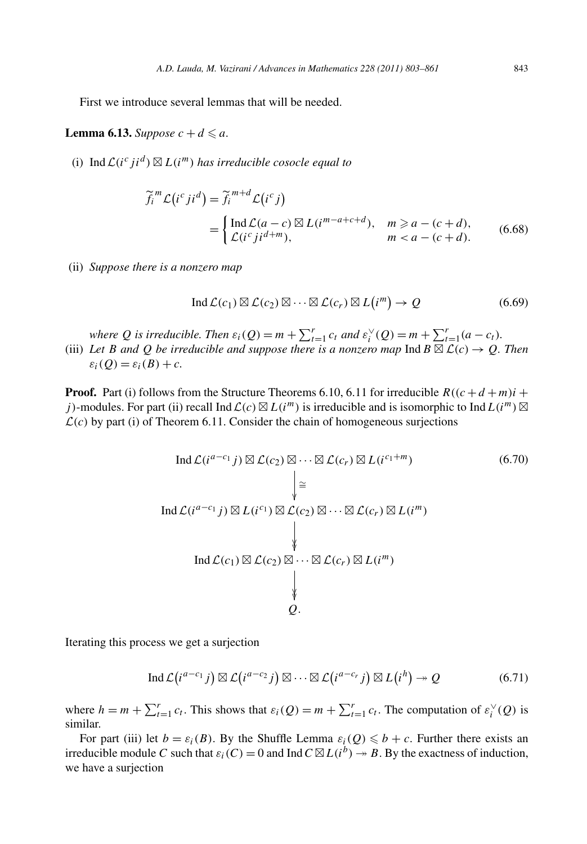First we introduce several lemmas that will be needed.

**Lemma 6.13.** *Suppose*  $c + d \leq a$ *.* 

 $^{\prime}$ 

(i) Ind 
$$
\mathcal{L}(i^c j i^d) \boxtimes L(i^m)
$$
 has irreducible cosocle equal to  
\n
$$
\widetilde{f}_i^m \mathcal{L}(i^c j i^d) = \widetilde{f}_i^{m+d} \mathcal{L}(i^c j)
$$
\n
$$
= \begin{cases}\n\operatorname{Ind} \mathcal{L}(a-c) \boxtimes L(i^{m-a+c+d}), & m \ge a - (c+d), \\
\mathcal{L}(i^c j i^{d+m}), & m < a - (c+d).\n\end{cases}
$$
\n(6.68)

(ii) *Suppose there is a nonzero map*

$$
\text{Ind } \mathcal{L}(c_1) \boxtimes \mathcal{L}(c_2) \boxtimes \cdots \boxtimes \mathcal{L}(c_r) \boxtimes L(i^m) \to Q \tag{6.69}
$$

*where Q is irreducible. Then*  $\varepsilon_i(Q) = m + \sum_{t=1}^r c_t$  *and*  $\varepsilon_i^{\vee}(Q) = m + \sum_{t=1}^r (a - c_t)$ *.* (iii) Let B and Q be irreducible and suppose there is a nonzero map Ind  $B \boxtimes \mathcal{L}(c) \rightarrow Q$ . Then  $\varepsilon_i(Q) = \varepsilon_i(B) + c$ .

**Proof.** Part (i) follows from the Structure Theorems 6.10, 6.11 for irreducible  $R((c+d+m)i$ *j*)-modules. For part (ii) recall Ind  $\mathcal{L}(c) \boxtimes L(i^m)$  is irreducible and is isomorphic to Ind  $L(i^m) \boxtimes$  $\mathcal{L}(c)$  by part (i) of Theorem 6.11. Consider the chain of homogeneous surjections

$$
\operatorname{Ind}\mathcal{L}(i^{a-c_1}j) \boxtimes \mathcal{L}(c_2) \boxtimes \cdots \boxtimes \mathcal{L}(c_r) \boxtimes L(i^{c_1+m})
$$
\n
$$
\downarrow \cong
$$
\n
$$
\operatorname{Ind}\mathcal{L}(i^{a-c_1}j) \boxtimes L(i^{c_1}) \boxtimes \mathcal{L}(c_2) \boxtimes \cdots \boxtimes \mathcal{L}(c_r) \boxtimes L(i^m)
$$
\n
$$
\downarrow
$$
\n
$$
\operatorname{Ind}\mathcal{L}(c_1) \boxtimes \mathcal{L}(c_2) \boxtimes \cdots \boxtimes \mathcal{L}(c_r) \boxtimes L(i^m)
$$
\n
$$
\downarrow
$$
\n
$$
\downarrow
$$
\n
$$
\downarrow
$$
\n
$$
\downarrow
$$
\n
$$
\downarrow
$$
\n
$$
\downarrow
$$
\n
$$
\downarrow
$$
\n
$$
\downarrow
$$
\n
$$
\downarrow
$$
\n
$$
\downarrow
$$
\n
$$
\downarrow
$$
\n
$$
\downarrow
$$
\n
$$
\downarrow
$$
\n
$$
\downarrow
$$
\n
$$
\downarrow
$$
\n
$$
\downarrow
$$
\n
$$
\downarrow
$$
\n
$$
\downarrow
$$
\n
$$
\downarrow
$$
\n
$$
\downarrow
$$
\n
$$
\downarrow
$$
\n
$$
\downarrow
$$
\n
$$
\downarrow
$$
\n
$$
\downarrow
$$
\n
$$
\downarrow
$$
\n
$$
\downarrow
$$
\n
$$
\downarrow
$$
\n
$$
\downarrow
$$
\n
$$
\downarrow
$$
\n
$$
\downarrow
$$
\n
$$
\downarrow
$$
\n
$$
\downarrow
$$
\n
$$
\downarrow
$$
\n
$$
\downarrow
$$
\n
$$
\downarrow
$$
\n
$$
\downarrow
$$
\n
$$
\downarrow
$$
\n
$$
\downarrow
$$
\n
$$
\downarrow
$$
\n
$$
\downarrow
$$
\n
$$
\downarrow
$$
\n
$$
\downarrow
$$
\n
$$
\downarrow
$$
\n
$$
\downarrow
$$
\n

Iterating this process we get a surjection

$$
\text{cess we get a surjection}
$$
\n
$$
\text{Ind }\mathcal{L}(i^{a-c_1}j) \boxtimes \mathcal{L}(i^{a-c_2}j) \boxtimes \cdots \boxtimes \mathcal{L}(i^{a-c_r}j) \boxtimes L(i^h) \to Q \tag{6.71}
$$

 $\text{Ind }\mathcal{L}(i^{a-c_1}j) \boxtimes \mathcal{L}(i^{a-c_2}j) \boxtimes \cdots \boxtimes \mathcal{L}(i^{a-c_r}j) \boxtimes L(i^h) \rightarrow Q$  (6.71)<br>where  $h = m + \sum_{t=1}^r c_t$ . This shows that  $\varepsilon_i(Q) = m + \sum_{t=1}^r c_t$ . The computation of  $\varepsilon_i^{\vee}(Q)$  is similar.

For part (iii) let  $b = \varepsilon_i(B)$ . By the Shuffle Lemma  $\varepsilon_i(Q) \leq b + c$ . Further there exists an irreducible module *C* such that  $\varepsilon_i(C) = 0$  and Ind  $C \boxtimes L(i^b) \rightarrow B$ . By the exactness of induction, we have a surjection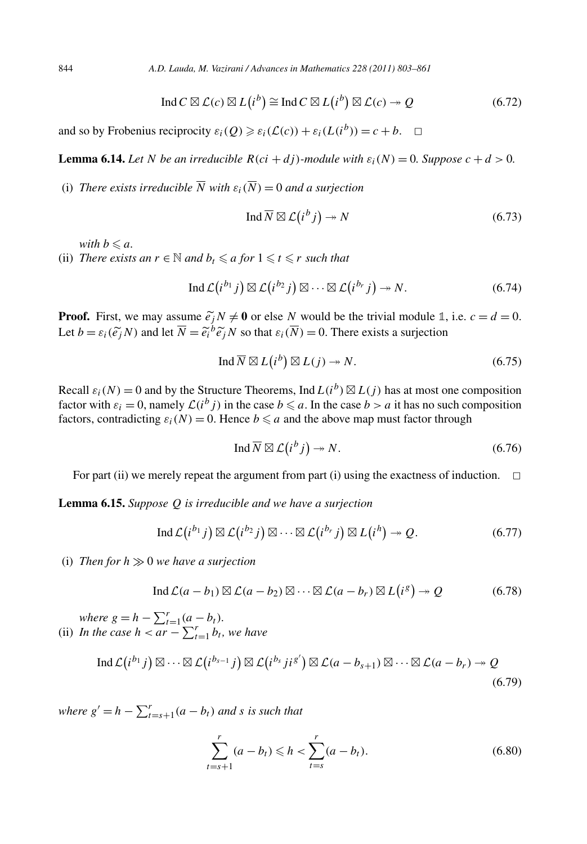2. *Lauda, M. Vazirani / Advances in Mathematics* 228 (2011) 803–861

\n
$$
\text{Ind } C \boxtimes \mathcal{L}(c) \boxtimes L(i^b) \cong \text{Ind } C \boxtimes L(i^b) \boxtimes \mathcal{L}(c) \twoheadrightarrow Q
$$
\n(6.72)

and so by Frobenius reciprocity  $\varepsilon_i(Q) \geqslant \varepsilon_i(\mathcal{L}(c)) + \varepsilon_i(L(i^b)) = c + b.$   $\Box$ 

**Lemma 6.14.** *Let N be an irreducible*  $R(ci + dj)$ *-module* with  $\varepsilon_i(N) = 0$ *. Suppose*  $c + d > 0$ *.* 

(i) *There exists irreducible*  $\overline{N}$  *with*  $\varepsilon_i(\overline{N}) = 0$  *and a surjection* 

$$
\operatorname{Ind} \overline{N} \boxtimes \mathcal{L}(i^b j) \to N \tag{6.73}
$$

*with*  $b \leq a$ *.* 

(ii) *There exists an*  $r \in \mathbb{N}$  *and*  $b_t \leq a$  *for*  $1 \leq t \leq r$  *such that* 

$$
\operatorname{Ind} \mathcal{L}(i^{b_1} j) \boxtimes \mathcal{L}(i^{b_2} j) \boxtimes \cdots \boxtimes \mathcal{L}(i^{b_r} j) \to N. \tag{6.74}
$$
  
**Proof.** First, we may assume  $\tilde{e}_j N \neq 0$  or else N would be the trivial module  $\mathbb{1}$ , i.e.  $c = d = 0$ .

**Proof.** First, we may assume  $\tilde{e}_j N \neq \mathbf{0}$  or else *N* would be the trivial module 1,<br>
Let *b* =  $\varepsilon_i(\tilde{e}_j N)$  and let  $\overline{N} = \tilde{e}_i^b \tilde{e}_j^r N$  so that  $\varepsilon_i(\overline{N}) = 0$ . There exists a surjection  $\overline{1}$ e .<br> $\varepsilon_i$  (<br> $b$ )

$$
\operatorname{Ind} \overline{N} \boxtimes L(i^b) \boxtimes L(j) \twoheadrightarrow N. \tag{6.75}
$$

Recall  $\varepsilon_i(N) = 0$  and by the Structure Theorems, Ind  $L(i^b) \boxtimes L(j)$  has at most one composition factor with  $\varepsilon_i = 0$ , namely  $\mathcal{L}(i^b j)$  in the case  $b \le a$ . In the case  $b > a$  it has no such composition factors, contradicting  $\varepsilon_i(N) = 0$ . Hence  $b \le a$  and the above map must factor through

$$
\operatorname{Ind} \overline{N} \boxtimes \mathcal{L}(i^b j) \to N. \tag{6.76}
$$

For part (ii) we merely repeat the argument from part (i) using the exactness of induction.  $\Box$ 

**Lemma 6.15.** *Suppose Q is irreducible and we have a surjection*

therely repeat the argument from part (1) using the exactness of induction. 
$$
\Box
$$
 *ose Q is irreducible and we have a surjection*  $\text{Ind }\mathcal{L}(i^{b_1}j) \boxtimes \mathcal{L}(i^{b_2}j) \boxtimes \cdots \boxtimes \mathcal{L}(i^{b_r}j) \boxtimes L(i^h) \twoheadrightarrow Q.$   $(6.77)$  *we have a surjection*  $\text{Ind } C(a - b_1) \boxtimes C(a - b_2) \boxtimes \cdots \boxtimes C(a - b_n) \boxtimes L(i^g) \twoheadrightarrow Q.$   $(6.78)$ 

(i) *Then for*  $h \gg 0$  *we have a surjection* 

$$
\operatorname{Ind}\mathcal{L}(a-b_1)\boxtimes\mathcal{L}(a-b_2)\boxtimes\cdots\boxtimes\mathcal{L}(a-b_r)\boxtimes L(i^s)\to Q\tag{6.78}
$$

*Then for h*  $\gg$  0 *we have a surp*<br>  $\text{Ind }\mathcal{L}(a - b_1)$  *l*<br> *where*  $g = h - \sum_{t=1}^{r} (a - b_t)$ *. Ind £*(*a* − *b*<sub>1</sub>) ⊠ *£*(*a* − *where*  $g = h - \sum_{t=1}^{r} (a - b_t)$ .<br>
(ii) *In the case*  $h < ar - \sum_{t=1}^{r} b_t$ , we have  $\mathbf{L} \quad \nabla^r \quad (1)$ 

where 
$$
g = h - \sum_{t=1}^{r} (a - b_t)
$$
.  
\n(ii) In the case  $h < ar - \sum_{t=1}^{r} b_t$ , we have  
\n
$$
\operatorname{Ind} \mathcal{L}(i^{b_1} j) \boxtimes \cdots \boxtimes \mathcal{L}(i^{b_{s-1}} j) \boxtimes \mathcal{L}(i^{b_s} j i^{g'}) \boxtimes \mathcal{L}(a - b_{s+1}) \boxtimes \cdots \boxtimes \mathcal{L}(a - b_r) \rightarrow Q
$$
\n
$$
(6.79)
$$
\nwhere  $g' = h - \sum_{t=s+1}^{r} (a - b_t)$  and *s* is such that

$$
h_t) \text{ and } s \text{ is such that}
$$
\n
$$
\sum_{t=s+1}^r (a - b_t) \leq h < \sum_{t=s}^r (a - b_t). \tag{6.80}
$$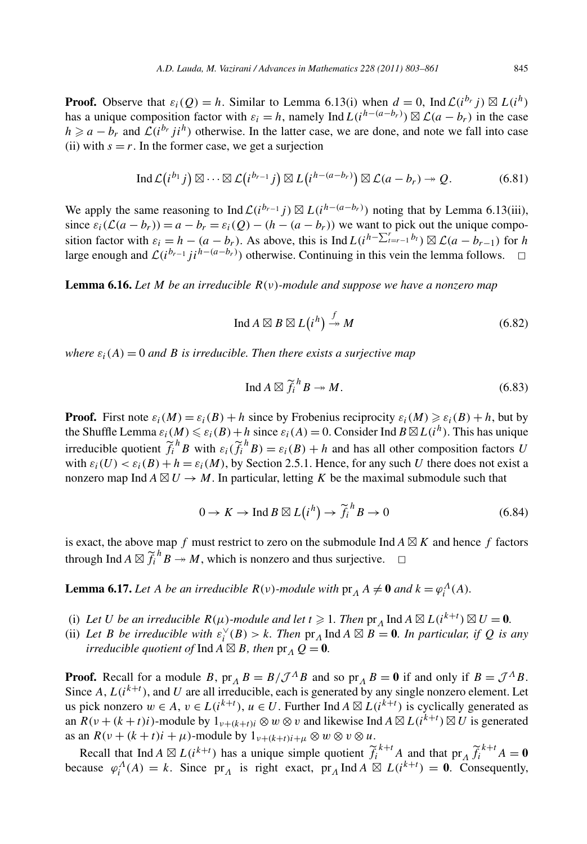**Proof.** Observe that  $\varepsilon_i(Q) = h$ . Similar to Lemma 6.13(i) when  $d = 0$ , Ind  $\mathcal{L}(i^{b_r} j) \boxtimes L(i^h)$ has a unique composition factor with  $\varepsilon_i = h$ , namely Ind  $L(i^{h-(a-b_r)}) \boxtimes L(a-b_r)$  in the case  $h \ge a - b_r$  and  $\mathcal{L}(i^{b_r} j i^h)$  otherwise. In the latter case, we are done, and note we fall into case (ii) with  $s = r$ . In the former case, we get a surjection

$$
\operatorname{Ind}\mathcal{L}(i^{b_1} j) \boxtimes \cdots \boxtimes \mathcal{L}(i^{b_{r-1}} j) \boxtimes L(i^{h-(a-b_r)}) \boxtimes \mathcal{L}(a-b_r) \to Q. \tag{6.81}
$$

We apply the same reasoning to  $\text{Ind }\mathcal{L}(i^{b_{r-1}} j) \boxtimes L(i^{h-(a-b_r)})$  noting that by Lemma 6.13(iii), since  $\varepsilon_i(\mathcal{L}(a - b_r)) = a - b_r = \varepsilon_i(Q) - (h - (a - b_r))$  we want to pick out the unique compo-We apply the same reasoning to Ind  $\mathcal{L}(i^{b_{r-1}} j) \boxtimes L(i^{h-(a-b_r)})$  not<br>since  $\varepsilon_i(\mathcal{L}(a - b_r)) = a - b_r = \varepsilon_i(Q) - (h - (a - b_r))$  we want to<br>sition factor with  $\varepsilon_i = h - (a - b_r)$ . As above, this is Ind  $L(i^{h-\sum_{i=1}^n a_i - b_i})$ *f*<sup>=*r*</sup>−1</sub>*b<sub>t</sub>*) ⊠  $\mathcal{L}(a - b_{r-1})$  for *h* large enough and  $\mathcal{L}(i^{b_{r-1}} j i^{h-(a-b_r)})$  otherwise. Continuing in this vein the lemma follows.  $□$ 

**Lemma 6.16.** *Let M be an irreducible R(ν)-module and suppose we have a nonzero map*

*ible* 
$$
R(v)
$$
*-module and suppose we have a nonzero map*  

$$
Ind A \boxtimes B \boxtimes L(i^h) \stackrel{f}{\rightarrow} M
$$
 (6.82)

*where*  $\varepsilon_i(A) = 0$  *and B is irreducible. Then there exists a surjective map* 

$$
\operatorname{Ind} A \boxtimes \widetilde{f}_i^h B \twoheadrightarrow M. \tag{6.83}
$$

**Proof.** First note  $\varepsilon_i(M) = \varepsilon_i(B) + h$  since by Frobenius reciprocity  $\varepsilon_i(M) \geq \varepsilon_i(B) + h$ , but by the Shuffle Lemma  $\varepsilon_i(M) \leq \varepsilon_i(B) + h$  since  $\varepsilon_i(A) = 0$ . Consider Ind  $B \boxtimes L(i^h)$ . This has unique irreducible quotient  $\widetilde{f}_i^h B$  with  $\varepsilon_i(\widetilde{f}_i^h B) = \varepsilon_i(B) + h$  and has all other composition factors *U* with  $\varepsilon_i(U) < \varepsilon_i(B) + h = \varepsilon_i(M)$ , by Section 2.5.1. Hence, for any such *U* there does not exist a nonzero map Ind  $A \boxtimes U \rightarrow M$ . In particular, letting K be the maximal submodule such that  $\frac{1}{g}$ *h*)

$$
0 \to K \to \text{Ind } B \boxtimes L(i^h) \to \widetilde{f}_i^h B \to 0 \tag{6.84}
$$

is exact, the above map *f* must restrict to zero on the submodule Ind  $A \boxtimes K$  and hence *f* factors through Ind  $A \boxtimes \widetilde{f}_i^h B \to M$ , which is nonzero and thus surjective.  $\Box$ 

**Lemma 6.17.** *Let A be an irreducible*  $R(v)$ *-module with*  $pr_A A \neq \mathbf{0}$  *and*  $k = \varphi_i^A(A)$ *.* 

- (i) Let *U* be an irreducible  $R(\mu)$ -module and let  $t \geq 1$ . Then  $pr_A$  Ind  $A \boxtimes L(i^{k+t}) \boxtimes U = 0$ .
- (ii) Let *B* be irreducible with  $\varepsilon_i^{\vee}(B) > k$ . Then  $\text{pr}_A \text{Ind } A \boxtimes B = 0$ . In particular, if *Q* is any *irreducible quotient of* Ind *A*  $\boxtimes$  *B, then* pr<sub>Λ</sub>  $Q = 0$ *.*

**Proof.** Recall for a module *B*,  $pr_A B = B / \mathcal{J}^A B$  and so  $pr_A B = 0$  if and only if  $B = \mathcal{J}^A B$ . Since  $A, L(i^{k+t})$ , and  $U$  are all irreducible, each is generated by any single nonzero element. Let us pick nonzero  $w \in A$ ,  $v \in L(i^{k+t})$ ,  $u \in U$ . Further Ind  $A \boxtimes L(i^{k+t})$  is cyclically generated as an  $R(v + (k + t)i)$ -module by  $1_{v+(k+t)i} \otimes w \otimes v$  and likewise Ind  $A \boxtimes L(i^{k+t}) \boxtimes U$  is generated as an  $R(v + (k + t)i + \mu)$ -module by  $1_{v+(k+t)i+\mu} \otimes w \otimes v \otimes u$ .

Recall that Ind  $A \boxtimes L(i^{k+t})$  has a unique simple quotient  $\widetilde{f}_i^{k+t}A$  and that  $pr_A \widetilde{f}_i^{k+t}A = 0$ because  $\varphi_i^A(A) = k$ . Since  $pr_A$  is right exact,  $pr_A \text{Ind } A \boxtimes L(i^{k+t}) = 0$ . Consequently,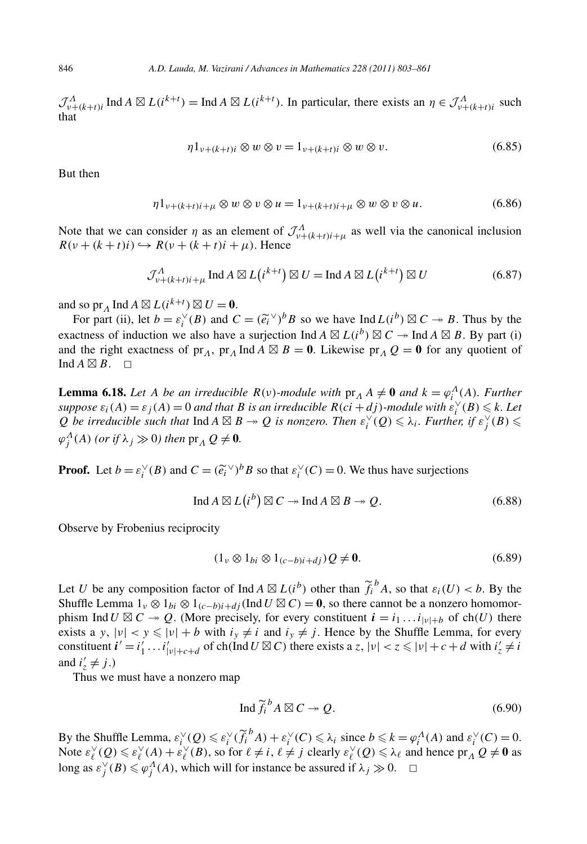$\mathcal{J}^{\Lambda}_{\nu+(k+t)i}$  Ind  $A \boxtimes L(i^{k+t}) = \text{Ind } A \boxtimes L(i^{k+t})$ . In particular, there exists an  $\eta \in \mathcal{J}^{\Lambda}_{\nu+(k+t)i}$  such that

$$
\eta 1_{\nu + (k+t)i} \otimes w \otimes v = 1_{\nu + (k+t)i} \otimes w \otimes v. \tag{6.85}
$$

But then

$$
\eta 1_{\nu+(k+i)i+\mu} \otimes w \otimes v \otimes u = 1_{\nu+(k+i)i+\mu} \otimes w \otimes v \otimes u. \tag{6.86}
$$

Note that we can consider  $\eta$  as an element of  $\mathcal{J}^{\Lambda}_{\nu+(k+t)i+\mu}$  as well via the canonical inclusion  $R(\nu + (k + t)i) \hookrightarrow R(\nu + (k + t)i + \mu)$ . Hence  $\mathcal{L} \mathcal{A}$   $\mathcal{L}$ 

$$
\mathcal{J}_{\nu+(k+i)i+\mu}^A \operatorname{Ind} A \boxtimes L(i^{k+i}) \boxtimes U = \operatorname{Ind} A \boxtimes L(i^{k+i}) \boxtimes U \tag{6.87}
$$

and so  $\text{pr}_A \text{Ind } A \boxtimes L(i^{k+t}) \boxtimes U = 0$ .

 $\mathcal{J}_{\nu+(k+t)i+\mu}^{\Lambda} \text{ Ind } A \boxtimes L(i^{k+t}) \boxtimes U = \text{Ind } A \boxtimes L(i^{k+t}) \boxtimes U$  (6.87)<br>
i so pr<sub>A</sub> Ind  $A \boxtimes L(i^{k+t}) \boxtimes U = 0$ .<br>
For part (ii), let  $b = \varepsilon_i^{\vee}(B)$  and  $C = (\tilde{e}_i^{\vee})^b B$  so we have  $\text{Ind } L(i^b) \boxtimes C \rightarrow B$ . Thus by the exactness of induction we also have a surjection Ind  $A \boxtimes L(i^b) \boxtimes C \rightarrow \text{Ind } A \boxtimes B$ . By part (i) and the right exactness of pr<sub>*Λ*</sub>, pr<sub>*Λ*</sub> Ind *A*  $\boxtimes$  *B* = 0. Likewise pr<sub>*Λ</sub> Q* = 0 for any quotient of</sub> Ind  $A \boxtimes B$ .  $\Box$ 

**Lemma 6.18.** *Let A be an irreducible*  $R(v)$ *-module with*  $pr_A A \neq \mathbf{0}$  *and*  $k = \varphi_i^A(A)$ *. Further suppose*  $\varepsilon_i(A) = \varepsilon_j(A) = 0$  *and that B is an irreducible*  $R(ci + dj)$ *-module with*  $\varepsilon_i^{\vee}(B) \leq k$ *. Let Q be irreducible such that*  $\text{Ind } A \boxtimes B \twoheadrightarrow Q$  *is nonzero. Then*  $\varepsilon_i^{\vee}(Q) \leq \lambda_i$ *. Further, if*  $\varepsilon_j^{\vee}(B) \leq$  $\varphi_j^A(A)$  (or if  $\lambda_j \gg 0$ ) then  $\text{pr}_A Q \neq \mathbf{0}$ . **P**roof. Let  $b = \varepsilon_i^\vee(B)$  and  $C = (\tilde{e}_i^\vee)^b B$  so that  $\varepsilon_i^\vee(C) = 0$ . We thus have surjections

 $\frac{1}{b}$ 

$$
\operatorname{Ind} A \boxtimes L(i^b) \boxtimes C \twoheadrightarrow \operatorname{Ind} A \boxtimes B \twoheadrightarrow Q. \tag{6.88}
$$

Observe by Frobenius reciprocity

$$
(1_v \otimes 1_{bi} \otimes 1_{(c-b)i+dj})Q \neq \mathbf{0}.
$$
\n(6.89)

Let *U* be any composition factor of Ind  $A \boxtimes L(i^b)$  other than  $\widetilde{f}_i^b A$ , so that  $\varepsilon_i(U) < b$ . By the Shuffle Lemma  $1_v \otimes 1_{bi} \otimes 1_{(c-b)i+dj}$  (Ind  $U \boxtimes C$ ) = 0, so there cannot be a nonzero homomorphism Ind  $U \boxtimes C \rightarrow Q$ . (More precisely, for every constituent  $i = i_1 \dots i_{|v|+b}$  of ch $(U)$  there exists a *y*,  $|v| < y \le |v| + b$  with  $i_y \ne i$  and  $i_y \ne j$ . Hence by the Shuffle Lemma, for every constituent  $i' = i'_1 \dots i'_{|v|+c+d}$  of ch(Ind  $U \boxtimes C$ ) there exists a z,  $|v| < z \le |v| + c + d$  with  $i'_z \neq i$ and  $i'_z \neq j$ .)

Thus we must have a nonzero map

$$
\operatorname{Ind} \widetilde{f}_i^{\ b} A \boxtimes C \twoheadrightarrow Q. \tag{6.90}
$$

By the Shuffle Lemma,  $\varepsilon_i^{\vee}(Q) \leq \varepsilon_i^{\vee}(\widetilde{f}_i^{\ b} A) + \varepsilon_i^{\vee}(C) \leq \lambda_i$  since  $b \leq k = \varphi_i^{\Lambda}(A)$  and  $\varepsilon_i^{\vee}(C) = 0$ . Note  $\varepsilon_{\ell}^{\vee}(Q) \leq \varepsilon_{\ell}^{\vee}(A) + \varepsilon_{\ell}^{\vee}(B)$ , so for  $\ell \neq i$ ,  $\ell \neq j$  clearly  $\varepsilon_{\ell}^{\vee}(Q) \leq \lambda_{\ell}$  and hence  $\text{pr}_{A}^{'}Q \neq \mathbf{0}$  as long as  $\varepsilon_j^{\vee}(B) \leq \varphi_j^{\Lambda}(A)$ , which will for instance be assured if  $\lambda_j \gg 0$ .  $\Box$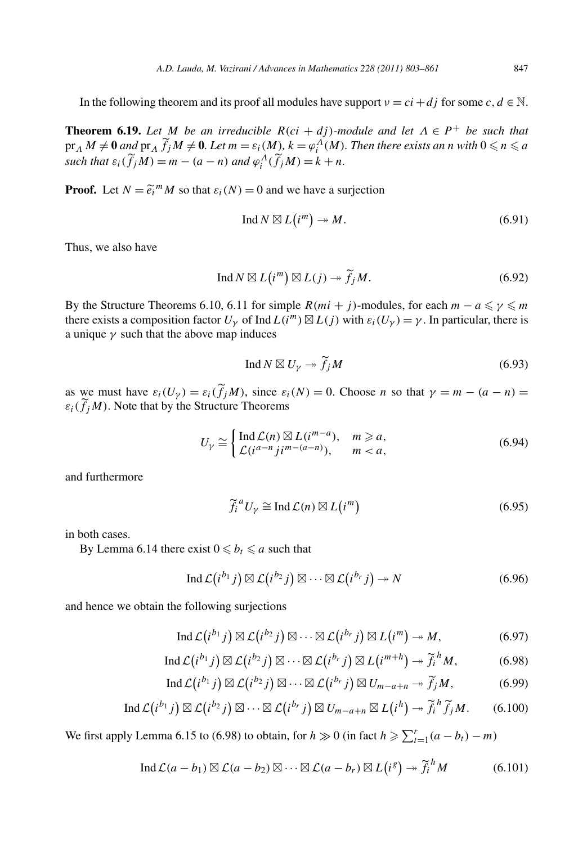In the following theorem and its proof all modules have support  $v = ci + dj$  for some  $c, d \in \mathbb{N}$ .

**Theorem 6.19.** Let *M* be an irreducible  $R$ (ci + dj)-module and let  $\Lambda \in P^+$  be such that  $\mathrm{pr}_A\,M\neq\mathbf{0}$  and  $\mathrm{pr}_A\,\widetilde{f_j}\,M\neq\mathbf{0}.$  Let  $m=\varepsilon_i(M)$ ,  $k=\varphi_i^A(M).$  Then there exists an  $n$  with  $0\leqslant n\leqslant a$ *such that*  $\varepsilon_i(\widetilde{f}_jM) = m - (a - n)$  *and*  $\varphi_i^A(\widetilde{f}_jM) = k + n$ .  $\operatorname{pr}_A M \neq \mathbf{0}$  and  $\operatorname{pr}_A$ <br>such that  $\varepsilon_i(\widetilde{f}_j M)$ <br>**Proof.** Let  $N = \widetilde{e}_i$  $\mathbf{r}$ 

 $^{m}$ *M* so that  $\varepsilon_i(N) = 0$  and we have a surjection  $=$ <br>ha<br> $m<sub>n</sub>$ 

$$
\operatorname{Ind} N \boxtimes L(i^{m}) \to M. \tag{6.91}
$$
\n
$$
U \boxtimes L(i^{m}) \boxtimes L(i) \to \widetilde{f} \cdot M \tag{6.92}
$$

Thus, we also have

$$
\text{Ind } N \boxtimes L(i^{m}) \boxtimes L(j) \to \widetilde{f}_{j}M. \tag{6.92}
$$

By the Structure Theorems 6.10, 6.11 for simple  $R(mi + j)$ -modules, for each  $m - a \le \gamma \le m$ there exists a composition factor  $U_{\gamma}$  of Ind  $L(i^m) \boxtimes L(j)$  with  $\varepsilon_i(U_{\gamma}) = \gamma$ . In particular, there is a unique  $\gamma$  such that the above map induces

$$
\operatorname{Ind} N \boxtimes U_{\gamma} \twoheadrightarrow \widetilde{f}_j M \tag{6.93}
$$

as we must have  $\varepsilon_i(U_\gamma) = \varepsilon_i(\widetilde{f}_jM)$ , since  $\varepsilon_i(N) = 0$ . Choose *n* so that  $\gamma = m - (a - n) =$  $\varepsilon_i(f_jM)$ . Note that by the Structure Theorems

$$
U_{\gamma} \cong \begin{cases} \text{Ind}\,\mathcal{L}(n) \boxtimes L(i^{m-a}), & m \ge a, \\ \mathcal{L}(i^{a-n}j i^{m-(a-n)}), & m < a, \end{cases} \tag{6.94}
$$

and furthermore

$$
\left\{ L(i^{a-n}j i^{m-(a-n)}), \quad m < a, \right\}
$$

$$
\widetilde{f}_i^a U_\gamma \cong \text{Ind}\,\mathcal{L}(n) \boxtimes L(i^m) \tag{6.95}
$$

in both cases.

By Lemma 6.14 there exist  $0 \le b_t \le a$  such that

$$
\operatorname{Ind}\mathcal{L}(i^{b_1}j) \boxtimes \mathcal{L}(i^{b_2}j) \boxtimes \cdots \boxtimes \mathcal{L}(i^{b_r}j) \to N
$$
\n(6.96)

\nfollowing surjections

\n
$$
\operatorname{Ind}\mathcal{L}(i^{b_1}j) \boxtimes \mathcal{L}(i^{b_2}j) \boxtimes \cdots \boxtimes \mathcal{L}(i^{b_r}j) \boxtimes I(i^m) \to M
$$

and hence we obtain the following surjections

the following surjections

\n
$$
\operatorname{Ind}\mathcal{L}\left(i^{b_1}j\right) \boxtimes \mathcal{L}\left(i^{b_2}j\right) \boxtimes \cdots \boxtimes \mathcal{L}\left(i^{b_r}j\right) \boxtimes L\left(i^m\right) \twoheadrightarrow M,\tag{6.97}
$$
\n
$$
\operatorname{Id}\mathcal{L}\left(i^{b_1}i\right) \boxtimes \mathcal{L}\left(i^{b_2}i\right) \boxtimes \cdots \boxtimes \mathcal{L}\left(i^{b_r}i\right) \boxtimes L\left(i^{m+h}\right) \twoheadrightarrow \widetilde{L}^h M
$$
\n(6.98)

$$
\operatorname{Ind}\mathcal{L}(i^{b_1} j) \boxtimes \mathcal{L}(i^{b_2} j) \boxtimes \cdots \boxtimes \mathcal{L}(i^{b_r} j) \boxtimes L(i^{m+h}) \twoheadrightarrow \widetilde{f}_i^h M, \tag{6.98}
$$

$$
\operatorname{Ind}\mathcal{L}(i^{b_1}j) \boxtimes \mathcal{L}(i^{b_2}j) \boxtimes \cdots \boxtimes \mathcal{L}(i^{b_r}j) \boxtimes L(i^{m+h}) \to \widetilde{f}_i{}^h M,
$$
(6.98)  
\n
$$
\operatorname{Ind}\mathcal{L}(i^{b_1}j) \boxtimes \mathcal{L}(i^{b_2}j) \boxtimes \cdots \boxtimes \mathcal{L}(i^{b_r}j) \boxtimes U_{m-a+n} \to \widetilde{f}_j M,
$$
(6.99)  
\n
$$
\operatorname{Ind}\mathcal{L}(i^{b_1}j) \boxtimes \mathcal{L}(i^{b_2}j) \boxtimes \cdots \boxtimes \mathcal{L}(i^{b_r}j) \boxtimes U_{m-a+n} \to \widetilde{f}_j M,
$$
(6.99)

$$
\operatorname{Ind}\mathcal{L}(i^{b_1}j) \boxtimes \mathcal{L}(i^{b_2}j) \boxtimes \cdots \boxtimes \mathcal{L}(i^{b_r}j) \boxtimes U_{m-a+n} \to \widetilde{f}_j M, \tag{6.99}
$$
\n
$$
\operatorname{Ind}\mathcal{L}(i^{b_1}j) \boxtimes \mathcal{L}(i^{b_2}j) \boxtimes \cdots \boxtimes \mathcal{L}(i^{b_r}j) \boxtimes U_{m-a+n} \boxtimes L(i^{h}) \to \widetilde{f}_i{}^h \widetilde{f}_j M. \tag{6.100}
$$
\n
$$
\text{We first apply Lemma 6.15 to (6.98) to obtain, for } h \gg 0 \text{ (in fact } h \geqslant \sum_{t=1}^r (a - b_t) - m)
$$

 $\begin{align*}\n\begin{cases}\n\ell \\
\ell\n\end{cases} \\
g \rightarrow \n\begin{cases}\n\ell\n\end{cases}$ 

$$
\operatorname{Ind} \mathcal{L}(a - b_1) \boxtimes \mathcal{L}(a - b_2) \boxtimes \cdots \boxtimes \mathcal{L}(a - b_r) \boxtimes L(i^s) \to \widetilde{f}_i^h M \tag{6.101}
$$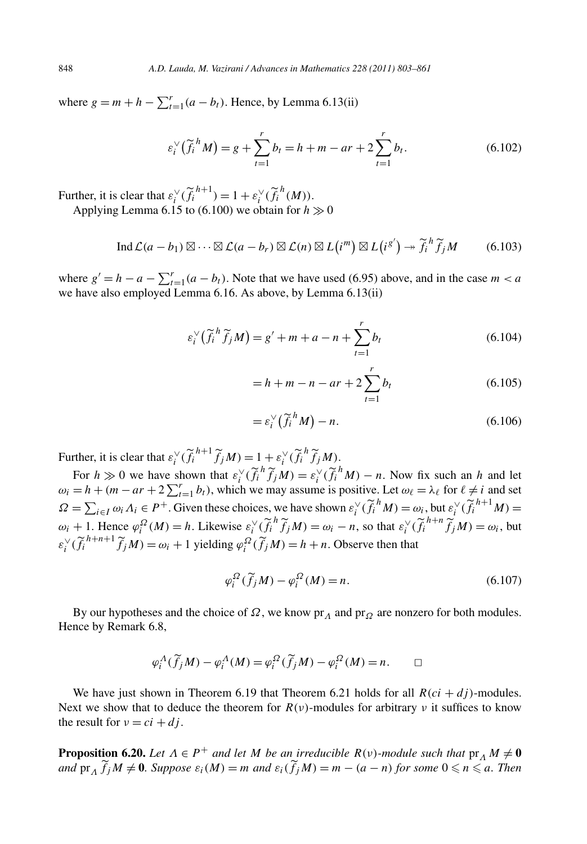848 *A.D. Lauda, M. Vazirani* / Advances in Mathematics 2.<br>
where  $g = m + h - \sum_{t=1}^{r} (a - b_t)$ . Hence, by Lemma 6.13(ii)<br>  $\varepsilon_i^{\vee}(\widetilde{f}_i^h M) = g + \sum_{t=1}^{r} b_t = h + m - ar$ .

$$
\varepsilon_i^{\vee}(\widetilde{f_i}^h M) = g + \sum_{t=1}^r b_t = h + m - ar + 2\sum_{t=1}^r b_t.
$$
 (6.102)

Further, it is clear that  $\varepsilon_i^{\vee}(\widetilde{f}_i^{h+1}) = 1 + \varepsilon_i^{\vee}(\widetilde{f}_i^{h}(M)).$ 

Applying Lemma 6.15 to (6.100) we obtain for  $h \gg 0$ 

Further, it is clear that 
$$
\varepsilon_i^{\vee}(\tilde{f}_i^{n+1}) = 1 + \varepsilon_i^{\vee}(\tilde{f}_i^{n}(M)).
$$
  
\nApplying Lemma 6.15 to (6.100) we obtain for  $h \gg 0$   
\n
$$
\text{Ind }\mathcal{L}(a - b_1) \boxtimes \cdots \boxtimes \mathcal{L}(a - b_r) \boxtimes \mathcal{L}(n) \boxtimes L(i^m) \boxtimes L(i^s') \rightarrow \tilde{f}_i^{n} \tilde{f}_j M \qquad (6.103)
$$
\nwhere  $g' = h - a - \sum_{i=1}^r (a - b_i)$ . Note that we have used (6.95) above, and in the case  $m < a$ 

where  $g' = n - a - \sum_{i=1}^r (a - b_i)$ . Note that we have used (6.95) is<br>we have also employed Lemma 6.16. As above, by Lemma 6.13(ii)<br> $\varepsilon_i^{\vee}(\tilde{f}_i^h \tilde{f}_j M) = g' + m + a - n + \sum_{i=1}^r b_i$ 

$$
\varepsilon_i^{\vee}(\widetilde{f}_i^h \widetilde{f}_j M) = g' + m + a - n + \sum_{t=1}^r b_t
$$
\n(6.104)

$$
= h + m - n - ar + 2 \sum_{t=1}^{r} b_t
$$
 (6.105)  

$$
= \varepsilon_i^{\vee} (\widetilde{f}_i^h M) - n.
$$
 (6.106)

$$
= \varepsilon_i^{\vee} \left( \widetilde{f}_i^{\,h} M \right) - n. \tag{6.106}
$$

Further, it is clear that  $\varepsilon_i^{\vee}(\widetilde{f}_i^{h+1}\widetilde{f}_jM) = 1 + \varepsilon_i^{\vee}(\widetilde{f}_i^{h}\widetilde{f}_jM)$ .

For  $h \gg 0$  we have shown that  $\varepsilon_i^{\vee}(\widetilde{f}_i^h \widetilde{f}_j M) = \varepsilon_i^{\vee}(\widetilde{f}_i^h M) - n$ . Now fix such an *h* and let  $\omega_i = h + (m - ar + 2\sum_{t=1}^r b_t)$ , which we may assume is positive. Let  $\omega_\ell = \lambda_\ell$  for  $\ell \neq i$  and set Further, it is clear that  $\varepsilon_i^{\vee}(\tilde{f}_i^{h+1}\tilde{f}_jM) = 1 + \varepsilon_i^{\vee}(\tilde{f}_i^{h}\tilde{f}_jM)$ .<br> *For*  $h \gg 0$  we have shown that  $\varepsilon_i^{\vee}(\tilde{f}_i^{h}\tilde{f}_jM) = \varepsilon_i^{\vee}(\tilde{f}_i^{h}M) - n$ . Now fix such an  $\omega_i = h + (m - ar + 2\sum_{t=1}^r b$  $\sum_{i=1}^{n} \omega_i A_i \in P^+$ . Given these choices, we have shown  $\varepsilon_i^{\vee}(\widetilde{f}_i^h M) = \omega_i$ , but  $\varepsilon_i^{\vee}(\widetilde{f}_i^{h+1} M) =$  $\omega_i + 1$ . Hence  $\varphi_i^{\Omega}(M) = h$ . Likewise  $\varepsilon_i^{\vee}(\widetilde{f}_i^h \widetilde{f}_j M) = \omega_i - n$ , so that  $\varepsilon_i^{\vee}(\widetilde{f}_i^{h+n} \widetilde{f}_j M) = \omega_i$ , but  $J_jM$ ) =  $\varepsilon_i$   $(J_i$   $M)$  – n. Now fix such  $\varepsilon_i^{\vee}(\widetilde{f}_i^{h+n+1} \widetilde{f}_j M) = \omega_i + 1$  yielding  $\varphi_i^{\Omega}(\widetilde{f}_j M) = h + n$ . Observe then that  $\tilde{i}$ 

$$
\varphi_i^{\Omega}(\widetilde{f}_j M) - \varphi_i^{\Omega}(M) = n. \tag{6.107}
$$

By our hypotheses and the choice of *Ω*, we know pr*<sup>Λ</sup>* and pr*<sup>Ω</sup>* are nonzero for both modules. Hence by Remark 6.8,

$$
\varphi_i^A(\widetilde{f}_jM) - \varphi_i^A(M) = \varphi_i^{\Omega}(\widetilde{f}_jM) - \varphi_i^{\Omega}(M) = n. \qquad \Box
$$

We have just shown in Theorem 6.19 that Theorem 6.21 holds for all  $R$ ( $ci + di$ )-modules. Next we show that to deduce the theorem for  $R(v)$ -modules for arbitrary *v* it suffices to know the result for  $v = ci + dj$ .

**Proposition 6.20.** *Let*  $\Lambda \in P^+$  *and let*  $M$  *be an irreducible*  $R(v)$ *-module such that*  $pr_{\Lambda} M \neq 0$  $\lim_{M \to \infty} \int_{-1}^{1} M \neq 0$ . Suppose  $\varepsilon_i(M) = m$  and  $\varepsilon_i(f_jM) = m - (a - n)$  for some  $0 \leq n \leq a$ . Then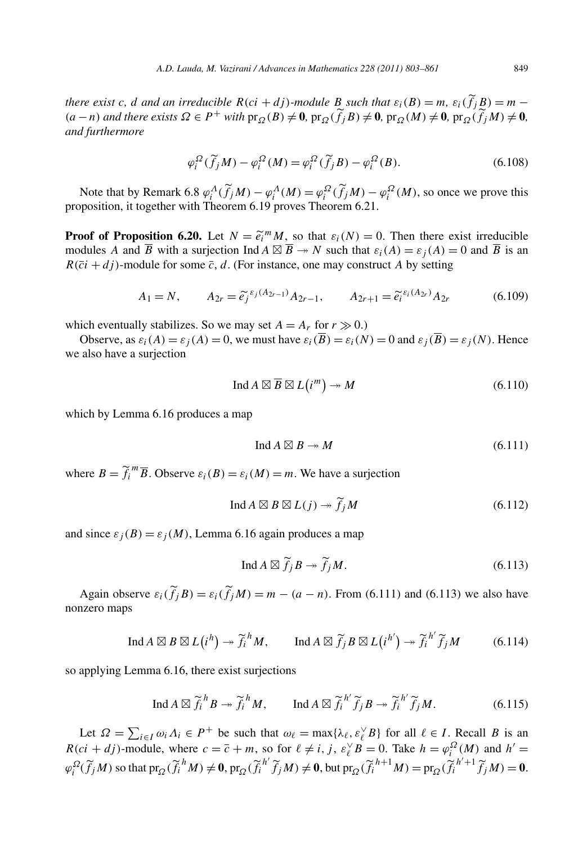*there exist c*, *d* and an irreducible  $R$ (*ci* + *dj*) $\cdot$ *module B such that*  $\varepsilon_i(B) = m$ ,  $\varepsilon_i(f_jB) = m (a-n)$  and there exists  $\Omega \in P^+$  with  $\text{pr}_{\Omega}(B) \neq \mathbf{0}$ ,  $\text{pr}_{\Omega}(\widetilde{f}_jB) \neq \mathbf{0}$ ,  $\text{pr}_{\Omega}(M) \neq \mathbf{0}$ ,  $\text{pr}_{\Omega}(\widetilde{f}_jM) \neq \mathbf{0}$ , *and furthermore*

$$
\varphi_i^{\Omega}(\widetilde{f}_j M) - \varphi_i^{\Omega}(M) = \varphi_i^{\Omega}(\widetilde{f}_j B) - \varphi_i^{\Omega}(B). \tag{6.108}
$$

Note that by Remark 6.8  $\varphi_i^A(\tilde{f}_jM) - \varphi_i^A(M) = \varphi_i^{\Omega}(\tilde{f}_jM) - \varphi_i^{\Omega}(M)$ , so once we prove this proposition, it together with Theorem 6.19 proves Theorem 6.21. Note that by Remark 6.8  $\varphi_i^A(f_j M) - \varphi_i^A(M) = \varphi_i^{22}(f_j M) - \varphi_i^{22}(M)$ , so once we prove this proposition, it together with Theorem 6.19 proves Theorem 6.21.<br>**Proof of Proposition 6.20.** Let  $N = \tilde{e}_i^m M$ , so that  $\varepsilon_i(N)$ 

modules *A* and  $\overline{B}$  with a surjection Ind  $A \boxtimes \overline{B} \rightarrow N$  such that  $\varepsilon_i(A) = \varepsilon_i(A) = 0$  and  $\overline{B}$  is an  $R(\overline{c}i + dj)$ -module for some  $\overline{c}$ , *d*. (For instance, one may construct *A* by setting *A* B → *N* such that  $\varepsilon_i(A)$ <br> *A*ule for some  $\overline{c}$ , *A*. (For instance, one may construct *A*<br>  $A_1 = N$ ,  $A_{2r} = \tilde{e}_j^{\varepsilon_j(A_{2r-1})} A_{2r-1}$ ,  $A_{2r+1} = \tilde{e}_i^{\varepsilon_j(A_{2r-1})} A_{2r+1}$ 

$$
A_1 = N, \qquad A_{2r} = \tilde{e}_j^{\epsilon_j(A_{2r-1})} A_{2r-1}, \qquad A_{2r+1} = \tilde{e}_i^{\epsilon_i(A_{2r})} A_{2r} \tag{6.109}
$$

which eventually stabilizes. So we may set  $A = A_r$  for  $r \gg 0$ .)

Observe, as  $\varepsilon_i(A) = \varepsilon_j(A) = 0$ , we must have  $\varepsilon_i(\overline{B}) = \varepsilon_i(N) = 0$  and  $\varepsilon_j(\overline{B}) = \varepsilon_j(N)$ . Hence also have a surjection<br>  $\text{Ind } A \boxtimes \overline{B} \boxtimes I(i^m) \to M$  (6.110) we also have a surjection

$$
\operatorname{Ind} A \boxtimes B \boxtimes L(i^m) \to M \tag{6.110}
$$

which by Lemma 6.16 produces a map

$$
\operatorname{Ind} A \boxtimes B \to M \tag{6.111}
$$

where  $B = \tilde{f}_i^m \overline{B}$ . Observe  $\varepsilon_i(B) = \varepsilon_i(M) = m$ . We have a surjection

$$
\operatorname{Ind} A \boxtimes B \boxtimes L(j) \twoheadrightarrow \widetilde{f}_j M \tag{6.112}
$$

and since  $\varepsilon_j(B) = \varepsilon_j(M)$ , Lemma 6.16 again produces a map

$$
\operatorname{Ind} A \boxtimes \widetilde{f}_j B \twoheadrightarrow \widetilde{f}_j M. \tag{6.113}
$$

Again observe  $\varepsilon_i(\tilde{f}_jB) = \varepsilon_i(\tilde{f}_jM) = m - (a - n)$ . From (6.111) and (6.113) we also have<br>
naps<br> **h**  $\mathbf{f}_i \otimes \mathbf{f}_j \otimes \mathbf{f}_j$  and  $\mathbf{f}_j \otimes \mathbf{f}_j \otimes \mathbf{f}_j$  and  $\mathbf{f}_j \otimes \mathbf{f}_j \otimes \mathbf{f}_j$  and  $\mathbf{f}_j \otimes \mathbf{f$ nonzero maps  $\varepsilon_i$ <br>*h*)

$$
\text{Ind } A \boxtimes B \boxtimes L(i^h) \twoheadrightarrow \widetilde{f}_i^h M, \qquad \text{Ind } A \boxtimes \widetilde{f}_j B \boxtimes L(i^{h'}) \twoheadrightarrow \widetilde{f}_i^{h'} \widetilde{f}_j M \tag{6.114}
$$

so applying Lemma 6.16, there exist surjections

$$
\operatorname{Ind} A \boxtimes \widetilde{f}_i^h B \twoheadrightarrow \widetilde{f}_i^h M, \qquad \operatorname{Ind} A \boxtimes \widetilde{f}_i^{h'} \widetilde{f}_j B \twoheadrightarrow \widetilde{f}_i^{h'} \widetilde{f}_j M. \tag{6.115}
$$

Let *Ω* = ∑  $\sum_{i \in I} \omega_i A_i \in P^+$  be such that  $\omega_\ell = \max\{\lambda_\ell, \varepsilon_\ell^\vee B\}$  for all  $\ell \in I$ . Recall *B* is an  $R(ci + dj)$ -module, where  $c = \overline{c} + m$ , so for  $\ell \neq i$ , *j*,  $\varepsilon_{\ell}^{\vee} B = 0$ . Take  $h = \varphi_i^{\Omega}(M)$  and  $h' =$  $\varphi_i^{\Omega}(\widetilde{f}_jM)$  so that  $\text{pr}_{\Omega}(\widetilde{f}_i^hM)\neq 0$ ,  $\text{pr}_{\Omega}(\widetilde{f}_i^{h'}\widetilde{f}_jM)\neq 0$ , but  $\text{pr}_{\Omega}(\widetilde{f}_i^{h+1}M)=\text{pr}_{\Omega}(\widetilde{f}_i^{h'+1}\widetilde{f}_jM)=0$ .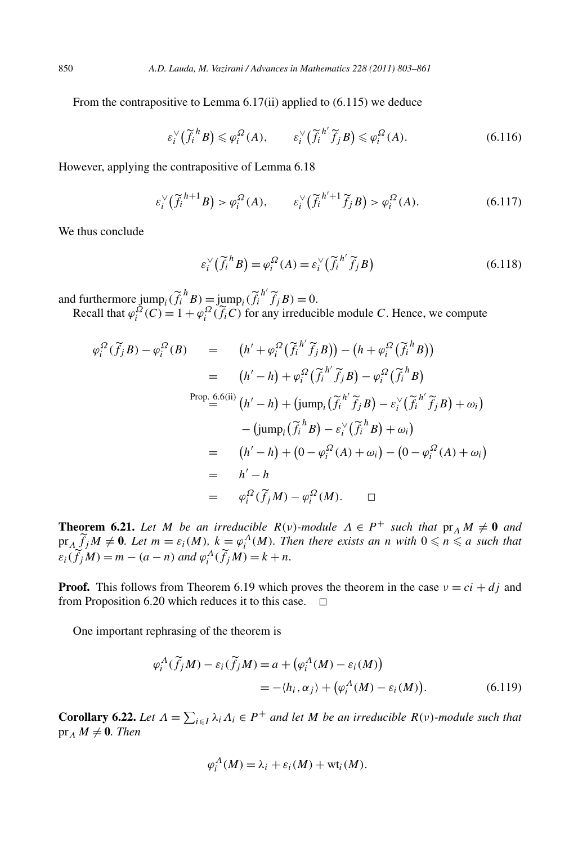From the contrapositive to Lemma 6.17(ii) applied to (6.115) we deduce

$$
\varepsilon_i^{\vee}(\widetilde{f_i}^h B) \leq \varphi_i^{\Omega}(A), \qquad \varepsilon_i^{\vee}(\widetilde{f_i}^{h'} \widetilde{f_j} B) \leq \varphi_i^{\Omega}(A). \tag{6.116}
$$

However, applying the contrapositive of Lemma 6.18

$$
\varepsilon_i^{\vee}(\widetilde{f}_i^{h+1}B) > \varphi_i^{\Omega}(A), \qquad \varepsilon_i^{\vee}(\widetilde{f}_i^{h'+1}\widetilde{f}_jB) > \varphi_i^{\Omega}(A). \tag{6.117}
$$

We thus conclude

$$
\varepsilon_i^{\vee}(\widetilde{f}_i^{\;h}B) = \varphi_i^{\Omega}(A) = \varepsilon_i^{\vee}(\widetilde{f}_i^{\;h'}\widetilde{f}_jB)
$$
\n(6.118)

and furthermore  $\lim_{h \to 0} \left( \tilde{f}_i^h B \right) = \lim_{h \to 0} \lim_{h \to 0} \left( \tilde{f}_i^h \tilde{f}_j B \right) = 0.$ 

Recall that  $\varphi_i^{\Omega}(C) = 1 + \varphi_i^{\Omega}(\tilde{f}_i C)$  for any irreducible module *C*. Hence, we compute  $\frac{1}{2}$ 

whermore jump<sub>i</sub> 
$$
(\widetilde{f}_i^h B) = \text{jump}_i (\widetilde{f}_i^h \widetilde{f}_j B) = 0.
$$

\nall that  $\varphi_i^{\Omega}(C) = 1 + \varphi_i^{\Omega}(\widetilde{f}_i C)$  for any irreducible module  $C$ . Hence, we compute

\n
$$
\varphi_i^{\Omega}(\widetilde{f}_j B) - \varphi_i^{\Omega}(B) = \left(h' + \varphi_i^{\Omega}(\widetilde{f}_i^h \widetilde{f}_j B)\right) - \left(h + \varphi_i^{\Omega}(\widetilde{f}_i^h B)\right)
$$
\n
$$
= \left(h' - h\right) + \varphi_i^{\Omega}(\widetilde{f}_i^h \widetilde{f}_j B) - \varphi_i^{\Omega}(\widetilde{f}_i^h B)
$$
\nProp. 6.6(ii)  $(h' - h) + \left(\text{jump}_i(\widetilde{f}_i^h \widetilde{f}_j B) - \varepsilon_i^{\vee}(\widetilde{f}_i^h \widetilde{f}_j B) + \omega_i\right)$ 

\n
$$
- \left(\text{jump}_i(\widetilde{f}_i^h B) - \varepsilon_i^{\vee}(\widetilde{f}_i^h B) + \omega_i\right)
$$
\n
$$
= \left(h' - h\right) + \left(0 - \varphi_i^{\Omega}(A) + \omega_i\right) - \left(0 - \varphi_i^{\Omega}(A) + \omega_i\right)
$$
\n
$$
= h' - h
$$
\n
$$
= \varphi_i^{\Omega}(\widetilde{f}_j M) - \varphi_i^{\Omega}(M).
$$

**Theorem 6.21.** *Let M be an irreducible*  $R(v)$ *-module*  $\Lambda \in P^+$  *such that*  $pr_{\Lambda} M \neq 0$  *and*  $pr_A \widetilde{f}_jM \neq 0$ . Let  $m = \varepsilon_i(M)$ ,  $k = \varphi_i^A(M)$ . Then there exists an *n* with  $0 \leq n \leq a$  such that  $\varepsilon_i(\widetilde{f}_jM) = m - (a - n)$  and  $\varphi_i^A(\widetilde{f}_jM) = k + n$ .

**Proof.** This follows from Theorem 6.19 which proves the theorem in the case  $v = ci + dj$  and from Proposition 6.20 which reduces it to this case.  $\Box$ 

One important rephrasing of the theorem is

$$
\varphi_i^A(\widetilde{f}_jM) - \varepsilon_i(\widetilde{f}_jM) = a + (\varphi_i^A(M) - \varepsilon_i(M))
$$
  
= -\langle h\_i, \alpha\_j \rangle + (\varphi\_i^A(M) - \varepsilon\_i(M)). \t(6.119)

 $\varphi_i^A(f_jM)$ <br>**Corollary 6.22.** *Let*  $Λ = ∑$  $\sum_{i \in I} \lambda_i \Lambda_i \in P^+$  *and let M be an irreducible*  $R(\nu)$ *-module such that*  $pr_A M \neq 0$ *. Then* 

$$
\varphi_i^{\Lambda}(M) = \lambda_i + \varepsilon_i(M) + \text{wt}_i(M).
$$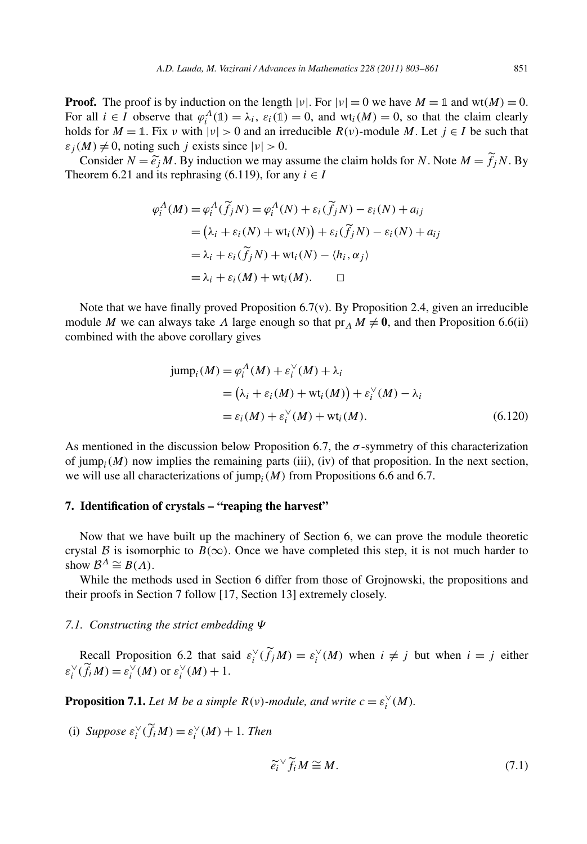**Proof.** The proof is by induction on the length  $|\nu|$ . For  $|\nu| = 0$  we have  $M = \mathbb{1}$  and wt $(M) = 0$ . For all  $i \in I$  observe that  $\varphi_i^{\Lambda}(\mathbb{1}) = \lambda_i$ ,  $\varepsilon_i(\mathbb{1}) = 0$ , and wt<sub>i</sub>(*M*) = 0, so that the claim clearly holds for  $M = \mathbb{1}$ . Fix *ν* with  $|v| > 0$  and an irreducible  $R(v)$ -module M. Let  $j \in I$  be such that  $\varepsilon$ <sub>*i*</sub> (*M*)  $\neq$  0, noting such *j* exists since  $|v|$  > 0. consider *N* = 1. Fix v with  $|\nu| > 0$  and an irreducible  $R(\nu)$ -module *M*. Let  $j \in I$  be such that  $(M) \neq 0$ , noting such j exists since  $|\nu| > 0$ .<br>Consider  $N = \tilde{e}_j M$ . By induction we may assume the claim holds for *N* 

Theorem 6.21 and its rephrasing (6.119), for any 
$$
i \in I
$$
  
\n
$$
\varphi_i^A(M) = \varphi_i^A(\widetilde{f}_j N) = \varphi_i^A(N) + \varepsilon_i(\widetilde{f}_j N) - \varepsilon_i(N) + a_{ij}
$$
\n
$$
= (\lambda_i + \varepsilon_i(N) + \text{wt}_i(N)) + \varepsilon_i(\widetilde{f}_j N) - \varepsilon_i(N) + a_{ij}
$$
\n
$$
= \lambda_i + \varepsilon_i(\widetilde{f}_j N) + \text{wt}_i(N) - \langle h_i, \alpha_j \rangle
$$
\n
$$
= \lambda_i + \varepsilon_i(M) + \text{wt}_i(M). \square
$$

Note that we have finally proved Proposition 6.7(v). By Proposition 2.4, given an irreducible module *M* we can always take *Λ* large enough so that  $pr_A M \neq 0$ , and then Proposition 6.6(ii)

combined with the above corollary gives  
\n
$$
\text{jump}_i(M) = \varphi_i^A(M) + \varepsilon_i^{\vee}(M) + \lambda_i
$$
\n
$$
= (\lambda_i + \varepsilon_i(M) + \text{wt}_i(M)) + \varepsilon_i^{\vee}(M) - \lambda_i
$$
\n
$$
= \varepsilon_i(M) + \varepsilon_i^{\vee}(M) + \text{wt}_i(M). \tag{6.120}
$$

As mentioned in the discussion below Proposition 6.7, the *σ* -symmetry of this characterization of  $\text{jump}_i(M)$  now implies the remaining parts (iii), (iv) of that proposition. In the next section, we will use all characterizations of  $\text{jump}_i(M)$  from Propositions 6.6 and 6.7.

## **7. Identification of crystals – "reaping the harvest"**

Now that we have built up the machinery of Section 6, we can prove the module theoretic crystal B is isomorphic to  $B(\infty)$ . Once we have completed this step, it is not much harder to show  $\mathcal{B}^{\Lambda} \cong B(\Lambda)$ .

While the methods used in Section 6 differ from those of Grojnowski, the propositions and their proofs in Section 7 follow [17, Section 13] extremely closely.

# *7.1. Constructing the strict embedding Ψ*

Recall Proposition 6.2 that said  $\varepsilon_i^{\vee}(\widetilde{f}_jM) = \varepsilon_i^{\vee}(M)$  when  $i \neq j$  but when  $i = j$  either  $\varepsilon_i^{\vee}(\widetilde{f}_i M) = \varepsilon_i^{\vee}(M)$  or  $\varepsilon_i^{\vee}(M) + 1$ .

**Proposition 7.1.** *Let M be a simple*  $R(v)$ *-module, and write*  $c = \varepsilon_i^{\vee}(M)$ *.* 

(i) *Suppose*  $\varepsilon_i^{\vee}(\widetilde{f}_i M) = \varepsilon_i^{\vee}(M) + 1$ *. Then* 

$$
\widetilde{e_i}^\vee \widetilde{f_i} M \cong M. \tag{7.1}
$$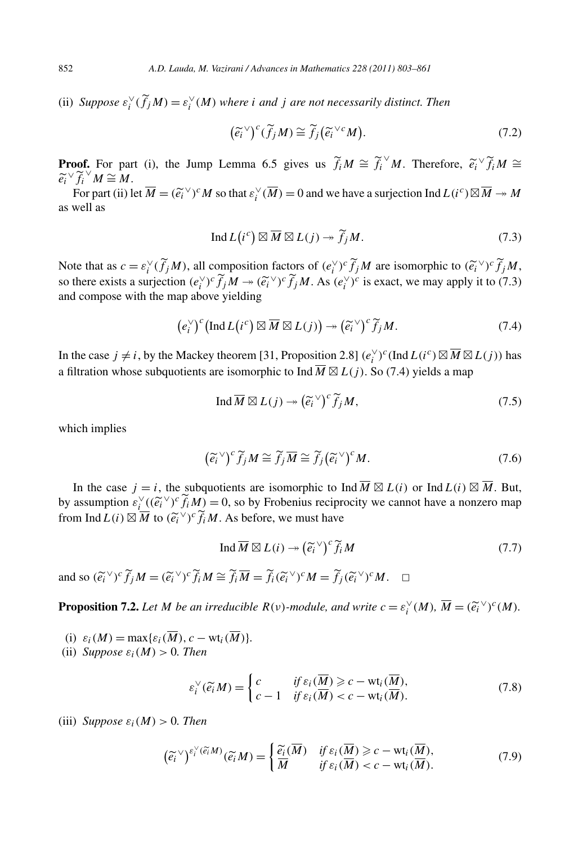(ii) *Suppose*  $\varepsilon_i^{\vee}(\widetilde{f}_jM) = \varepsilon_i^{\vee}(M)$  *where i* and *j* are not necessarily distinct. Then

here *i* and *j* are not necessarily distinct. Then  
\n
$$
(\widetilde{e_i}^{\vee})^c (\widetilde{f_j} M) \cong \widetilde{f_j} (\widetilde{e_i}^{\vee c} M).
$$
\n(7.2)

**Proof.** For part (i), the Jump Lemma 6.5 gives us  $\tilde{f}_i M \cong \tilde{f}_i^{\vee} M$ . Therefore,  $\tilde{e}_i^{\vee} \tilde{f}_i M \cong$ **P**<sub>*i*</sub> $\widetilde{e_i}$  $\vee$ <sup>*γ*</sup> $\widetilde{f}_i$ <sup> $\vee$ </sup> $M \cong M$ . **oof.** For part (i), the<br> $\widetilde{f}_i^{\vee} M \cong M$ .<br>For part (ii) let  $\overline{M} = (\widetilde{e}_i^{\vee})$ 

 $\sqrt{a^2 + b^2}$  *(M)* so that  $\varepsilon_i^{\vee}(\overline{M}) = 0$  and we have a surjection Ind *L*(*i*<sup>*c*</sup>) ⊠  $\overline{M} \rightarrow M$ as well as  $\epsilon$ <sub>i</sub><br>c)

$$
\operatorname{Ind} L(i^c) \boxtimes \overline{M} \boxtimes L(j) \twoheadrightarrow \widetilde{f}_j M. \tag{7.3}
$$

 $Ind L(i^c) \boxtimes \overline{M} \boxtimes L(j) \rightarrow \widetilde{f}_j M.$  (7.3)<br>Note that as  $c = \varepsilon_i^{\vee}(\widetilde{f}_jM)$ , all composition factors of  $(e_i^{\vee})^c \widetilde{f}_jM$  are isomorphic to  $(\widetilde{e}_i^{\vee})^c \widetilde{f}_jM$ ,  $\text{Ind } L(i^c) \boxtimes M \boxtimes L(j) \rightarrow f_j M.$  (7.3)<br> *Note that as*  $c = \varepsilon_i^{\vee}(\tilde{f}_jM)$ *, all composition factors of*  $(e_i^{\vee})^c \tilde{f}_jM$  *are isomorphic to*  $(\tilde{e}_i^{\vee})^c \tilde{f}_jM$ *,<br>
so there exists a surjection (e\_i^{\vee})^c \tilde{f}\_jM \rightarrow (\tilde{* and compose with the map above yielding  $\binom{1}{i}$ <br>  $\binom{0}{i}$  $\rightarrow$ <br> $\downarrow$ <br> $\downarrow$ <br> $\downarrow$ <br> $\downarrow$ <br> $\downarrow$ <br> $\downarrow$ *ei*

$$
(e_i^{\vee})^c \left( \operatorname{Ind} L(i^c) \boxtimes \overline{M} \boxtimes L(j) \right) \twoheadrightarrow (\widetilde{e_i}^{\vee})^c \widetilde{f}_j M. \tag{7.4}
$$

In the case *j*  $\neq i$ , by the Mackey theorem [31, Proposition 2.8]  $(e_i^{\vee})^c$  (Ind  $L(i^c) \boxtimes \overline{M} \boxtimes L(j)$ ) has<br>a filtration whose subquotients are isomorphic to Ind  $\overline{M} \boxtimes L(j)$ . So (7.4) yields a map<br>Ind  $\overline{M} \boxtimes L(j$ a filtration whose subquotients are isomorphic to Ind  $\overline{M} \boxtimes L(i)$ . So (7.4) yields a map *ei*

$$
\operatorname{Ind} \overline{M} \boxtimes L(j) \twoheadrightarrow (\widetilde{e_i}^{\vee})^c \widetilde{f}_j M,
$$
\n
$$
(7.5)
$$
\n
$$
\widetilde{f} \vee^{\vee} \widetilde{f} M \simeq \widetilde{f} \cdot \overline{M} \simeq \widetilde{f} \cdot (\widetilde{\alpha}^{\vee})^c M
$$

which implies

$$
(\tilde{e}_i^{\vee})^c \tilde{f}_j M \cong \tilde{f}_j \overline{M} \cong \tilde{f}_j (\tilde{e}_i^{\vee})^c M.
$$
 (7.6)

In the case  $j = i$ , the subquotients are isomorphic to Ind  $\overline{M} \boxtimes L(i)$  or Ind  $L(i) \boxtimes \overline{M}$ . But,  $(\tilde{e}_i^\vee)^\circ \tilde{f}_j M \cong \tilde{f}_j \overline{M} \cong \tilde{f}_j (\tilde{e}_i^\vee)^\circ M.$  (7.6)<br>In the case  $j = i$ , the subquotients are isomorphic to Ind  $\overline{M} \boxtimes L(i)$  or Ind  $L(i) \boxtimes \overline{M}$ . But,<br>by assumption  $\varepsilon_i^\vee ((\tilde{e}_i^\vee)^\circ \tilde{f}_i M) = 0$ In the case  $j = i$ , the<br>by assumption  $\varepsilon_i^{\vee}((\tilde{e}_i^{\vee})^c)$ <br>from Ind  $L(i) \boxtimes \overline{M}$  to  $(\tilde{e}_i^{\vee})$  $\sqrt{\ }$ <sup> $\vee$ </sup>)<sup>*c*</sup>  $\widetilde{f}_i$  *M*. As before, we must have 0, so by Frobenius reciprocal *n*  $\overline{M} \boxtimes L(i) \rightarrow (\widetilde{e_i}^{\vee})^c \widetilde{f_i}$  $\frac{1}{e}$ <br>*e*<sup>*i*</sup>

$$
\operatorname{Ind} \overline{M} \boxtimes L(i) \twoheadrightarrow \left(\widetilde{e_i}^{\vee}\right)^c \widetilde{f_i} M \tag{7.7}
$$

 $\text{Ind } \overline{M} \boxtimes L(i) \rightarrow (\tilde{e}_i^{\vee})^c \tilde{f}_i M$ <br>
and so  $(\tilde{e}_i^{\vee})^c \tilde{f}_j M = (\tilde{e}_i^{\vee})^c \tilde{f}_i M \cong \tilde{f}_i \overline{M} = \tilde{f}_i(\tilde{e}_i^{\vee})^c M = \tilde{f}_j(\tilde{e}_i^{\vee})^c M. \square$ **Proposition 7.2.** *Let M be an irreducible*  $R(v)$ *-module, and write*  $c = \varepsilon_i^{\vee}(M)$ *,*  $\overline{M} = (\tilde{e}_i^{\vee})^c(M)$ *.* 

- (i)  $\varepsilon_i(M) = \max{\{\varepsilon_i(\overline{M}), c \text{wt}_i(\overline{M})\}}.$
- (ii) *Suppose*  $\varepsilon_i(M) > 0$ *. Then*

$$
\varepsilon = w_{ij}(M) \tag{7.8}
$$
\n
$$
\varepsilon_i^{\vee}(\widetilde{e_i}M) = \begin{cases} c & \text{if } \varepsilon_i(\overline{M}) \ge c - \text{wt}_i(\overline{M}), \\ c - 1 & \text{if } \varepsilon_i(\overline{M}) < c - \text{wt}_i(\overline{M}). \end{cases}
$$

(iii) *Suppose*  $\varepsilon_i(M) > 0$ *. Then* 

$$
\begin{aligned}\n\text{(c)} \quad &= \text{w}_i(M) < \text{c} - \text{w}_i(M).\n\end{aligned}
$$
\n
$$
\text{A. Then}
$$
\n
$$
\left(\widetilde{e}_i^\vee\right)^{\varepsilon_i^\vee(\widetilde{e}_i M)} \left(\widetilde{e}_i M\right) = \begin{cases}\n\widetilde{e}_i(M) & \text{if } \varepsilon_i(M) \ge c - \text{wt}_i(M), \\
\widetilde{M} & \text{if } \varepsilon_i(M) < c - \text{wt}_i(M).\n\end{cases} \tag{7.9}
$$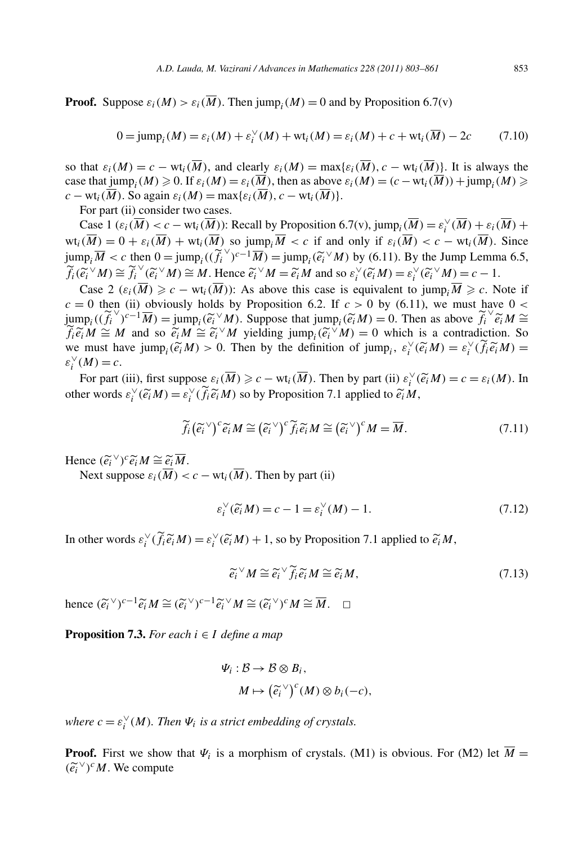**Proof.** Suppose  $\varepsilon_i(M) > \varepsilon_i(\overline{M})$ . Then jump<sub>i</sub> $(M) = 0$  and by Proposition 6.7(v)

$$
0 = jump_i(M) = \varepsilon_i(M) + \varepsilon_i^{\vee}(M) + \text{wt}_i(M) = \varepsilon_i(M) + c + \text{wt}_i(\overline{M}) - 2c \tag{7.10}
$$

so that  $\varepsilon_i(M) = c - \text{wt}_i(\overline{M})$ , and clearly  $\varepsilon_i(M) = \max{\{\varepsilon_i(\overline{M}), c - \text{wt}_i(\overline{M})\}}$ . It is always the case that  $\underline{\text{jump}}_i(M) \geq 0$ . If  $\varepsilon_i(M) = \varepsilon_i(M)$ , then as above  $\varepsilon_i(M) = (c - \text{wt}_i(M)) + \text{jump}_i(M) \geq$  $c - \text{wt}_i(\overline{M})$ . So again  $\varepsilon_i(M) = \max\{\varepsilon_i(\overline{M}), c - \text{wt}_i(\overline{M})\}.$ 

For part (ii) consider two cases.

Case 1 ( $\varepsilon_i(\overline{M}) < c$  – wt<sub>i</sub>( $\overline{M}$ ): Recall by Proposition 6.7(v), jump<sub>i</sub>( $\overline{M}$ ) =  $\varepsilon_i^{\vee}(\overline{M}) + \varepsilon_i(\overline{M}) +$  $wt_i(M) = 0 + \varepsilon_i(M) + wt_i(M)$  so jump<sub>i</sub> $M < c$  if and only if  $\varepsilon_i(M) < c - wt_i(M)$ . Since  $\lim_{i} \overline{M} < c$  then  $0 = \lim_{i} (\widetilde{f_i}^{\vee})^{c-1} \overline{M} = \lim_{i} (\widetilde{e_i}^{\vee} M)$  by (6.11). By the Jump Lemma 6.5, *s*. Recall by Propositions of jump<sub>*i*</sub>  $\overline{M}$  < *c* if  $\vee$ <sup>γ</sup> $\vee$ *c*<sup>-1</sup> $\overline{M}$ ) = jump<sub>*i*</sub> ( $\widetilde{e_i}$  $\widetilde{f}_i(\widetilde{e}_i^{\vee}M) \cong \widetilde{f}_i^{\vee}(\widetilde{e}_i^{\vee}M) \cong M$ . Hence  $\widetilde{e}_i^{\vee}M = \widetilde{e}_iM$  and so  $\varepsilon_i^{\vee}(\widetilde{e}_i^{\vee}M) = \varepsilon_i^{\vee}(\widetilde{e}_i^{\vee}M) = c - 1$ . **Case** 1 ( $\varepsilon_i(M) < c - \text{wt}_i(M)$ ): Recall by Proposition 6.7(v), jump<sub>*i*</sub>  $(M) = \text{wt}_i(\overline{M}) = 0 + \varepsilon_i(\overline{M}) + \text{wt}_i(\overline{M})$  so jump<sub>*i*</sub>  $\overline{M} < c$  if and only if  $\varepsilon_i(\overline{M}) < \text{jump}_i \overline{M} < c$  then  $0 = \text{jump}_i((\widetilde{f}_i^{\vee})^{c-1}\overline{$ 

Case 2 ( $\varepsilon_i(M) \geq c - \text{wt}_i(M)$ ): As above this case is equivalent to jump<sub>i</sub> $M \geq c$ . Note if  $c = 0$  then (ii) obviously holds by Proposition 6.2. If  $c > 0$  by (6.11), we must have  $0 <$  $f_i(\widetilde{e_i} \vee M) \cong f_i \cdot (\widetilde{e_i} \vee M) \cong M$ . Hence  $\widetilde{e_i} \vee M = \widetilde{e_i}M$  and so  $\varepsilon_i^{\vee}(\widetilde{e_i}M) = \varepsilon_i^{\vee}(\widetilde{e_i} \vee M) = c - 1$ .<br>Case 2  $(\varepsilon_i(\overline{M}) \geq c - \text{wt}_i(\overline{M}))$ : As above this case is equivalent to jump<sub>*i*</sub>  $\over$ *Case 2* ( $\epsilon_i(\overline{M}) \geq c$  − wt<sub>i</sub>( $\overline{M}$ )): As above this case is equivalent to jump<sub>i</sub> $\overline{M} \geq c$ . Note if  $c = 0$  then (ii) obviously holds by Proposition 6.2. If  $c > 0$  by (6.11), we must have  $0 < \text{jump}_i((\widetilde{f}_i^{\vee$  $c = 0$  then (ii) obviously holds by Proposition 6.2. If  $c > 0$  by (6.11), we must have  $0 < \lim_{\tilde{f}_i \to \tilde{f}_i} \lim_{\tilde{f}_i \to \tilde{f}_i} \lim_{\tilde{f}_i \to \tilde{f}_i} \lim_{\tilde{f}_i \to \tilde{f}_i} \lim_{\tilde{f}_i \to \tilde{f}_i} \lim_{\tilde{f}_i \to \tilde{f}_i} \lim_{\tilde{f}_i \$ *<sup>i</sup> (f*  $\varepsilon_i^{\vee}(M) = c.$ *i* **i** is a contradiction. So<br> *i*  $(\tilde{e}_i M) = \varepsilon_i^{\vee}(\tilde{f}_i \tilde{e}_i M) =$ <br> *i*  $(\tilde{e}_i M) = c = \varepsilon_i(M)$ . In  $\geq$ 

For part (iii), first suppose  $\varepsilon_i(\overline{M}) \geq c - \text{wt}_i(\overline{M})$ . Then by part (ii)  $\varepsilon_i^{\vee}$ other words  $\varepsilon_i^{\vee}(\widetilde{e_i}M) = \varepsilon_i^{\vee}(\widetilde{f}M)$ *i*  $\epsilon_i^N$  (*e<sub>i</sub>M*) > 0. Then by the definition of jump<sub>i</sub>,  $\varepsilon_i^N$  (*ii*), first suppose  $\varepsilon_i(\overline{M}) \ge c - \text{wt}_i(\overline{M})$ . Then by part (ii)  $\varepsilon_i^N$  ( $\widetilde{\epsilon}_i^N$  ( $\widetilde{\epsilon}_i^N$  *i*) =  $\varepsilon_i^N$  ( $\widetilde{f}_i \widetilde{\epsilon}_i^N$  *i*) *e*<sub>*i*</sub> ( $\overline{M}$ ) ≥ *c* − wt<sub>*i*</sub></sub> ( $\overline{M}$ ). Then by *j*<br>  $\varepsilon_i^{\vee}(\widetilde{f}_i \widetilde{e}_i M)$  so by Proposition 7.1 appl<br>  $\widetilde{f}_i(\widetilde{e}_i^{\vee})^c \widetilde{e}_i M \cong (\widetilde{e}_i^{\vee})^c \widetilde{f}_i \widetilde{e}_i M \cong (\widetilde{e}_i^{\vee})^c$  $\frac{c}{\tilde{e}_i}$ *ei*  $\frac{e}{\tilde{e}_i}$ 

$$
\widetilde{f}_i\big(\widetilde{e}_i^{\vee}\big)^c \widetilde{e}_i^{\vee} M \cong \big(\widetilde{e}_i^{\vee}\big)^c \widetilde{f}_i \widetilde{e}_i^{\vee} M \cong \big(\widetilde{e}_i^{\vee}\big)^c M = \overline{M}.
$$
\n(7.11)

*F<sub>i</sub>*<br>Hence  $(\tilde{e}_i^{\vee})^c \tilde{e}_i M \cong \tilde{e}_i \overline{M}$ .

Next suppose  $\varepsilon_i(\overline{M}) < c - \text{wt}_i(\overline{M})$ . Then by part (ii) *i*<sub>*i*</sub>  $(\overline{M})$ . Then by part (*i*)<br>  $\gamma_i^{\vee} (\widetilde{e_i}M) = c - 1 = \varepsilon_i^{\vee}$ 

$$
\varepsilon_i^{\vee}(\widetilde{e_i}M) = c - 1 = \varepsilon_i^{\vee}(M) - 1. \tag{7.12}
$$

 $\varepsilon_i^{\vee}(\widetilde{e_i}M) = c - 1 = \varepsilon_i^{\vee}(M) - 1.$ <br>In other words  $\varepsilon_i^{\vee}(\widetilde{f_i}\widetilde{e_i}M) = \varepsilon_i^{\vee}(\widetilde{e_i}M) + 1$ , so by Proposition 7.1 applied to  $\widetilde{e_i}M$ ,  $\tilde{e}_i^{\prime}$ 

$$
\widetilde{e}_i M
$$
) + 1, so by Proposition 7.1 applied to  $\widetilde{e}_i M$ ,  
\n $\widetilde{e}_i^{\vee} M \cong \widetilde{e}_i^{\vee} \widetilde{f}_i \widetilde{e}_i M \cong \widetilde{e}_i M$ , (7.13)

 $\widetilde{e_i}^{\vee} M \cong \widetilde{e_i}^{\vee} \widetilde{f_i} \widetilde{e_i} M \cong \widetilde{e_i} M$ <br>hence  $(\widetilde{e_i}^{\vee})^{c-1} \widetilde{e_i} M \cong (\widetilde{e_i}^{\vee})^{c-1} \widetilde{e_i}^{\vee} M \cong (\widetilde{e_i}^{\vee})^c M \cong \overline{M}$ .  $\Box$ 

**Proposition 7.3.** *For each*  $i \in I$  *define a map*<br>  $\Psi_i : \mathcal{B} \to \mathcal{B}$  ( $\widetilde{e_i}$ )

define a map  
\n
$$
\Psi_i : \mathcal{B} \to \mathcal{B} \otimes B_i,
$$
\n
$$
M \mapsto (\widetilde{e_i}^{\vee})^c (M) \otimes b_i(-c),
$$

*where*  $c = \varepsilon_i^{\vee}(M)$ *. Then*  $\Psi_i$  *is a strict embedding of crystals.* 

**Proof.** First we show that  $\Psi_i$  is a morphism of crystals. (M1) is obvious. For (M2) let  $\overline{M}$  = wh<br>**Pr**<br>(ẽ*i*  $(\widetilde{e_i}^{\vee})^c M$ . We compute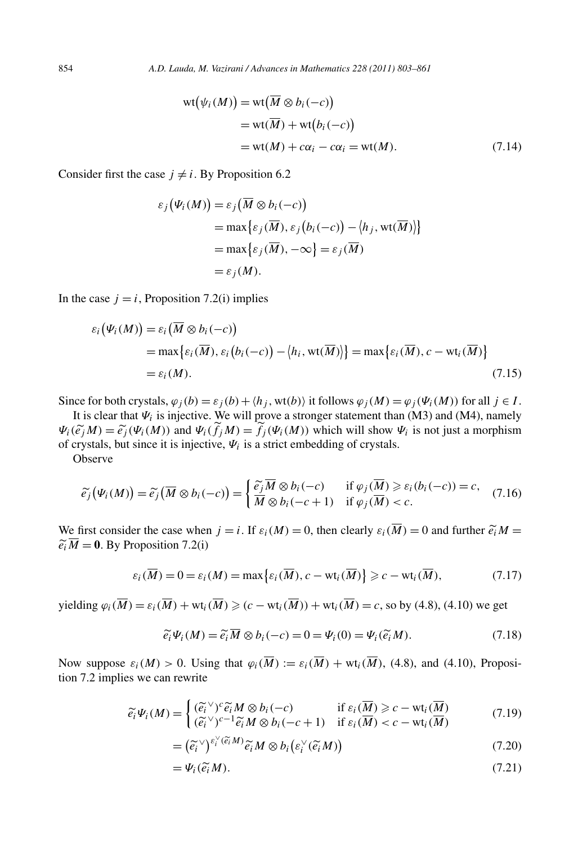uda, M. Vazirani / Advances in Mathematics 228 (2011) 803–861

\n
$$
\text{wt}(\psi_i(M)) = \text{wt}(\overline{M} \otimes b_i(-c))
$$
\n
$$
= \text{wt}(\overline{M}) + \text{wt}(b_i(-c))
$$
\n
$$
= \text{wt}(M) + c\alpha_i - c\alpha_i = \text{wt}(M). \tag{7.14}
$$

Consider first the case  $j \neq i$ . By Proposition 6.2

$$
= w((M) + c\alpha_i - c\alpha_i = w((M)).
$$
  
\n
$$
case \quad j \neq i. \text{ By Proposition 6.2}
$$
  
\n
$$
\varepsilon_j(\Psi_i(M)) = \varepsilon_j(\overline{M} \otimes b_i(-c))
$$
  
\n
$$
= \max{\varepsilon_j(\overline{M}), \varepsilon_j(b_i(-c)) - \langle h_j, wt(\overline{M}) \rangle}
$$
  
\n
$$
= \max{\varepsilon_j(\overline{M}), -\infty} = \varepsilon_j(\overline{M})
$$
  
\n
$$
= \varepsilon_j(M).
$$

In the case  $j = i$ , Proposition 7.2(i) implies

$$
= \varepsilon_j(M).
$$
  
\n
$$
case \, j = i, \, \text{Proposition 7.2(i) implies}
$$
  
\n
$$
\varepsilon_i(\Psi_i(M)) = \varepsilon_i(\overline{M} \otimes b_i(-c))
$$
  
\n
$$
= \max\{\varepsilon_i(\overline{M}), \varepsilon_i(b_i(-c)) - \langle h_i, \text{wt}(\overline{M}) \rangle\} = \max\{\varepsilon_i(\overline{M}), c - \text{wt}_i(\overline{M})\}
$$
  
\n
$$
= \varepsilon_i(M).
$$
\n(7.15)

Since for both crystals,  $\varphi_j(b) = \varepsilon_j(b) + \langle h_j, \text{wt}(b) \rangle$  it follows  $\varphi_j(M) = \varphi_j(\Psi_i(M))$  for all  $j \in I$ .

It is clear that  $\Psi_i$  is injective. We will prove a stronger statement than (M3) and (M4), namely Since for both crystals,  $\varphi_j(b) = \varepsilon_j(b) + \langle h_j, \text{wt}(b) \rangle$  it follows  $\varphi_j(M) = \varphi_j(\Psi_i(M))$  for all  $j \in I$ .<br>It is clear that  $\Psi_i$  is injective. We will prove a stronger statement than (M3) and (M4), namely  $\Psi_i(\tilde{e}_jM) = \tilde{e$ 

Observe

of crystals, but since it is injective, 
$$
\Psi_i
$$
 is a strict embedding of crystals.  
Observe  

$$
\widetilde{e}_j(\Psi_i(M)) = \widetilde{e}_j(\overline{M} \otimes b_i(-c)) = \begin{cases} \frac{\widetilde{e}_j \overline{M} \otimes b_i(-c)}{\overline{M} \otimes b_i(-c+1)} & \text{if } \varphi_j(\overline{M}) \ge \varepsilon_i(b_i(-c)) = c, \\ \frac{\widetilde{e}_j \overline{M} \otimes b_i(-c+1)}{\overline{M} \otimes b_i(-c+1)} & \text{if } \varphi_j(\overline{M}) < c. \end{cases}
$$
 (7.16)  
We first consider the case when  $j = i$ . If  $\varepsilon_i(M) = 0$ , then clearly  $\varepsilon_i(\overline{M}) = 0$  and further  $\widetilde{e}_i(M) = 0$ 

 $e_j(x_i, y_j) = e_j(x_i, y_j)$ <br>We first consider the case when<br> $\tilde{e}_i \overline{M} = 0$ . By Proposition 7.2(i) *εi* (*M*) = 0, then clearl<br> *ε<sub>i</sub>*( $\overline{M}$ ) = 0 = *ε<sub>i</sub>*( $M$ ) = max { $\varepsilon_i(\overline{M})$ , *c* – wt<sub>*i*</sub>( $\overline{M}$ )</sub>}

$$
\varepsilon_i(\overline{M}) = 0 = \varepsilon_i(M) = \max\left\{\varepsilon_i(\overline{M}), c - \text{wt}_i(\overline{M})\right\} \geqslant c - \text{wt}_i(\overline{M}),\tag{7.17}
$$

yielding  $\varphi_i(\overline{M}) = \varepsilon_i(\overline{M}) + \text{wt}_i(\overline{M}) \geqslant (c - \text{wt}_i(\overline{M})) + \text{wt}_i(\overline{M}) = c$ , so by (4.8), (4.10) we get  $\overline{M}$ ) + wt<sub>i</sub>( $\overline{M}$ ) ≥ (*c* - wt<sub>i</sub>( $\overline{M}$ )) + wt<sub>i</sub>( $\overline{M}$ ) = *c*, so by (4.8), (4.10) we get<br>  $\widetilde{e}_i\Psi_i(M) = \widetilde{e}_i\overline{M} \otimes b_i(-c) = 0 = \Psi_i(0) = \Psi_i(\widetilde{e}_iM)$ . (7.18)

$$
\widetilde{e_i}\Psi_i(M) = \widetilde{e_i}\overline{M} \otimes b_i(-c) = 0 = \Psi_i(0) = \Psi_i(\widetilde{e_i}M). \tag{7.18}
$$

Now suppose  $\varepsilon_i(M) > 0$ . Using that  $\varphi_i(\overline{M}) := \varepsilon_i(\overline{M}) + \text{wt}_i(\overline{M})$ , (4.8), and (4.10), Proposi-Now suppose  $\varepsilon_i(M) > 0$ . Usi<br>tion 7.2 implies we can rewrite<br> $\widetilde{e}_i \Psi_i(M) = \begin{cases} (\widetilde{e}_i)^T & \text{if } i \in \mathbb{Z}^N \end{cases}$ *ng* that  $\varphi_i(M) := \varepsilon_i(M) + \text{wt}_i(M)$ ,<br>  $\vee$ *)<sup>c</sup>* $\widetilde{e_i}M \otimes b_i(-c)$  if  $\varepsilon_i(\overline{M}) \geq$ 

es we can rewrite  
\n
$$
\widetilde{e_i}\Psi_i(M) = \begin{cases}\n(\widetilde{e_i}^{\vee})^c \widetilde{e_i} M \otimes b_i(-c) & \text{if } \varepsilon_i(\overline{M}) \ge c - \text{wt}_i(\overline{M}) \\
(\widetilde{e_i}^{\vee})^{c-1} \widetilde{e_i} M \otimes b_i(-c+1) & \text{if } \varepsilon_i(\overline{M}) < c - \text{wt}_i(\overline{M})\n\end{cases}
$$
\n
$$
= (\widetilde{e_i}^{\vee})^{\varepsilon_i^{\vee}} (\widetilde{e_i}^{\vee} M) \widetilde{e_i} M \otimes b_i(\varepsilon_i^{\vee} (\widetilde{e_i} M))
$$
\n(7.20)

$$
[(e_i^{\vee})^{c-1}e_i M \otimes b_i(-c+1) \text{ if } \varepsilon_i(M) < c - \text{wt}_i(M)
$$
  
= 
$$
(\widetilde{e_i}^{\vee})^{e_i^{\vee}(\widetilde{e_i}M)} \widetilde{e_i} M \otimes b_i(\varepsilon_i^{\vee}(\widetilde{e_i}M))
$$
  
= 
$$
\Psi_i(\widetilde{e_i}M).
$$
 (7.20)  
(7.21)

$$
=\Psi_i(\widetilde{e_i}M). \tag{7.21}
$$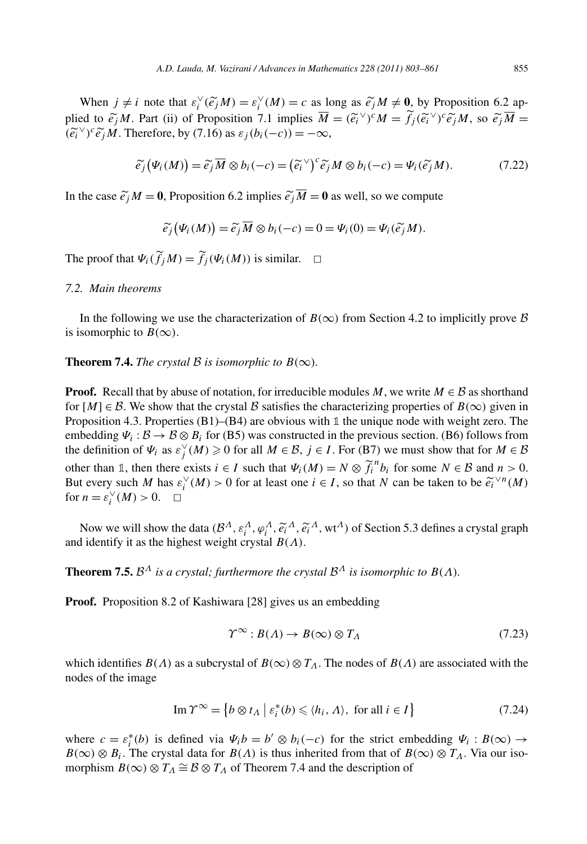*A.D. Lauda, M. Vazirani / Advances in Mathematics 228 (2011) 803–861*<br>
When  $j \neq i$  note that  $\varepsilon_i^{\vee}(\tilde{e}_j M) = \varepsilon_i^{\vee}(M) = c$  as long as  $\tilde{e}_j M \neq 0$ , by Proposition 6.2 apwhen  $j \neq i$  note that  $\varepsilon_i^{\vee}(\tilde{e}_j M) = \varepsilon_i^{\vee}(M) = c$  as long as  $\tilde{e}_j M \neq 0$ , by Proposition 6.2 applied to  $\tilde{e}_j M$ . Part (ii) of Proposition 7.1 implies  $\overline{M} = (\tilde{e}_i^{\vee})^c M = \tilde{f}_j (\tilde{e}_i^{\vee})^c \tilde{e}_j M$ , When  $j \neq i$  note that  $\varepsilon_i^{\vee}(\widetilde{e_j}M) = \varepsilon_i^{\vee}(M) = c$  as logical to  $\widetilde{e_j}M$ . Part (ii) of Proposition 7.1 implies  $\overline{M}$ <br> $(\widetilde{e_i}^{\vee})^c \widetilde{e_j}M$ . Therefore, by (7.16) as  $\varepsilon_j(b_i(-c)) = -\infty$ , *ej* art (ii) of Proposition 7.1 implies  $\overline{M} = (\tilde{e}_i^{\vee})^c M = \tilde{f}_j(\tilde{e}_i^{\vee})^c \tilde{e}_j M$ , so  $\tilde{e}_j \overline{M} =$ <br>
refore, by (7.16) as  $\varepsilon_j(b_i(-c)) = -\infty$ ,<br>  $(\Psi_i(M)) = \tilde{e}_j \overline{M} \otimes b_i(-c) = (\tilde{e}_i^{\vee})^c \tilde{e}_j M \otimes b_i(-c) = \Psi_i(\tilde{e$  $e^{i\theta}$ 

$$
\widetilde{e_j}(\Psi_i(M)) = \widetilde{e_j} \overline{M} \otimes b_i(-c) = (\widetilde{e_i}^{\vee})^c \widetilde{e_j} M \otimes b_i(-c) = \Psi_i(\widetilde{e_j} M). \tag{7.22}
$$
  
In the case  $\widetilde{e_j} M = 0$ , Proposition 6.2 implies  $\widetilde{e_j} \overline{M} = 0$  as well, so we compute

Proposition 6.2 implies

\n
$$
\widetilde{e_j} \overline{M} = 0 \text{ as well, so we comp}
$$
\n
$$
\widetilde{e_j} \big( \Psi_i(M) \big) = \widetilde{e_j} \overline{M} \otimes b_i(-c) = 0 = \Psi_i(0) = \Psi_i(\widetilde{e_j} M).
$$

The proof that  $\Psi_i(f_jM) = f_j(\Psi_i(M))$  is similar.  $\Box$ 

# *7.2. Main theorems*

In the following we use the characterization of  $B(\infty)$  from Section 4.2 to implicitly prove B is isomorphic to  $B(\infty)$ .

# **Theorem 7.4.** *The crystal*  $\beta$  *is isomorphic to*  $B(\infty)$ *.*

**Proof.** Recall that by abuse of notation, for irreducible modules *M*, we write  $M \in \mathcal{B}$  as shorthand for  $[M] \in \mathcal{B}$ . We show that the crystal  $\mathcal{B}$  satisfies the characterizing properties of  $B(\infty)$  given in Proposition 4.3. Properties (B1)–(B4) are obvious with **1** the unique node with weight zero. The embedding  $\Psi_i : \mathcal{B} \to \mathcal{B} \otimes B_i$  for (B5) was constructed in the previous section. (B6) follows from the definition of  $\Psi_i$  as  $\varepsilon_j^{\vee}(M) \ge 0$  for all  $M \in \mathcal{B}$ ,  $j \in I$ . For (B7) we must show that for  $M \in \mathcal{B}$ other than 1, then there exists  $i \in I$  such that  $\Psi_i(M) = N \otimes \widetilde{f_i}^n b_i$  for some  $N \in \mathcal{B}$  and  $n > 0$ . But every such *M* has  $\varepsilon_i^{\vee}(M) > 0$  for at least one  $i \in I$ , so that *N* can be taken to be  $\tilde{e}_i^{\vee n}(M)$  $\bigvee_{i=1}^{\infty}$  *(M)*  $\geq 0$  for all  $M \in \mathcal{B}$ ,  $j \in I$ . For (B7) we must show that for exists  $i \in I$  such that  $\Psi_i(M) = N \otimes \widetilde{f_i}^n b_i$  for some  $N \in \mathcal{B}$  and  $\bigvee_{i=1}^{\infty}$  *(M)* > 0 for at least one  $i \in I$ , so t for  $n = \varepsilon_i^{\vee}(M) > 0$ .  $\Box$ *n* =  $\varepsilon_i^{\vee}(M) > 0$ . □<br> *n* =  $\varepsilon_i^{\vee}(M) > 0$ . □<br>
Now we will show the data  $(B^A, \varepsilon_i^A, \varphi_i^A, \tilde{e}_i^A, \tilde{e}_i^A, \text{wt}^A)$  of Section 5.3 defines a crystal graph

and identify it as the highest weight crystal *B(Λ)*.

**Theorem 7.5.**  $\mathcal{B}^{\Lambda}$  *is a crystal; furthermore the crystal*  $\mathcal{B}^{\Lambda}$  *is isomorphic to*  $B(\Lambda)$ *.* 

**Proof.** Proposition 8.2 of Kashiwara [28] gives us an embedding

$$
\Upsilon^{\infty}: B(\Lambda) \to B(\infty) \otimes T_{\Lambda} \tag{7.23}
$$

which identifies *B(Λ)* as a subcrystal of *B(*∞)  $\otimes T_A$ . The nodes of *B(Λ)* are associated with the nodes of the image<br>  $\text{Im } \Upsilon^{\infty} = \{ b \otimes t_A \mid \varepsilon_i^*(b) \leq \langle h_i, A \rangle, \text{ for all } i \in I \}$  (7.24) nodes of the image

$$
\operatorname{Im} \Upsilon^{\infty} = \left\{ b \otimes t_{\Lambda} \mid \varepsilon_i^*(b) \leq \langle h_i, \Lambda \rangle, \text{ for all } i \in I \right\}
$$
 (7.24)

where  $c = \varepsilon_i^*(b)$  is defined via  $\Psi_i b = b' \otimes b_i(-c)$  for the strict embedding  $\Psi_i : B(\infty) \to$  $B(\infty) \otimes B_i$ . The crystal data for  $B(\Lambda)$  is thus inherited from that of  $B(\infty) \otimes T_\Lambda$ . Via our isomorphism  $B(\infty) \otimes T_A \cong B \otimes T_A$  of Theorem 7.4 and the description of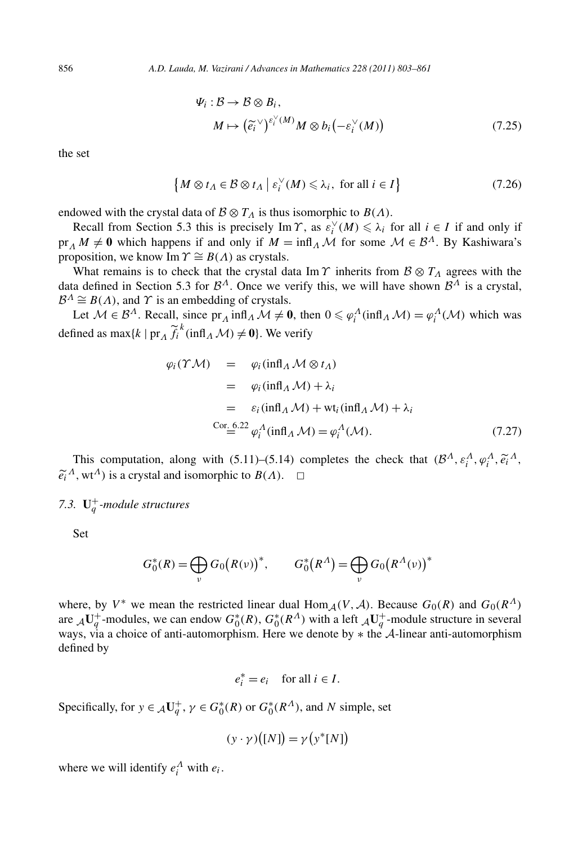856 A.D. Lauda, M. Vazirani / Advances in Mathematics 228 (2011) 803–861  
\n
$$
\Psi_i: \mathcal{B} \to \mathcal{B} \otimes B_i,
$$
\n
$$
M \mapsto (\widetilde{e_i}^{\vee})^{s_i^{\vee}(M)} M \otimes b_i(-\varepsilon_i^{\vee}(M))
$$
\n(7.25)

the set

$$
\left\{ M \otimes t_{\Lambda} \in \mathcal{B} \otimes t_{\Lambda} \mid \varepsilon_{i}^{\vee}(M) \leqslant \lambda_{i}, \text{ for all } i \in I \right\}
$$
\n
$$
(7.26)
$$

endowed with the crystal data of  $\mathcal{B} \otimes T_\Lambda$  is thus isomorphic to  $B(\Lambda)$ .

Recall from Section 5.3 this is precisely Im  $\gamma$ , as  $\varepsilon_i^{\vee}(M) \leq \lambda_i$  for all  $i \in I$  if and only if  $pr_A M \neq 0$  which happens if and only if  $M = \inf_A M$  for some  $M \in \mathcal{B}^A$ . By Kashiwara's proposition, we know Im  $\Upsilon \cong B(\Lambda)$  as crystals.

What remains is to check that the crystal data Im  $\gamma$  inherits from  $\beta \otimes T_A$  agrees with the data defined in Section 5.3 for  $\beta^A$ . Once we verify this, we will have shown  $\beta^A$  is a crystal,  $\mathcal{B}^{\Lambda} \cong B(\Lambda)$ , and  $\Upsilon$  is an embedding of crystals.

Let  $M \in \mathcal{B}^{\Lambda}$ . Recall, since  $\text{pr}_{\Lambda} \text{ inf}_{\Lambda} M \neq \mathbf{0}$ , then  $0 \leq \varphi_i^{\Lambda} (\text{inf}_{\Lambda} M) = \varphi_i^{\Lambda} (\mathcal{M})$  which was defined as  $\max\{k \mid \text{pr}_A \widetilde{f}_i^k(\text{infl}_A \mathcal{M}) \neq \mathbf{0}\}\)$ . We verify

$$
\varphi_i(\Upsilon \mathcal{M}) = \varphi_i(\inf_A \mathcal{M} \otimes t_A)
$$
  
\n
$$
= \varphi_i(\inf_A \mathcal{M}) + \lambda_i
$$
  
\n
$$
= \varepsilon_i(\inf_A \mathcal{M}) + \text{wt}_i(\inf_A \mathcal{M}) + \lambda_i
$$
  
\n
$$
\text{Cor. 6.22 } \varphi_i^A(\inf_A \mathcal{M}) = \varphi_i^A(\mathcal{M}). \tag{7.27}
$$
  
\nThis computation, along with (5.11)–(5.14) completes the check that  $(\mathcal{B}^A, \varepsilon_i^A, \varphi_i^A, \tilde{e}_i^A)$ ,

*ei*  $\tilde{e}_i^A$ , wt<sup>A</sup>) is a crystal and isomorphic to *B(A)*.

# *7.3.* **U**<sup>+</sup> *<sup>q</sup> -module structures*

Set

$$
G_0^*(R) = \bigoplus_{v} G_0(R(v))^*, \qquad G_0^*(R^{\Lambda}) = \bigoplus_{v} G_0(R^{\Lambda}(v))^*
$$

where, by  $V^*$  we mean the restricted linear dual  $\text{Hom}_{\mathcal{A}}(V,\mathcal{A})$ . Because  $G_0(R)$  and  $G_0(R^{\Lambda})$ are  ${}_{\mathcal{A}}\mathbf{U}_{q}^{+}$ -modules, we can endow  $G_{0}^{*}(R)$ ,  $G_{0}^{*}(R^{A})$  with a left  ${}_{\mathcal{A}}\mathbf{U}_{q}^{+}$ -module structure in several ways, via a choice of anti-automorphism. Here we denote by ∗ the A-linear anti-automorphism defined by

$$
e_i^* = e_i \quad \text{for all } i \in I.
$$

Specifically, for  $y \in \mathcal{A} \mathbf{U}_q^+$ ,  $\gamma \in G_0^*(R)$  or  $G_0^*(R^{\Lambda})$ , and *N* simple, set *e*<sub>*i*</sub> = *e*<br>(*R*) or *(R*) (*y* · *γ*)

$$
(y \cdot \gamma)([N]) = \gamma(y^*[N])
$$

where we will identify  $e_i^{\Lambda}$  with  $e_i$ .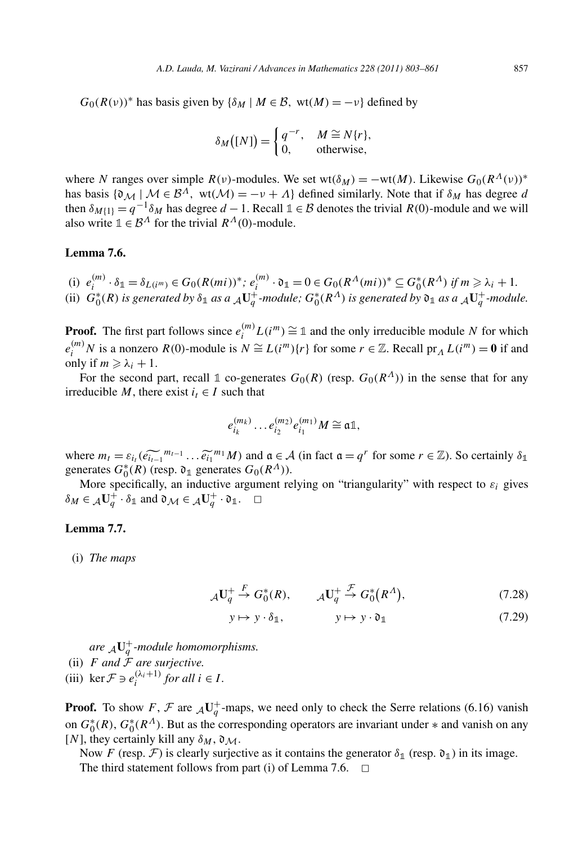$G_0(R(v))^*$  has basis given by  $\{\delta_M \mid M \in \mathcal{B}, \text{ wt}(M) = -v\}$  defined by

$$
\delta_M([N]) = \begin{cases} q^{-r}, & M \cong N\{r\}, \\ 0, & \text{otherwise}, \end{cases}
$$

where *N* ranges over simple  $R(v)$ -modules. We set wt $(\delta_M) = -wt(M)$ . Likewise  $G_0(R^{\Lambda}(v))^*$ has basis  $\{O_M | M \in \mathcal{B}^{\Lambda}, wt(M) = -\nu + \Lambda\}$  defined similarly. Note that if  $\delta_M$  has degree *d* then  $\delta_{M\{1\}} = q^{-1}\delta_M$  has degree  $d - 1$ . Recall  $1 \in \mathcal{B}$  denotes the trivial  $R(0)$ -module and we will also write  $1 \in B^{\Lambda}$  for the trivial  $R^{\Lambda}(0)$ -module.

# **Lemma 7.6.**

(i) 
$$
e_i^{(m)} \cdot \delta_{\mathbb{1}} = \delta_{L(i^m)} \in G_0(R(mi))^*
$$
;  $e_i^{(m)} \cdot \mathfrak{d}_{\mathbb{1}} = 0 \in G_0(R^{\Lambda}(mi))^* \subseteq G_0^*(R^{\Lambda})$  if  $m \ge \lambda_i + 1$ .  
\n(ii)  $G_0^*(R)$  is generated by  $\delta_{\mathbb{1}}$  as a  ${}_{\mathcal{A}}\mathbf{U}_q^+$ -module;  $G_0^*(R^{\Lambda})$  is generated by  $\mathfrak{d}_{\mathbb{1}}$  as a  ${}_{\mathcal{A}}\mathbf{U}_q^+$ -module.

**Proof.** The first part follows since  $e_i^{(m)} L(i^m) \cong \mathbb{1}$  and the only irreducible module *N* for which  $e_i^{(m)}N$  is a nonzero *R(0)*-module is  $N \cong L(i^m){r}$  for some  $r \in \mathbb{Z}$ . Recall  $pr_A L(i^m) = 0$  if and only if  $m \geq \lambda_i + 1$ .

For the second part, recall 1 co-generates  $G_0(R)$  (resp.  $G_0(R^{\Lambda})$ ) in the sense that for any irreducible *M*, there exist  $i_t \in I$  such that

$$
e_{i_k}^{(m_k)} \dots e_{i_2}^{(m_2)} e_{i_1}^{(m_1)} M \cong \mathfrak{a} \mathbb{1},
$$

 $e_{i_k}^{(m_k)} \dots e_{i_2}^{(m_2)} e_{i_1}^{(m_1)} M \cong \mathfrak{a} \mathbb{1},$ <br>where  $m_t = \varepsilon_{i_t} (e_{i_{t-1}}^{m_{t-1}} \dots \widetilde{e_{i_1}}^{m_1} M)$  and  $\mathfrak{a} \in \mathcal{A}$  (in fact  $\mathfrak{a} = q^r$  for some  $r \in \mathbb{Z}$ ). So certainly  $\delta_1$ generates  $G_0^*(R)$  (resp.  $\mathfrak{d}_1$  generates  $G_0(R^{\Lambda})$ ).

More specifically, an inductive argument relying on "triangularity" with respect to  $\varepsilon_i$  gives  $\delta_M \in {}_{\mathcal{A}}\mathbf{U}_q^+ \cdot \delta_{\mathbb{1}}$  and  $\mathfrak{d}_{\mathcal{M}} \in {}_{\mathcal{A}}\mathbf{U}_q^+ \cdot \mathfrak{d}_{\mathbb{1}}$ .  $\Box$ 

# **Lemma 7.7.**

(i) *The maps*

$$
{}_{\mathcal{A}}\mathbf{U}_q^+ \stackrel{F}{\rightarrow} G_0^*(R), \qquad {}_{\mathcal{A}}\mathbf{U}_q^+ \stackrel{\mathcal{F}}{\rightarrow} G_0^*(R^{\mathcal{A}}), \tag{7.28}
$$

$$
y \mapsto y \cdot \delta_{\mathbb{1}}, \qquad y \mapsto y \cdot \mathfrak{d}_{\mathbb{1}} \tag{7.29}
$$

*are* <sup>A</sup>**U**<sup>+</sup> *<sup>q</sup> -module homomorphisms.*

- (ii)  $F$  *and*  $\overline{F}$  *are surjective.*
- (iii) ker  $\mathcal{F} \ni e_i^{(\lambda_i+1)}$  *for all*  $i \in I$ .

**Proof.** To show  $F$ ,  $F$  are  $\mathcal{A} \mathbf{U}_q^+$ -maps, we need only to check the Serre relations (6.16) vanish on  $G_0^*(R)$ ,  $G_0^*(R^{\Lambda})$ . But as the corresponding operators are invariant under  $*$  and vanish on any [*N*], they certainly kill any  $\delta_M$ ,  $\mathfrak{d}_M$ .

Now *F* (resp. *F*) is clearly surjective as it contains the generator  $\delta_1$  (resp.  $\mathfrak{d}_1$ ) in its image. The third statement follows from part (i) of Lemma 7.6.  $\Box$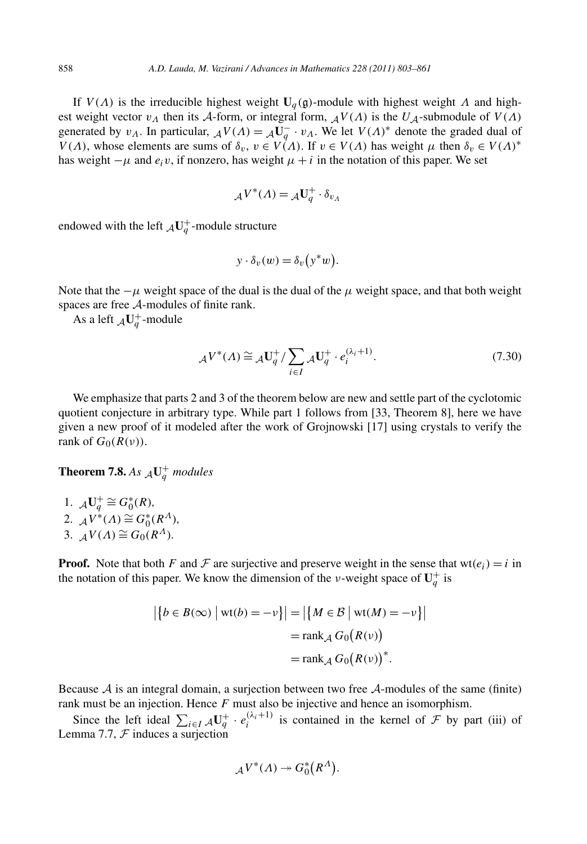If *V (Λ)* is the irreducible highest weight **U***<sup>q</sup> (*g*)*-module with highest weight *Λ* and highest weight vector  $v_A$  then its A-form, or integral form,  $_A V(A)$  is the  $U_A$ -submodule of  $V(A)$ generated by *v<sub>Λ</sub>*. In particular,  ${}_{\mathcal{A}}V(A) = {}_{\mathcal{A}}\mathbf{U}_q^- \cdot v_A$ . We let  $V(A)^*$  denote the graded dual of *V(A)*, whose elements are sums of  $\delta_v$ ,  $v \in V(\Lambda)$ . If  $v \in V(\Lambda)$  has weight  $\mu$  then  $\delta_v \in V(\Lambda)^*$ has weight  $-\mu$  and  $e_i v$ , if nonzero, has weight  $\mu + i$  in the notation of this paper. We set

$$
{}_{\mathcal{A}}V^*(\Lambda) = {}_{\mathcal{A}}\mathbf{U}_q^+ \cdot \delta_{v_{\Lambda}}
$$

endowed with the left  ${}_{\mathcal{A}}\mathbf{U}^+_q$ -module structure

$$
y \cdot \delta_v(w) = \delta_v(y^*w).
$$

Note that the  $-\mu$  weight space of the dual is the dual of the  $\mu$  weight space, and that both weight spaces are free A-modules of finite rank.

As a left  ${}_{\mathcal{A}}\mathbf{U}_{q}^{+}$ -module

$$
{}_{\mathcal{A}}V^*(\Lambda) \cong {}_{\mathcal{A}}\mathbf{U}_q^+ / \sum_{i \in I} {}_{\mathcal{A}}\mathbf{U}_q^+ \cdot e_i^{(\lambda_i+1)}.
$$
 (7.30)

We emphasize that parts 2 and 3 of the theorem below are new and settle part of the cyclotomic quotient conjecture in arbitrary type. While part 1 follows from [33, Theorem 8], here we have given a new proof of it modeled after the work of Grojnowski [17] using crystals to verify the rank of  $G_0(R(\nu))$ .

# **Theorem 7.8.** As  ${}_{\mathcal{A}}\mathbf{U}_q^+$  modules

1.  ${}_{\mathcal{A}}\mathbf{U}_{q}^{+} \cong G_{0}^{*}(R)$ *,* 2.  $A V^*(A) \cong G_0^*(R^A)$ , 3.  $\Delta V(A) \cong G_0(R^A)$ .

**Proof.** Note that both *F* and *F* are surjective and preserve weight in the sense that  $wt(e_i) = i$  in the notation of this paper. We know the dimension of the *ν*-weight space of  $\mathbf{U}_q^+$  is and preserve when of the  $\nu$ -when  $| = |\{ M \in \mathcal{B} | \}$ 

paper. We know the dimension of the *v*-weight space of **I**  
\n
$$
\left| \{ b \in B(\infty) \mid \text{wt}(b) = -v \} \right| = \left| \{ M \in \mathcal{B} \mid \text{wt}(M) = -v \} \right|
$$
\n
$$
= \text{rank}_{\mathcal{A}} G_0(R(v))
$$
\n
$$
= \text{rank}_{\mathcal{A}} G_0(R(v))^*.
$$

Because  $A$  is an integral domain, a surjection between two free  $A$ -modules of the same (finite) rank must be an injection. Hence *F* must also be injective and hence an isomorphism. cause A is an integral d<br>k must be an injection. I<br>Since the left ideal  $\sum$ 

 $\sum_{i \in I} A \mathbf{U}_q^+ \cdot e_i^{(\lambda_i+1)}$  is contained in the kernel of  $\mathcal{F}$  by part (iii) of surjection<br>  $A V^*(A) \rightarrow G_0^*(R^A)$ . Lemma 7.7,  $F$  induces a surjection

$$
{}_{\mathcal{A}}V^*(\Lambda)\twoheadrightarrow G^*_0(R^\Lambda).
$$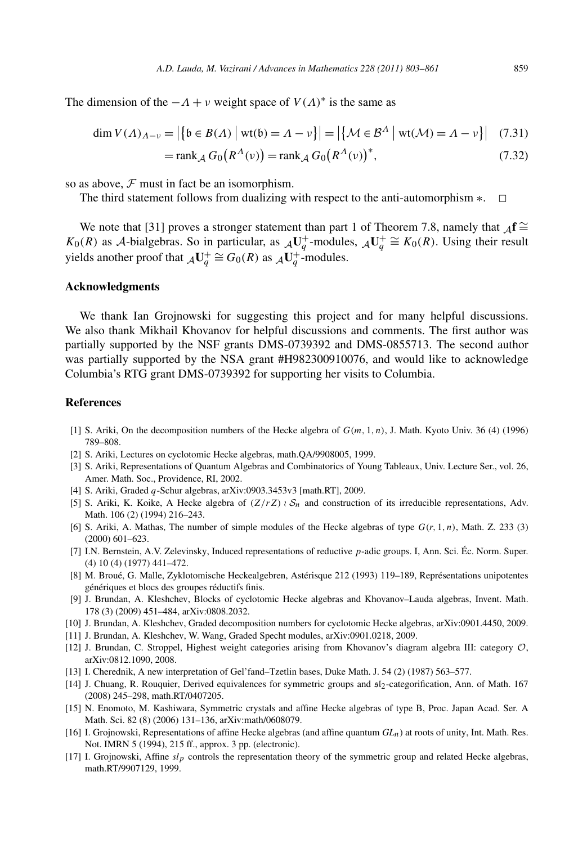The dimension of the  $-A + \nu$  weight space of  $V(A)^*$  is the same as eight space of  $V(\Lambda)^*$ 

limension of the 
$$
-A + v
$$
 weight space of  $V(A)^*$  is the same as

\n
$$
\dim V(A)_{A-v} = \left| \left\{ b \in B(A) \mid \text{wt}(b) = A - v \right\} \right| = \left| \left\{ \mathcal{M} \in \mathcal{B}^A \mid \text{wt}(\mathcal{M}) = A - v \right\} \right| \quad (7.31)
$$
\n
$$
= \text{rank}_{\mathcal{A}} G_0 \left( R^A(v) \right) = \text{rank}_{\mathcal{A}} G_0 \left( R^A(v) \right)^*, \tag{7.32}
$$

so as above,  $F$  must in fact be an isomorphism.

The third statement follows from dualizing with respect to the anti-automorphism  $\ast$ .  $\Box$ 

We note that [31] proves a stronger statement than part 1 of Theorem 7.8, namely that  $\Lambda$ **f** ≅ *K*<sub>0</sub>(*R*) as *A*-bialgebras. So in particular, as  ${}_{\mathcal{A}}\mathbf{U}_{q}^{+}$ -modules,  ${}_{\mathcal{A}}\mathbf{U}_{q}^{+} \cong K_{0}(R)$ . Using their result yields another proof that  ${}_{\mathcal{A}}\mathbf{U}_{q}^{+} \cong G_{0}(R)$  as  ${}_{\mathcal{A}}\mathbf{U}_{q}^{+}$ -modules.

#### **Acknowledgments**

We thank Ian Grojnowski for suggesting this project and for many helpful discussions. We also thank Mikhail Khovanov for helpful discussions and comments. The first author was partially supported by the NSF grants DMS-0739392 and DMS-0855713. The second author was partially supported by the NSA grant #H982300910076, and would like to acknowledge Columbia's RTG grant DMS-0739392 for supporting her visits to Columbia.

#### **References**

- [1] S. Ariki, On the decomposition numbers of the Hecke algebra of  $G(m, 1, n)$ , J. Math. Kyoto Univ. 36 (4) (1996) 789–808.
- [2] S. Ariki, Lectures on cyclotomic Hecke algebras, math.QA/9908005, 1999.
- [3] S. Ariki, Representations of Quantum Algebras and Combinatorics of Young Tableaux, Univ. Lecture Ser., vol. 26, Amer. Math. Soc., Providence, RI, 2002.
- [4] S. Ariki, Graded *q*-Schur algebras, arXiv:0903.3453v3 [math.RT], 2009.
- [5] S. Ariki, K. Koike, A Hecke algebra of  $(Z/rZ) \wr S_n$  and construction of its irreducible representations, Adv. Math. 106 (2) (1994) 216–243.
- [6] S. Ariki, A. Mathas, The number of simple modules of the Hecke algebras of type  $G(r, 1, n)$ , Math. Z. 233 (3) (2000) 601–623.
- [7] I.N. Bernstein, A.V. Zelevinsky, Induced representations of reductive *p*-adic groups. I, Ann. Sci. Éc. Norm. Super. (4) 10 (4) (1977) 441–472.
- [8] M. Broué, G. Malle, Zyklotomische Heckealgebren, Astérisque 212 (1993) 119–189, Représentations unipotentes génériques et blocs des groupes réductifs finis.
- [9] J. Brundan, A. Kleshchev, Blocks of cyclotomic Hecke algebras and Khovanov–Lauda algebras, Invent. Math. 178 (3) (2009) 451–484, arXiv:0808.2032.
- [10] J. Brundan, A. Kleshchev, Graded decomposition numbers for cyclotomic Hecke algebras, arXiv:0901.4450, 2009.
- [11] J. Brundan, A. Kleshchev, W. Wang, Graded Specht modules, arXiv:0901.0218, 2009.
- [12] J. Brundan, C. Stroppel, Highest weight categories arising from Khovanov's diagram algebra III: category O, arXiv:0812.1090, 2008.
- [13] I. Cherednik, A new interpretation of Gel'fand–Tzetlin bases, Duke Math. J. 54 (2) (1987) 563–577.
- [14] J. Chuang, R. Rouquier, Derived equivalences for symmetric groups and  $s12$ -categorification, Ann. of Math. 167 (2008) 245–298, math.RT/0407205.
- [15] N. Enomoto, M. Kashiwara, Symmetric crystals and affine Hecke algebras of type B, Proc. Japan Acad. Ser. A Math. Sci. 82 (8) (2006) 131–136, arXiv:math/0608079.
- [16] I. Grojnowski, Representations of affine Hecke algebras (and affine quantum *GLn*) at roots of unity, Int. Math. Res. Not. IMRN 5 (1994), 215 ff., approx. 3 pp. (electronic).
- [17] I. Grojnowski, Affine *slp* controls the representation theory of the symmetric group and related Hecke algebras, math.RT/9907129, 1999.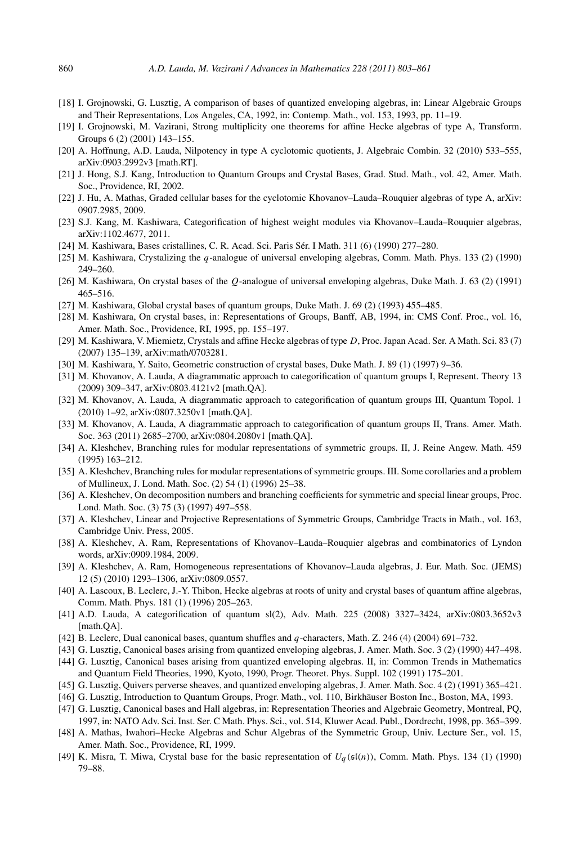- [18] I. Grojnowski, G. Lusztig, A comparison of bases of quantized enveloping algebras, in: Linear Algebraic Groups and Their Representations, Los Angeles, CA, 1992, in: Contemp. Math., vol. 153, 1993, pp. 11–19.
- [19] I. Grojnowski, M. Vazirani, Strong multiplicity one theorems for affine Hecke algebras of type A, Transform. Groups 6 (2) (2001) 143–155.
- [20] A. Hoffnung, A.D. Lauda, Nilpotency in type A cyclotomic quotients, J. Algebraic Combin. 32 (2010) 533–555, arXiv:0903.2992v3 [math.RT].
- [21] J. Hong, S.J. Kang, Introduction to Quantum Groups and Crystal Bases, Grad. Stud. Math., vol. 42, Amer. Math. Soc., Providence, RI, 2002.
- [22] J. Hu, A. Mathas, Graded cellular bases for the cyclotomic Khovanov–Lauda–Rouquier algebras of type A, arXiv: 0907.2985, 2009.
- [23] S.J. Kang, M. Kashiwara, Categorification of highest weight modules via Khovanov–Lauda–Rouquier algebras, arXiv:1102.4677, 2011.
- [24] M. Kashiwara, Bases cristallines, C. R. Acad. Sci. Paris Sér. I Math. 311 (6) (1990) 277–280.
- [25] M. Kashiwara, Crystalizing the *q*-analogue of universal enveloping algebras, Comm. Math. Phys. 133 (2) (1990) 249–260.
- [26] M. Kashiwara, On crystal bases of the *Q*-analogue of universal enveloping algebras, Duke Math. J. 63 (2) (1991) 465–516.
- [27] M. Kashiwara, Global crystal bases of quantum groups, Duke Math. J. 69 (2) (1993) 455–485.
- [28] M. Kashiwara, On crystal bases, in: Representations of Groups, Banff, AB, 1994, in: CMS Conf. Proc., vol. 16, Amer. Math. Soc., Providence, RI, 1995, pp. 155–197.
- [29] M. Kashiwara, V. Miemietz, Crystals and affine Hecke algebras of type *D*, Proc. Japan Acad. Ser. A Math. Sci. 83 (7) (2007) 135–139, arXiv:math/0703281.
- [30] M. Kashiwara, Y. Saito, Geometric construction of crystal bases, Duke Math. J. 89 (1) (1997) 9–36.
- [31] M. Khovanov, A. Lauda, A diagrammatic approach to categorification of quantum groups I, Represent. Theory 13 (2009) 309–347, arXiv:0803.4121v2 [math.QA].
- [32] M. Khovanov, A. Lauda, A diagrammatic approach to categorification of quantum groups III, Quantum Topol. 1 (2010) 1–92, arXiv:0807.3250v1 [math.QA].
- [33] M. Khovanov, A. Lauda, A diagrammatic approach to categorification of quantum groups II, Trans. Amer. Math. Soc. 363 (2011) 2685–2700, arXiv:0804.2080v1 [math.QA].
- [34] A. Kleshchev, Branching rules for modular representations of symmetric groups. II, J. Reine Angew. Math. 459 (1995) 163–212.
- [35] A. Kleshchev, Branching rules for modular representations of symmetric groups. III. Some corollaries and a problem of Mullineux, J. Lond. Math. Soc. (2) 54 (1) (1996) 25–38.
- [36] A. Kleshchev, On decomposition numbers and branching coefficients for symmetric and special linear groups, Proc. Lond. Math. Soc. (3) 75 (3) (1997) 497–558.
- [37] A. Kleshchev, Linear and Projective Representations of Symmetric Groups, Cambridge Tracts in Math., vol. 163, Cambridge Univ. Press, 2005.
- [38] A. Kleshchev, A. Ram, Representations of Khovanov–Lauda–Rouquier algebras and combinatorics of Lyndon words, arXiv:0909.1984, 2009.
- [39] A. Kleshchev, A. Ram, Homogeneous representations of Khovanov–Lauda algebras, J. Eur. Math. Soc. (JEMS) 12 (5) (2010) 1293–1306, arXiv:0809.0557.
- [40] A. Lascoux, B. Leclerc, J.-Y. Thibon, Hecke algebras at roots of unity and crystal bases of quantum affine algebras, Comm. Math. Phys. 181 (1) (1996) 205–263.
- [41] A.D. Lauda, A categorification of quantum sl(2), Adv. Math. 225 (2008) 3327–3424, arXiv:0803.3652v3 [math.QA].
- [42] B. Leclerc, Dual canonical bases, quantum shuffles and *q*-characters, Math. Z. 246 (4) (2004) 691–732.
- [43] G. Lusztig, Canonical bases arising from quantized enveloping algebras, J. Amer. Math. Soc. 3 (2) (1990) 447–498.
- [44] G. Lusztig, Canonical bases arising from quantized enveloping algebras. II, in: Common Trends in Mathematics and Quantum Field Theories, 1990, Kyoto, 1990, Progr. Theoret. Phys. Suppl. 102 (1991) 175–201.
- [45] G. Lusztig, Quivers perverse sheaves, and quantized enveloping algebras, J. Amer. Math. Soc. 4 (2) (1991) 365–421.
- [46] G. Lusztig, Introduction to Quantum Groups, Progr. Math., vol. 110, Birkhäuser Boston Inc., Boston, MA, 1993.
- [47] G. Lusztig, Canonical bases and Hall algebras, in: Representation Theories and Algebraic Geometry, Montreal, PQ, 1997, in: NATO Adv. Sci. Inst. Ser. C Math. Phys. Sci., vol. 514, Kluwer Acad. Publ., Dordrecht, 1998, pp. 365–399.
- [48] A. Mathas, Iwahori–Hecke Algebras and Schur Algebras of the Symmetric Group, Univ. Lecture Ser., vol. 15, Amer. Math. Soc., Providence, RI, 1999.
- [49] K. Misra, T. Miwa, Crystal base for the basic representation of  $U_q(\mathfrak{sl}(n))$ , Comm. Math. Phys. 134 (1) (1990) 79–88.